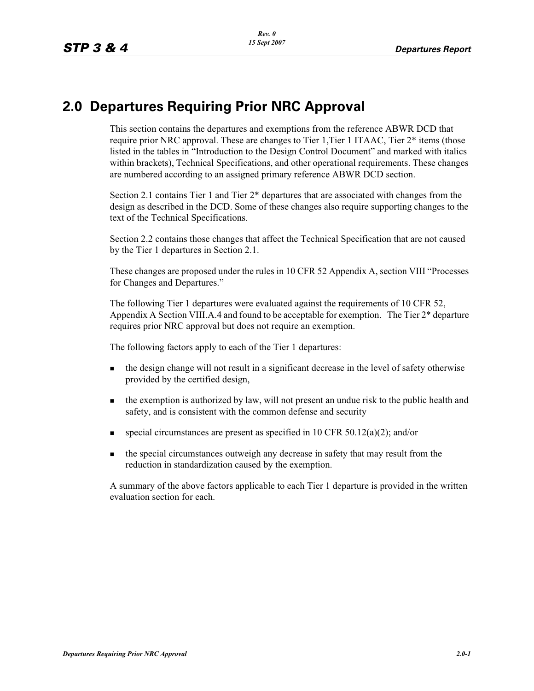## **2.0 Departures Requiring Prior NRC Approval**

This section contains the departures and exemptions from the reference ABWR DCD that require prior NRC approval. These are changes to Tier 1,Tier 1 ITAAC, Tier 2\* items (those listed in the tables in "Introduction to the Design Control Document" and marked with italics within brackets), Technical Specifications, and other operational requirements. These changes are numbered according to an assigned primary reference ABWR DCD section.

Section 2.1 contains Tier 1 and Tier 2\* departures that are associated with changes from the design as described in the DCD. Some of these changes also require supporting changes to the text of the Technical Specifications.

Section 2.2 contains those changes that affect the Technical Specification that are not caused by the Tier 1 departures in Section 2.1.

These changes are proposed under the rules in 10 CFR 52 Appendix A, section VIII "Processes for Changes and Departures."

The following Tier 1 departures were evaluated against the requirements of 10 CFR 52, Appendix A Section VIII.A.4 and found to be acceptable for exemption. The Tier 2\* departure requires prior NRC approval but does not require an exemption.

The following factors apply to each of the Tier 1 departures:

- the design change will not result in a significant decrease in the level of safety otherwise provided by the certified design,
- the exemption is authorized by law, will not present an undue risk to the public health and safety, and is consistent with the common defense and security
- special circumstances are present as specified in 10 CFR 50.12(a)(2); and/or
- the special circumstances outweigh any decrease in safety that may result from the reduction in standardization caused by the exemption.

A summary of the above factors applicable to each Tier 1 departure is provided in the written evaluation section for each.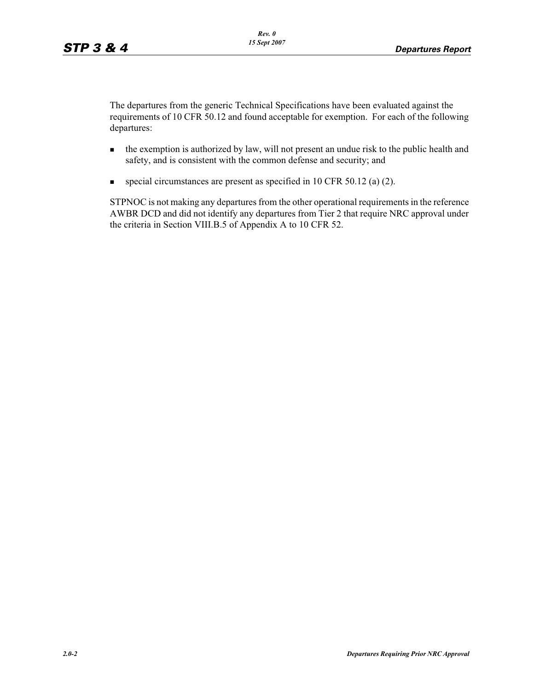The departures from the generic Technical Specifications have been evaluated against the requirements of 10 CFR 50.12 and found acceptable for exemption. For each of the following departures:

- the exemption is authorized by law, will not present an undue risk to the public health and safety, and is consistent with the common defense and security; and
- special circumstances are present as specified in 10 CFR 50.12 (a) (2).

STPNOC is not making any departures from the other operational requirements in the reference AWBR DCD and did not identify any departures from Tier 2 that require NRC approval under the criteria in Section VIII.B.5 of Appendix A to 10 CFR 52.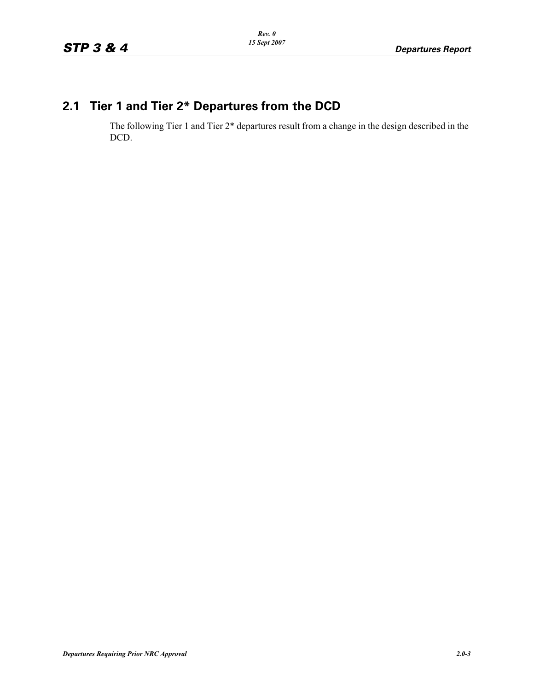# **2.1 Tier 1 and Tier 2\* Departures from the DCD**

The following Tier 1 and Tier 2\* departures result from a change in the design described in the DCD.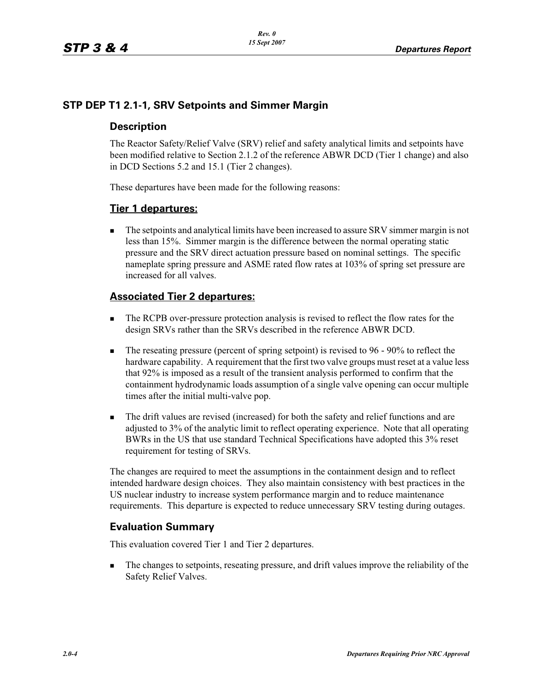## **STP DEP T1 2.1-1, SRV Setpoints and Simmer Margin**

#### **Description**

The Reactor Safety/Relief Valve (SRV) relief and safety analytical limits and setpoints have been modified relative to Section 2.1.2 of the reference ABWR DCD (Tier 1 change) and also in DCD Sections 5.2 and 15.1 (Tier 2 changes).

These departures have been made for the following reasons:

#### **Tier 1 departures:**

- The setpoints and analytical limits have been increased to assure SRV simmer margin is not less than 15%. Simmer margin is the difference between the normal operating static pressure and the SRV direct actuation pressure based on nominal settings. The specific nameplate spring pressure and ASME rated flow rates at 103% of spring set pressure are increased for all valves.

#### **Associated Tier 2 departures:**

- - The RCPB over-pressure protection analysis is revised to reflect the flow rates for the design SRVs rather than the SRVs described in the reference ABWR DCD.
- - The reseating pressure (percent of spring setpoint) is revised to 96 - 90% to reflect the hardware capability. A requirement that the first two valve groups must reset at a value less that 92% is imposed as a result of the transient analysis performed to confirm that the containment hydrodynamic loads assumption of a single valve opening can occur multiple times after the initial multi-valve pop.
- - The drift values are revised (increased) for both the safety and relief functions and are adjusted to 3% of the analytic limit to reflect operating experience. Note that all operating BWRs in the US that use standard Technical Specifications have adopted this 3% reset requirement for testing of SRVs.

The changes are required to meet the assumptions in the containment design and to reflect intended hardware design choices. They also maintain consistency with best practices in the US nuclear industry to increase system performance margin and to reduce maintenance requirements. This departure is expected to reduce unnecessary SRV testing during outages.

## **Evaluation Summary**

This evaluation covered Tier 1 and Tier 2 departures.

- The changes to setpoints, reseating pressure, and drift values improve the reliability of the Safety Relief Valves.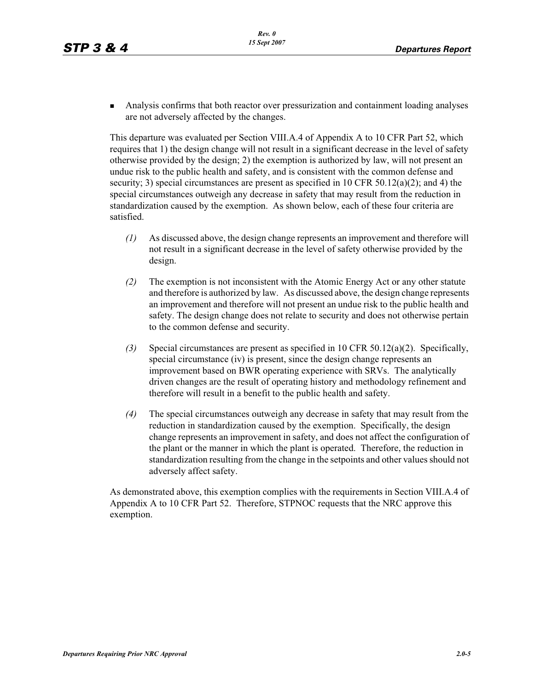• Analysis confirms that both reactor over pressurization and containment loading analyses are not adversely affected by the changes.

This departure was evaluated per Section VIII.A.4 of Appendix A to 10 CFR Part 52, which requires that 1) the design change will not result in a significant decrease in the level of safety otherwise provided by the design; 2) the exemption is authorized by law, will not present an undue risk to the public health and safety, and is consistent with the common defense and security; 3) special circumstances are present as specified in 10 CFR 50.12(a)(2); and 4) the special circumstances outweigh any decrease in safety that may result from the reduction in standardization caused by the exemption. As shown below, each of these four criteria are satisfied.

- *(1)* As discussed above, the design change represents an improvement and therefore will not result in a significant decrease in the level of safety otherwise provided by the design.
- *(2)* The exemption is not inconsistent with the Atomic Energy Act or any other statute and therefore is authorized by law. As discussed above, the design change represents an improvement and therefore will not present an undue risk to the public health and safety. The design change does not relate to security and does not otherwise pertain to the common defense and security.
- *(3)* Special circumstances are present as specified in 10 CFR 50.12(a)(2). Specifically, special circumstance (iv) is present, since the design change represents an improvement based on BWR operating experience with SRVs. The analytically driven changes are the result of operating history and methodology refinement and therefore will result in a benefit to the public health and safety.
- *(4)* The special circumstances outweigh any decrease in safety that may result from the reduction in standardization caused by the exemption. Specifically, the design change represents an improvement in safety, and does not affect the configuration of the plant or the manner in which the plant is operated. Therefore, the reduction in standardization resulting from the change in the setpoints and other values should not adversely affect safety.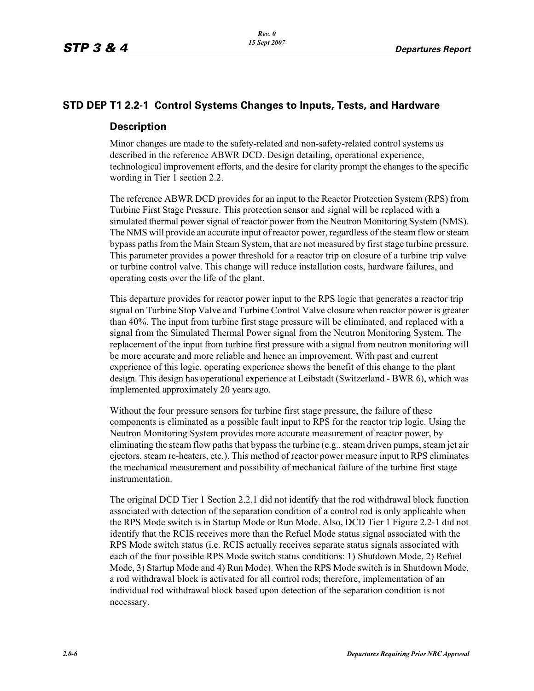#### **STD DEP T1 2.2-1 Control Systems Changes to Inputs, Tests, and Hardware**

#### **Description**

Minor changes are made to the safety-related and non-safety-related control systems as described in the reference ABWR DCD. Design detailing, operational experience, technological improvement efforts, and the desire for clarity prompt the changes to the specific wording in Tier 1 section 2.2.

The reference ABWR DCD provides for an input to the Reactor Protection System (RPS) from Turbine First Stage Pressure. This protection sensor and signal will be replaced with a simulated thermal power signal of reactor power from the Neutron Monitoring System (NMS). The NMS will provide an accurate input of reactor power, regardless of the steam flow or steam bypass paths from the Main Steam System, that are not measured by first stage turbine pressure. This parameter provides a power threshold for a reactor trip on closure of a turbine trip valve or turbine control valve. This change will reduce installation costs, hardware failures, and operating costs over the life of the plant.

This departure provides for reactor power input to the RPS logic that generates a reactor trip signal on Turbine Stop Valve and Turbine Control Valve closure when reactor power is greater than 40%. The input from turbine first stage pressure will be eliminated, and replaced with a signal from the Simulated Thermal Power signal from the Neutron Monitoring System. The replacement of the input from turbine first pressure with a signal from neutron monitoring will be more accurate and more reliable and hence an improvement. With past and current experience of this logic, operating experience shows the benefit of this change to the plant design. This design has operational experience at Leibstadt (Switzerland - BWR 6), which was implemented approximately 20 years ago.

Without the four pressure sensors for turbine first stage pressure, the failure of these components is eliminated as a possible fault input to RPS for the reactor trip logic. Using the Neutron Monitoring System provides more accurate measurement of reactor power, by eliminating the steam flow paths that bypass the turbine (e.g., steam driven pumps, steam jet air ejectors, steam re-heaters, etc.). This method of reactor power measure input to RPS eliminates the mechanical measurement and possibility of mechanical failure of the turbine first stage instrumentation.

The original DCD Tier 1 Section 2.2.1 did not identify that the rod withdrawal block function associated with detection of the separation condition of a control rod is only applicable when the RPS Mode switch is in Startup Mode or Run Mode. Also, DCD Tier 1 Figure 2.2-1 did not identify that the RCIS receives more than the Refuel Mode status signal associated with the RPS Mode switch status (i.e. RCIS actually receives separate status signals associated with each of the four possible RPS Mode switch status conditions: 1) Shutdown Mode, 2) Refuel Mode, 3) Startup Mode and 4) Run Mode). When the RPS Mode switch is in Shutdown Mode, a rod withdrawal block is activated for all control rods; therefore, implementation of an individual rod withdrawal block based upon detection of the separation condition is not necessary.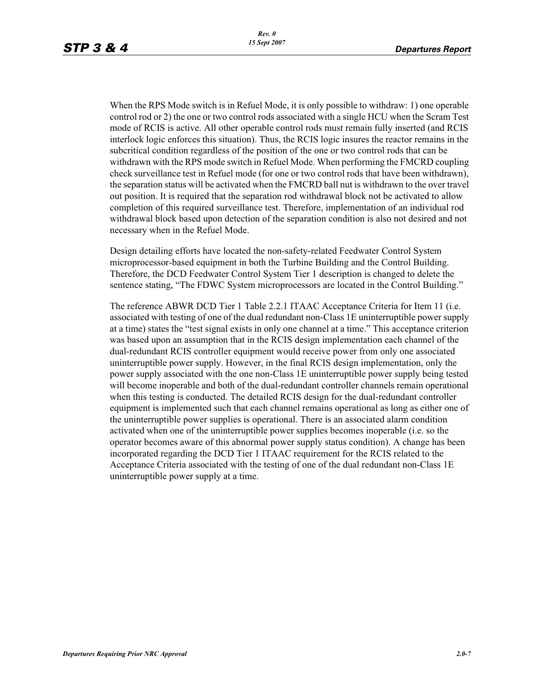When the RPS Mode switch is in Refuel Mode, it is only possible to withdraw: 1) one operable control rod or 2) the one or two control rods associated with a single HCU when the Scram Test mode of RCIS is active. All other operable control rods must remain fully inserted (and RCIS interlock logic enforces this situation). Thus, the RCIS logic insures the reactor remains in the subcritical condition regardless of the position of the one or two control rods that can be withdrawn with the RPS mode switch in Refuel Mode. When performing the FMCRD coupling check surveillance test in Refuel mode (for one or two control rods that have been withdrawn), the separation status will be activated when the FMCRD ball nut is withdrawn to the over travel out position. It is required that the separation rod withdrawal block not be activated to allow completion of this required surveillance test. Therefore, implementation of an individual rod withdrawal block based upon detection of the separation condition is also not desired and not necessary when in the Refuel Mode.

Design detailing efforts have located the non-safety-related Feedwater Control System microprocessor-based equipment in both the Turbine Building and the Control Building. Therefore, the DCD Feedwater Control System Tier 1 description is changed to delete the sentence stating, "The FDWC System microprocessors are located in the Control Building."

The reference ABWR DCD Tier 1 Table 2.2.1 ITAAC Acceptance Criteria for Item 11 (i.e. associated with testing of one of the dual redundant non-Class 1E uninterruptible power supply at a time) states the "test signal exists in only one channel at a time." This acceptance criterion was based upon an assumption that in the RCIS design implementation each channel of the dual-redundant RCIS controller equipment would receive power from only one associated uninterruptible power supply. However, in the final RCIS design implementation, only the power supply associated with the one non-Class 1E uninterruptible power supply being tested will become inoperable and both of the dual-redundant controller channels remain operational when this testing is conducted. The detailed RCIS design for the dual-redundant controller equipment is implemented such that each channel remains operational as long as either one of the uninterruptible power supplies is operational. There is an associated alarm condition activated when one of the uninterruptible power supplies becomes inoperable (i.e. so the operator becomes aware of this abnormal power supply status condition). A change has been incorporated regarding the DCD Tier 1 ITAAC requirement for the RCIS related to the Acceptance Criteria associated with the testing of one of the dual redundant non-Class 1E uninterruptible power supply at a time.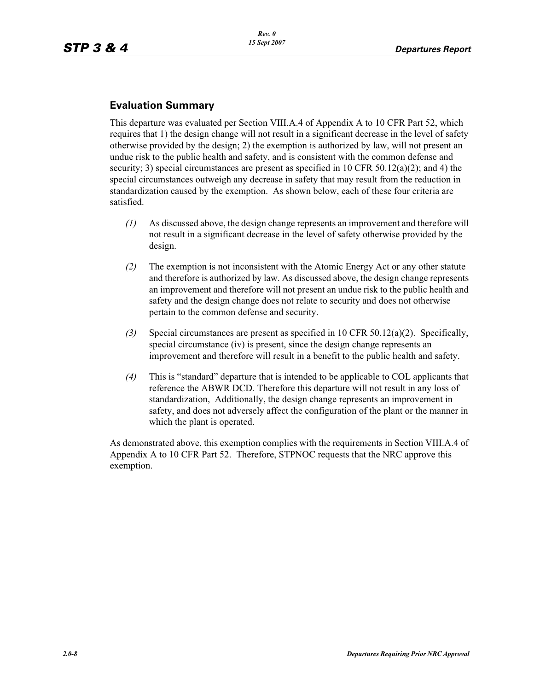## **Evaluation Summary**

This departure was evaluated per Section VIII.A.4 of Appendix A to 10 CFR Part 52, which requires that 1) the design change will not result in a significant decrease in the level of safety otherwise provided by the design; 2) the exemption is authorized by law, will not present an undue risk to the public health and safety, and is consistent with the common defense and security; 3) special circumstances are present as specified in 10 CFR 50.12(a)(2); and 4) the special circumstances outweigh any decrease in safety that may result from the reduction in standardization caused by the exemption. As shown below, each of these four criteria are satisfied.

- *(1)* As discussed above, the design change represents an improvement and therefore will not result in a significant decrease in the level of safety otherwise provided by the design.
- *(2)* The exemption is not inconsistent with the Atomic Energy Act or any other statute and therefore is authorized by law. As discussed above, the design change represents an improvement and therefore will not present an undue risk to the public health and safety and the design change does not relate to security and does not otherwise pertain to the common defense and security.
- *(3)* Special circumstances are present as specified in 10 CFR 50.12(a)(2). Specifically, special circumstance (iv) is present, since the design change represents an improvement and therefore will result in a benefit to the public health and safety.
- *(4)* This is "standard" departure that is intended to be applicable to COL applicants that reference the ABWR DCD. Therefore this departure will not result in any loss of standardization, Additionally, the design change represents an improvement in safety, and does not adversely affect the configuration of the plant or the manner in which the plant is operated.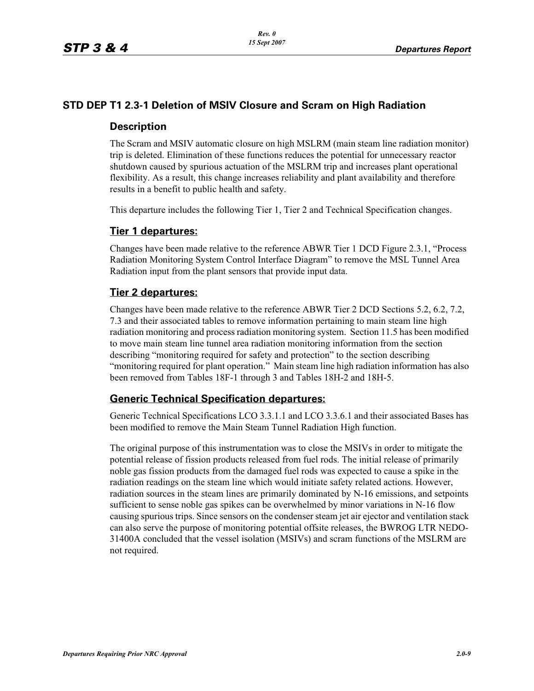## **STD DEP T1 2.3-1 Deletion of MSIV Closure and Scram on High Radiation**

#### **Description**

The Scram and MSIV automatic closure on high MSLRM (main steam line radiation monitor) trip is deleted. Elimination of these functions reduces the potential for unnecessary reactor shutdown caused by spurious actuation of the MSLRM trip and increases plant operational flexibility. As a result, this change increases reliability and plant availability and therefore results in a benefit to public health and safety.

This departure includes the following Tier 1, Tier 2 and Technical Specification changes.

#### **Tier 1 departures:**

Changes have been made relative to the reference ABWR Tier 1 DCD Figure 2.3.1, "Process Radiation Monitoring System Control Interface Diagram" to remove the MSL Tunnel Area Radiation input from the plant sensors that provide input data.

#### **Tier 2 departures:**

Changes have been made relative to the reference ABWR Tier 2 DCD Sections 5.2, 6.2, 7.2, 7.3 and their associated tables to remove information pertaining to main steam line high radiation monitoring and process radiation monitoring system. Section 11.5 has been modified to move main steam line tunnel area radiation monitoring information from the section describing "monitoring required for safety and protection" to the section describing "monitoring required for plant operation." Main steam line high radiation information has also been removed from Tables 18F-1 through 3 and Tables 18H-2 and 18H-5.

#### **Generic Technical Specification departures:**

Generic Technical Specifications LCO 3.3.1.1 and LCO 3.3.6.1 and their associated Bases has been modified to remove the Main Steam Tunnel Radiation High function.

The original purpose of this instrumentation was to close the MSIVs in order to mitigate the potential release of fission products released from fuel rods. The initial release of primarily noble gas fission products from the damaged fuel rods was expected to cause a spike in the radiation readings on the steam line which would initiate safety related actions. However, radiation sources in the steam lines are primarily dominated by N-16 emissions, and setpoints sufficient to sense noble gas spikes can be overwhelmed by minor variations in N-16 flow causing spurious trips. Since sensors on the condenser steam jet air ejector and ventilation stack can also serve the purpose of monitoring potential offsite releases, the BWROG LTR NEDO-31400A concluded that the vessel isolation (MSIVs) and scram functions of the MSLRM are not required.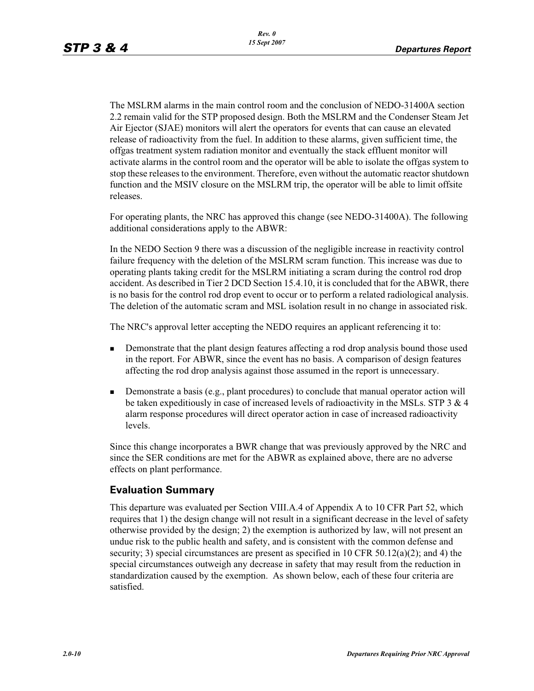The MSLRM alarms in the main control room and the conclusion of NEDO-31400A section 2.2 remain valid for the STP proposed design. Both the MSLRM and the Condenser Steam Jet Air Ejector (SJAE) monitors will alert the operators for events that can cause an elevated release of radioactivity from the fuel. In addition to these alarms, given sufficient time, the offgas treatment system radiation monitor and eventually the stack effluent monitor will activate alarms in the control room and the operator will be able to isolate the offgas system to stop these releases to the environment. Therefore, even without the automatic reactor shutdown function and the MSIV closure on the MSLRM trip, the operator will be able to limit offsite releases.

For operating plants, the NRC has approved this change (see NEDO-31400A). The following additional considerations apply to the ABWR:

In the NEDO Section 9 there was a discussion of the negligible increase in reactivity control failure frequency with the deletion of the MSLRM scram function. This increase was due to operating plants taking credit for the MSLRM initiating a scram during the control rod drop accident. As described in Tier 2 DCD Section 15.4.10, it is concluded that for the ABWR, there is no basis for the control rod drop event to occur or to perform a related radiological analysis. The deletion of the automatic scram and MSL isolation result in no change in associated risk.

The NRC's approval letter accepting the NEDO requires an applicant referencing it to:

- - Demonstrate that the plant design features affecting a rod drop analysis bound those used in the report. For ABWR, since the event has no basis. A comparison of design features affecting the rod drop analysis against those assumed in the report is unnecessary.
- - Demonstrate a basis (e.g., plant procedures) to conclude that manual operator action will be taken expeditiously in case of increased levels of radioactivity in the MSLs. STP 3 & 4 alarm response procedures will direct operator action in case of increased radioactivity levels.

Since this change incorporates a BWR change that was previously approved by the NRC and since the SER conditions are met for the ABWR as explained above, there are no adverse effects on plant performance.

#### **Evaluation Summary**

This departure was evaluated per Section VIII.A.4 of Appendix A to 10 CFR Part 52, which requires that 1) the design change will not result in a significant decrease in the level of safety otherwise provided by the design; 2) the exemption is authorized by law, will not present an undue risk to the public health and safety, and is consistent with the common defense and security; 3) special circumstances are present as specified in 10 CFR 50.12(a)(2); and 4) the special circumstances outweigh any decrease in safety that may result from the reduction in standardization caused by the exemption. As shown below, each of these four criteria are satisfied.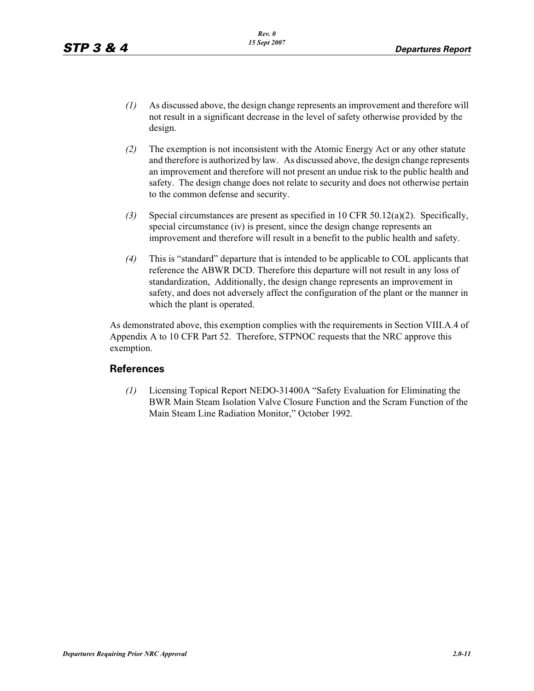- *(1)* As discussed above, the design change represents an improvement and therefore will not result in a significant decrease in the level of safety otherwise provided by the design.
- *(2)* The exemption is not inconsistent with the Atomic Energy Act or any other statute and therefore is authorized by law. As discussed above, the design change represents an improvement and therefore will not present an undue risk to the public health and safety. The design change does not relate to security and does not otherwise pertain to the common defense and security.
- *(3)* Special circumstances are present as specified in 10 CFR 50.12(a)(2). Specifically, special circumstance (iv) is present, since the design change represents an improvement and therefore will result in a benefit to the public health and safety.
- *(4)* This is "standard" departure that is intended to be applicable to COL applicants that reference the ABWR DCD. Therefore this departure will not result in any loss of standardization, Additionally, the design change represents an improvement in safety, and does not adversely affect the configuration of the plant or the manner in which the plant is operated.

As demonstrated above, this exemption complies with the requirements in Section VIII.A.4 of Appendix A to 10 CFR Part 52. Therefore, STPNOC requests that the NRC approve this exemption.

#### **References**

*(1)* Licensing Topical Report NEDO-31400A "Safety Evaluation for Eliminating the BWR Main Steam Isolation Valve Closure Function and the Scram Function of the Main Steam Line Radiation Monitor," October 1992.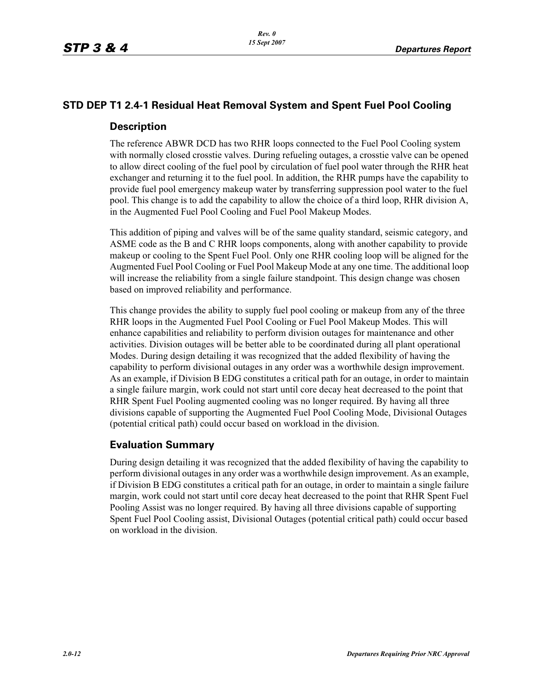## **STD DEP T1 2.4-1 Residual Heat Removal System and Spent Fuel Pool Cooling**

#### **Description**

The reference ABWR DCD has two RHR loops connected to the Fuel Pool Cooling system with normally closed crosstie valves. During refueling outages, a crosstie valve can be opened to allow direct cooling of the fuel pool by circulation of fuel pool water through the RHR heat exchanger and returning it to the fuel pool. In addition, the RHR pumps have the capability to provide fuel pool emergency makeup water by transferring suppression pool water to the fuel pool. This change is to add the capability to allow the choice of a third loop, RHR division A, in the Augmented Fuel Pool Cooling and Fuel Pool Makeup Modes.

This addition of piping and valves will be of the same quality standard, seismic category, and ASME code as the B and C RHR loops components, along with another capability to provide makeup or cooling to the Spent Fuel Pool. Only one RHR cooling loop will be aligned for the Augmented Fuel Pool Cooling or Fuel Pool Makeup Mode at any one time. The additional loop will increase the reliability from a single failure standpoint. This design change was chosen based on improved reliability and performance.

This change provides the ability to supply fuel pool cooling or makeup from any of the three RHR loops in the Augmented Fuel Pool Cooling or Fuel Pool Makeup Modes. This will enhance capabilities and reliability to perform division outages for maintenance and other activities. Division outages will be better able to be coordinated during all plant operational Modes. During design detailing it was recognized that the added flexibility of having the capability to perform divisional outages in any order was a worthwhile design improvement. As an example, if Division B EDG constitutes a critical path for an outage, in order to maintain a single failure margin, work could not start until core decay heat decreased to the point that RHR Spent Fuel Pooling augmented cooling was no longer required. By having all three divisions capable of supporting the Augmented Fuel Pool Cooling Mode, Divisional Outages (potential critical path) could occur based on workload in the division.

#### **Evaluation Summary**

During design detailing it was recognized that the added flexibility of having the capability to perform divisional outages in any order was a worthwhile design improvement. As an example, if Division B EDG constitutes a critical path for an outage, in order to maintain a single failure margin, work could not start until core decay heat decreased to the point that RHR Spent Fuel Pooling Assist was no longer required. By having all three divisions capable of supporting Spent Fuel Pool Cooling assist, Divisional Outages (potential critical path) could occur based on workload in the division.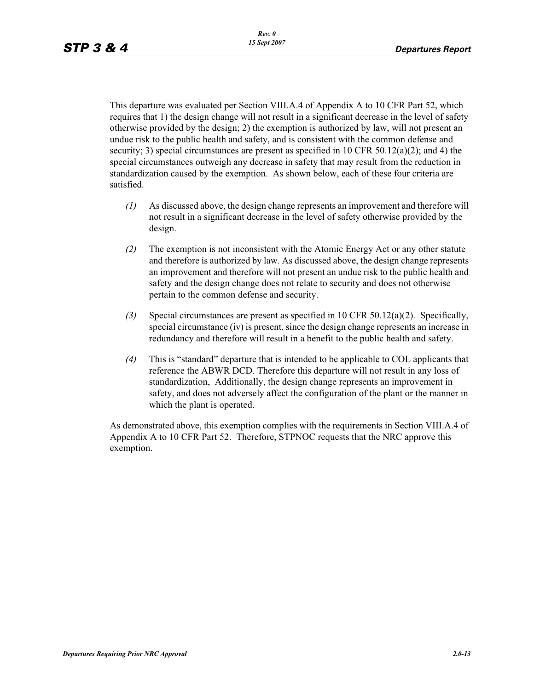This departure was evaluated per Section VIII.A.4 of Appendix A to 10 CFR Part 52, which requires that 1) the design change will not result in a significant decrease in the level of safety otherwise provided by the design; 2) the exemption is authorized by law, will not present an undue risk to the public health and safety, and is consistent with the common defense and security; 3) special circumstances are present as specified in 10 CFR 50.12(a)(2); and 4) the special circumstances outweigh any decrease in safety that may result from the reduction in standardization caused by the exemption. As shown below, each of these four criteria are satisfied.

- *(1)* As discussed above, the design change represents an improvement and therefore will not result in a significant decrease in the level of safety otherwise provided by the design.
- *(2)* The exemption is not inconsistent with the Atomic Energy Act or any other statute and therefore is authorized by law. As discussed above, the design change represents an improvement and therefore will not present an undue risk to the public health and safety and the design change does not relate to security and does not otherwise pertain to the common defense and security.
- *(3)* Special circumstances are present as specified in 10 CFR 50.12(a)(2). Specifically, special circumstance (iv) is present, since the design change represents an increase in redundancy and therefore will result in a benefit to the public health and safety.
- *(4)* This is "standard" departure that is intended to be applicable to COL applicants that reference the ABWR DCD. Therefore this departure will not result in any loss of standardization, Additionally, the design change represents an improvement in safety, and does not adversely affect the configuration of the plant or the manner in which the plant is operated.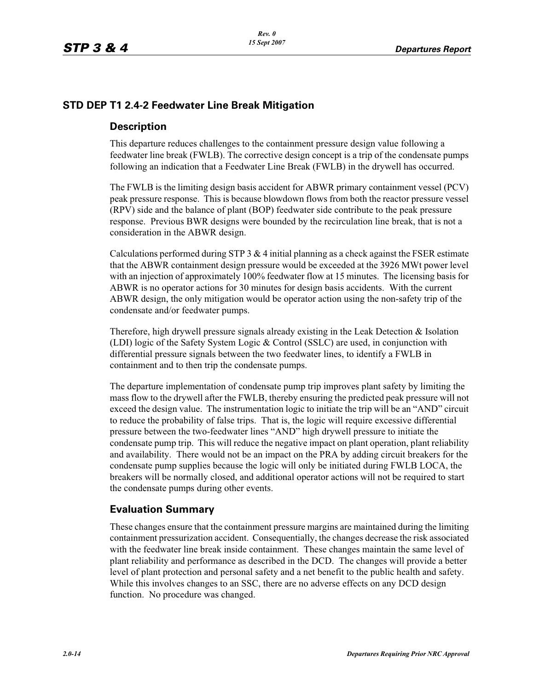## **STD DEP T1 2.4-2 Feedwater Line Break Mitigation**

#### **Description**

This departure reduces challenges to the containment pressure design value following a feedwater line break (FWLB). The corrective design concept is a trip of the condensate pumps following an indication that a Feedwater Line Break (FWLB) in the drywell has occurred.

The FWLB is the limiting design basis accident for ABWR primary containment vessel (PCV) peak pressure response. This is because blowdown flows from both the reactor pressure vessel (RPV) side and the balance of plant (BOP) feedwater side contribute to the peak pressure response. Previous BWR designs were bounded by the recirculation line break, that is not a consideration in the ABWR design.

Calculations performed during STP 3  $&$  4 initial planning as a check against the FSER estimate that the ABWR containment design pressure would be exceeded at the 3926 MWt power level with an injection of approximately 100% feedwater flow at 15 minutes. The licensing basis for ABWR is no operator actions for 30 minutes for design basis accidents. With the current ABWR design, the only mitigation would be operator action using the non-safety trip of the condensate and/or feedwater pumps.

Therefore, high drywell pressure signals already existing in the Leak Detection & Isolation (LDI) logic of the Safety System Logic & Control (SSLC) are used, in conjunction with differential pressure signals between the two feedwater lines, to identify a FWLB in containment and to then trip the condensate pumps.

The departure implementation of condensate pump trip improves plant safety by limiting the mass flow to the drywell after the FWLB, thereby ensuring the predicted peak pressure will not exceed the design value. The instrumentation logic to initiate the trip will be an "AND" circuit to reduce the probability of false trips. That is, the logic will require excessive differential pressure between the two-feedwater lines "AND" high drywell pressure to initiate the condensate pump trip. This will reduce the negative impact on plant operation, plant reliability and availability. There would not be an impact on the PRA by adding circuit breakers for the condensate pump supplies because the logic will only be initiated during FWLB LOCA, the breakers will be normally closed, and additional operator actions will not be required to start the condensate pumps during other events.

#### **Evaluation Summary**

These changes ensure that the containment pressure margins are maintained during the limiting containment pressurization accident. Consequentially, the changes decrease the risk associated with the feedwater line break inside containment. These changes maintain the same level of plant reliability and performance as described in the DCD. The changes will provide a better level of plant protection and personal safety and a net benefit to the public health and safety. While this involves changes to an SSC, there are no adverse effects on any DCD design function. No procedure was changed.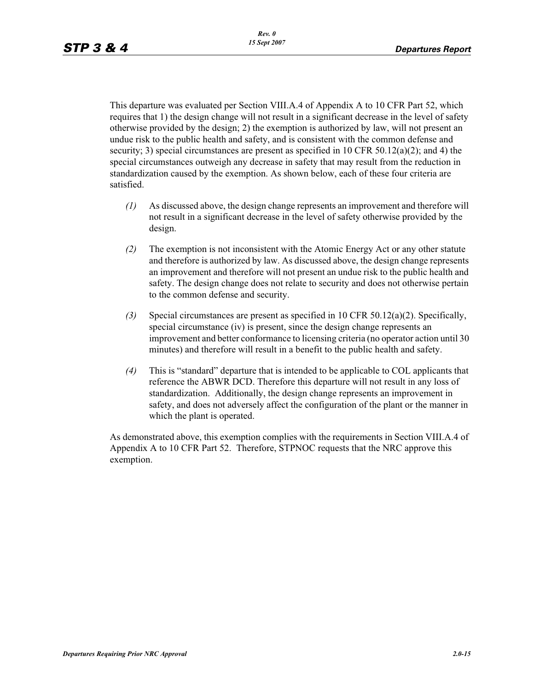This departure was evaluated per Section VIII.A.4 of Appendix A to 10 CFR Part 52, which requires that 1) the design change will not result in a significant decrease in the level of safety otherwise provided by the design; 2) the exemption is authorized by law, will not present an undue risk to the public health and safety, and is consistent with the common defense and security; 3) special circumstances are present as specified in 10 CFR 50.12(a)(2); and 4) the special circumstances outweigh any decrease in safety that may result from the reduction in standardization caused by the exemption. As shown below, each of these four criteria are satisfied.

- *(1)* As discussed above, the design change represents an improvement and therefore will not result in a significant decrease in the level of safety otherwise provided by the design.
- *(2)* The exemption is not inconsistent with the Atomic Energy Act or any other statute and therefore is authorized by law. As discussed above, the design change represents an improvement and therefore will not present an undue risk to the public health and safety. The design change does not relate to security and does not otherwise pertain to the common defense and security.
- *(3)* Special circumstances are present as specified in 10 CFR 50.12(a)(2). Specifically, special circumstance (iv) is present, since the design change represents an improvement and better conformance to licensing criteria (no operator action until 30 minutes) and therefore will result in a benefit to the public health and safety.
- *(4)* This is "standard" departure that is intended to be applicable to COL applicants that reference the ABWR DCD. Therefore this departure will not result in any loss of standardization. Additionally, the design change represents an improvement in safety, and does not adversely affect the configuration of the plant or the manner in which the plant is operated.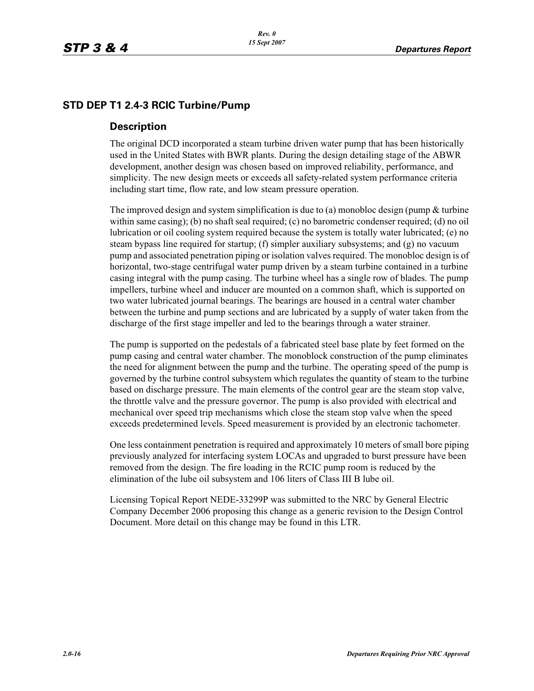## **STD DEP T1 2.4-3 RCIC Turbine/Pump**

#### **Description**

The original DCD incorporated a steam turbine driven water pump that has been historically used in the United States with BWR plants. During the design detailing stage of the ABWR development, another design was chosen based on improved reliability, performance, and simplicity. The new design meets or exceeds all safety-related system performance criteria including start time, flow rate, and low steam pressure operation.

The improved design and system simplification is due to (a) monobloc design (pump  $&$  turbine within same casing); (b) no shaft seal required; (c) no barometric condenser required; (d) no oil lubrication or oil cooling system required because the system is totally water lubricated; (e) no steam bypass line required for startup; (f) simpler auxiliary subsystems; and (g) no vacuum pump and associated penetration piping or isolation valves required. The monobloc design is of horizontal, two-stage centrifugal water pump driven by a steam turbine contained in a turbine casing integral with the pump casing. The turbine wheel has a single row of blades. The pump impellers, turbine wheel and inducer are mounted on a common shaft, which is supported on two water lubricated journal bearings. The bearings are housed in a central water chamber between the turbine and pump sections and are lubricated by a supply of water taken from the discharge of the first stage impeller and led to the bearings through a water strainer.

The pump is supported on the pedestals of a fabricated steel base plate by feet formed on the pump casing and central water chamber. The monoblock construction of the pump eliminates the need for alignment between the pump and the turbine. The operating speed of the pump is governed by the turbine control subsystem which regulates the quantity of steam to the turbine based on discharge pressure. The main elements of the control gear are the steam stop valve, the throttle valve and the pressure governor. The pump is also provided with electrical and mechanical over speed trip mechanisms which close the steam stop valve when the speed exceeds predetermined levels. Speed measurement is provided by an electronic tachometer.

One less containment penetration is required and approximately 10 meters of small bore piping previously analyzed for interfacing system LOCAs and upgraded to burst pressure have been removed from the design. The fire loading in the RCIC pump room is reduced by the elimination of the lube oil subsystem and 106 liters of Class III B lube oil.

Licensing Topical Report NEDE-33299P was submitted to the NRC by General Electric Company December 2006 proposing this change as a generic revision to the Design Control Document. More detail on this change may be found in this LTR.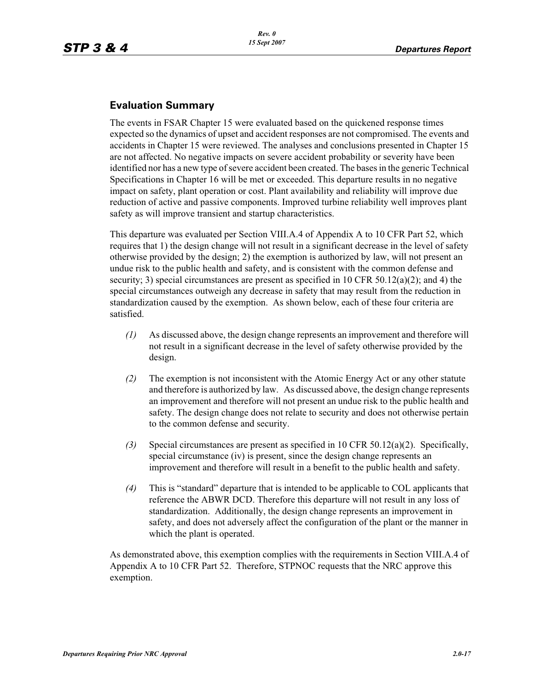## **Evaluation Summary**

The events in FSAR Chapter 15 were evaluated based on the quickened response times expected so the dynamics of upset and accident responses are not compromised. The events and accidents in Chapter 15 were reviewed. The analyses and conclusions presented in Chapter 15 are not affected. No negative impacts on severe accident probability or severity have been identified nor has a new type of severe accident been created. The bases in the generic Technical Specifications in Chapter 16 will be met or exceeded. This departure results in no negative impact on safety, plant operation or cost. Plant availability and reliability will improve due reduction of active and passive components. Improved turbine reliability well improves plant safety as will improve transient and startup characteristics.

This departure was evaluated per Section VIII.A.4 of Appendix A to 10 CFR Part 52, which requires that 1) the design change will not result in a significant decrease in the level of safety otherwise provided by the design; 2) the exemption is authorized by law, will not present an undue risk to the public health and safety, and is consistent with the common defense and security; 3) special circumstances are present as specified in 10 CFR 50.12(a)(2); and 4) the special circumstances outweigh any decrease in safety that may result from the reduction in standardization caused by the exemption. As shown below, each of these four criteria are satisfied.

- *(1)* As discussed above, the design change represents an improvement and therefore will not result in a significant decrease in the level of safety otherwise provided by the design.
- *(2)* The exemption is not inconsistent with the Atomic Energy Act or any other statute and therefore is authorized by law. As discussed above, the design change represents an improvement and therefore will not present an undue risk to the public health and safety. The design change does not relate to security and does not otherwise pertain to the common defense and security.
- *(3)* Special circumstances are present as specified in 10 CFR 50.12(a)(2). Specifically, special circumstance (iv) is present, since the design change represents an improvement and therefore will result in a benefit to the public health and safety.
- *(4)* This is "standard" departure that is intended to be applicable to COL applicants that reference the ABWR DCD. Therefore this departure will not result in any loss of standardization. Additionally, the design change represents an improvement in safety, and does not adversely affect the configuration of the plant or the manner in which the plant is operated.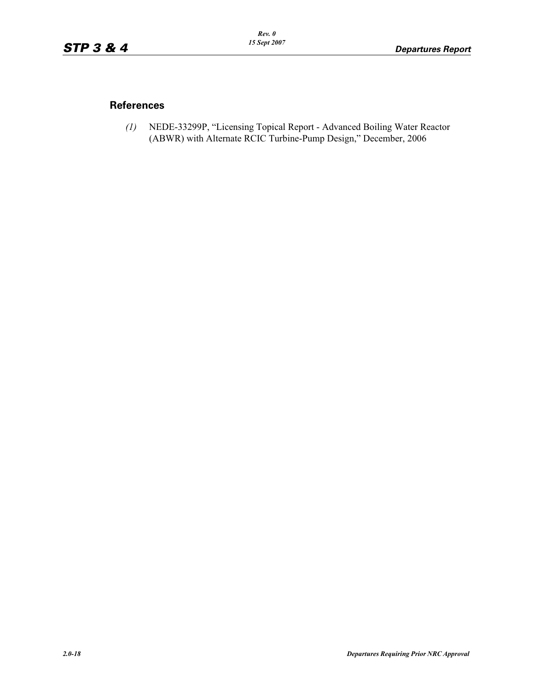#### **References**

*(1)* NEDE-33299P, "Licensing Topical Report - Advanced Boiling Water Reactor (ABWR) with Alternate RCIC Turbine-Pump Design," December, 2006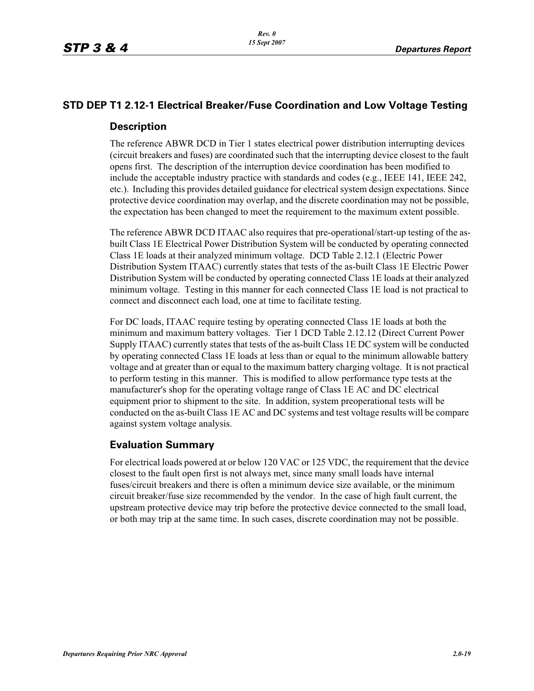## **STD DEP T1 2.12-1 Electrical Breaker/Fuse Coordination and Low Voltage Testing**

#### **Description**

The reference ABWR DCD in Tier 1 states electrical power distribution interrupting devices (circuit breakers and fuses) are coordinated such that the interrupting device closest to the fault opens first. The description of the interruption device coordination has been modified to include the acceptable industry practice with standards and codes (e.g., IEEE 141, IEEE 242, etc.). Including this provides detailed guidance for electrical system design expectations. Since protective device coordination may overlap, and the discrete coordination may not be possible, the expectation has been changed to meet the requirement to the maximum extent possible.

The reference ABWR DCD ITAAC also requires that pre-operational/start-up testing of the asbuilt Class 1E Electrical Power Distribution System will be conducted by operating connected Class 1E loads at their analyzed minimum voltage. DCD Table 2.12.1 (Electric Power Distribution System ITAAC) currently states that tests of the as-built Class 1E Electric Power Distribution System will be conducted by operating connected Class 1E loads at their analyzed minimum voltage. Testing in this manner for each connected Class 1E load is not practical to connect and disconnect each load, one at time to facilitate testing.

For DC loads, ITAAC require testing by operating connected Class 1E loads at both the minimum and maximum battery voltages. Tier 1 DCD Table 2.12.12 (Direct Current Power Supply ITAAC) currently states that tests of the as-built Class 1E DC system will be conducted by operating connected Class 1E loads at less than or equal to the minimum allowable battery voltage and at greater than or equal to the maximum battery charging voltage. It is not practical to perform testing in this manner. This is modified to allow performance type tests at the manufacturer's shop for the operating voltage range of Class 1E AC and DC electrical equipment prior to shipment to the site. In addition, system preoperational tests will be conducted on the as-built Class 1E AC and DC systems and test voltage results will be compare against system voltage analysis.

#### **Evaluation Summary**

For electrical loads powered at or below 120 VAC or 125 VDC, the requirement that the device closest to the fault open first is not always met, since many small loads have internal fuses/circuit breakers and there is often a minimum device size available, or the minimum circuit breaker/fuse size recommended by the vendor. In the case of high fault current, the upstream protective device may trip before the protective device connected to the small load, or both may trip at the same time. In such cases, discrete coordination may not be possible.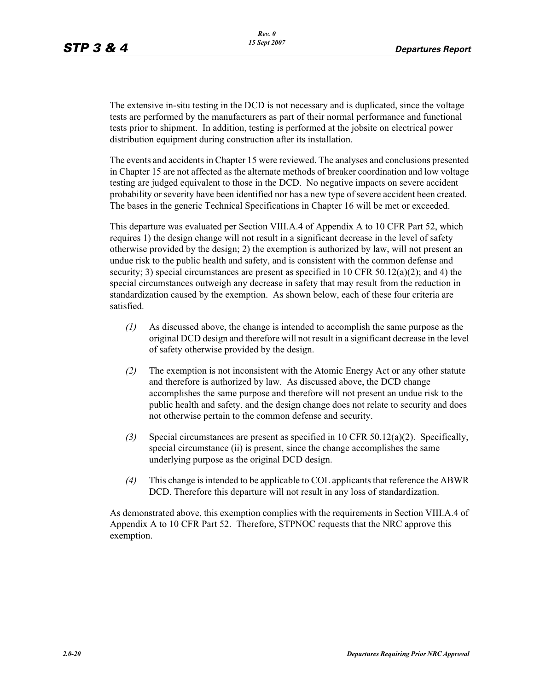The extensive in-situ testing in the DCD is not necessary and is duplicated, since the voltage tests are performed by the manufacturers as part of their normal performance and functional tests prior to shipment. In addition, testing is performed at the jobsite on electrical power distribution equipment during construction after its installation.

The events and accidents in Chapter 15 were reviewed. The analyses and conclusions presented in Chapter 15 are not affected as the alternate methods of breaker coordination and low voltage testing are judged equivalent to those in the DCD. No negative impacts on severe accident probability or severity have been identified nor has a new type of severe accident been created. The bases in the generic Technical Specifications in Chapter 16 will be met or exceeded.

This departure was evaluated per Section VIII.A.4 of Appendix A to 10 CFR Part 52, which requires 1) the design change will not result in a significant decrease in the level of safety otherwise provided by the design; 2) the exemption is authorized by law, will not present an undue risk to the public health and safety, and is consistent with the common defense and security; 3) special circumstances are present as specified in 10 CFR 50.12(a)(2); and 4) the special circumstances outweigh any decrease in safety that may result from the reduction in standardization caused by the exemption. As shown below, each of these four criteria are satisfied.

- *(1)* As discussed above, the change is intended to accomplish the same purpose as the original DCD design and therefore will not result in a significant decrease in the level of safety otherwise provided by the design.
- *(2)* The exemption is not inconsistent with the Atomic Energy Act or any other statute and therefore is authorized by law. As discussed above, the DCD change accomplishes the same purpose and therefore will not present an undue risk to the public health and safety. and the design change does not relate to security and does not otherwise pertain to the common defense and security.
- *(3)* Special circumstances are present as specified in 10 CFR 50.12(a)(2). Specifically, special circumstance (ii) is present, since the change accomplishes the same underlying purpose as the original DCD design.
- *(4)* This change is intended to be applicable to COL applicants that reference the ABWR DCD. Therefore this departure will not result in any loss of standardization.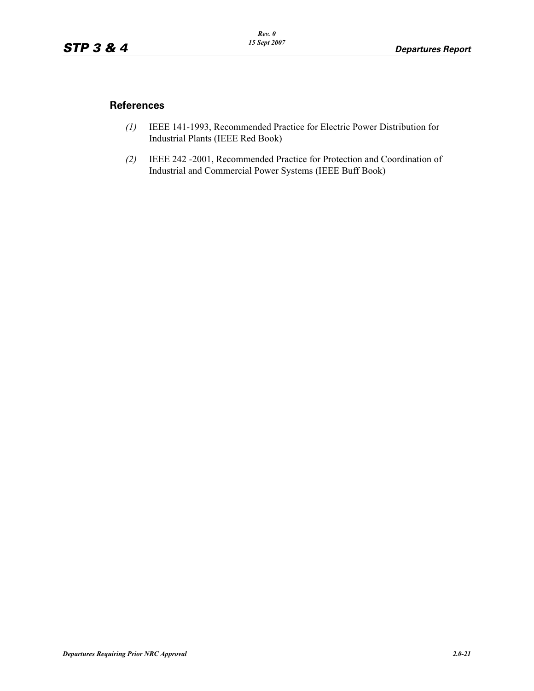#### **References**

- *(1)* IEEE 141-1993, Recommended Practice for Electric Power Distribution for Industrial Plants (IEEE Red Book)
- *(2)* IEEE 242 -2001, Recommended Practice for Protection and Coordination of Industrial and Commercial Power Systems (IEEE Buff Book)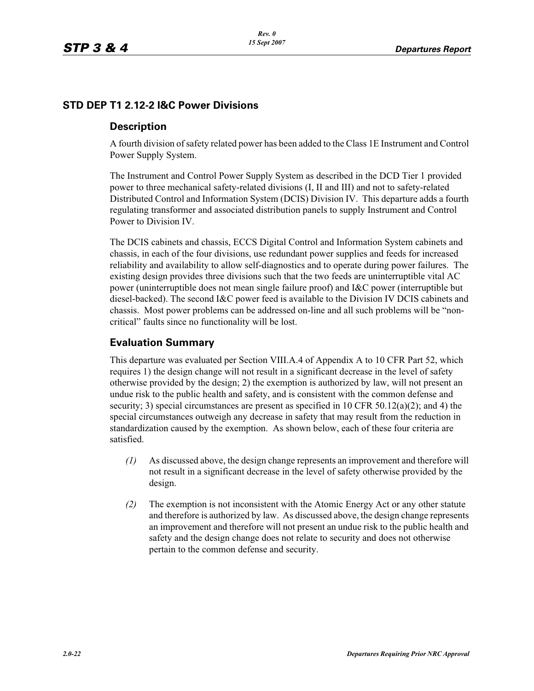## **STD DEP T1 2.12-2 I&C Power Divisions**

#### **Description**

A fourth division of safety related power has been added to the Class 1E Instrument and Control Power Supply System.

The Instrument and Control Power Supply System as described in the DCD Tier 1 provided power to three mechanical safety-related divisions (I, II and III) and not to safety-related Distributed Control and Information System (DCIS) Division IV. This departure adds a fourth regulating transformer and associated distribution panels to supply Instrument and Control Power to Division IV.

The DCIS cabinets and chassis, ECCS Digital Control and Information System cabinets and chassis, in each of the four divisions, use redundant power supplies and feeds for increased reliability and availability to allow self-diagnostics and to operate during power failures. The existing design provides three divisions such that the two feeds are uninterruptible vital AC power (uninterruptible does not mean single failure proof) and I&C power (interruptible but diesel-backed). The second I&C power feed is available to the Division IV DCIS cabinets and chassis. Most power problems can be addressed on-line and all such problems will be "noncritical" faults since no functionality will be lost.

## **Evaluation Summary**

This departure was evaluated per Section VIII.A.4 of Appendix A to 10 CFR Part 52, which requires 1) the design change will not result in a significant decrease in the level of safety otherwise provided by the design; 2) the exemption is authorized by law, will not present an undue risk to the public health and safety, and is consistent with the common defense and security; 3) special circumstances are present as specified in 10 CFR 50.12(a)(2); and 4) the special circumstances outweigh any decrease in safety that may result from the reduction in standardization caused by the exemption. As shown below, each of these four criteria are satisfied.

- *(1)* As discussed above, the design change represents an improvement and therefore will not result in a significant decrease in the level of safety otherwise provided by the design.
- *(2)* The exemption is not inconsistent with the Atomic Energy Act or any other statute and therefore is authorized by law. As discussed above, the design change represents an improvement and therefore will not present an undue risk to the public health and safety and the design change does not relate to security and does not otherwise pertain to the common defense and security.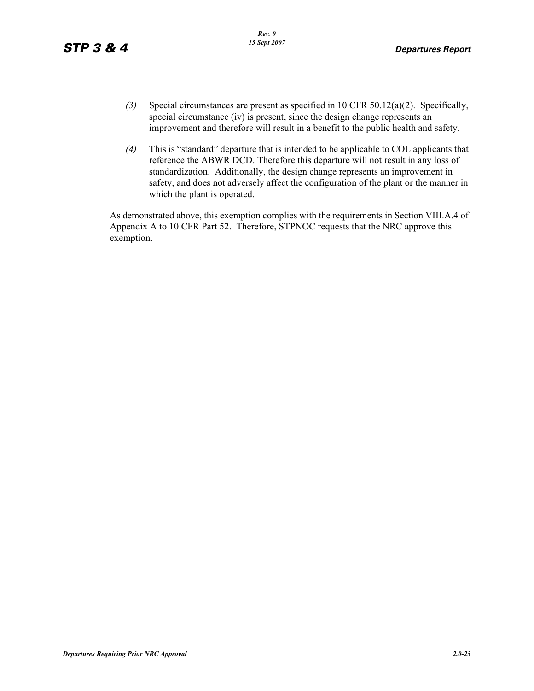- *(3)* Special circumstances are present as specified in 10 CFR 50.12(a)(2). Specifically, special circumstance (iv) is present, since the design change represents an improvement and therefore will result in a benefit to the public health and safety.
- *(4)* This is "standard" departure that is intended to be applicable to COL applicants that reference the ABWR DCD. Therefore this departure will not result in any loss of standardization. Additionally, the design change represents an improvement in safety, and does not adversely affect the configuration of the plant or the manner in which the plant is operated.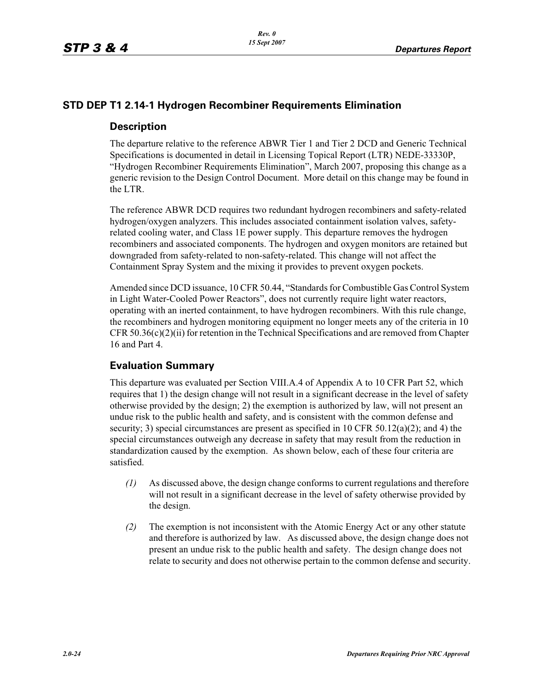#### **STD DEP T1 2.14-1 Hydrogen Recombiner Requirements Elimination**

#### **Description**

The departure relative to the reference ABWR Tier 1 and Tier 2 DCD and Generic Technical Specifications is documented in detail in Licensing Topical Report (LTR) NEDE-33330P, "Hydrogen Recombiner Requirements Elimination", March 2007, proposing this change as a generic revision to the Design Control Document. More detail on this change may be found in the LTR.

The reference ABWR DCD requires two redundant hydrogen recombiners and safety-related hydrogen/oxygen analyzers. This includes associated containment isolation valves, safetyrelated cooling water, and Class 1E power supply. This departure removes the hydrogen recombiners and associated components. The hydrogen and oxygen monitors are retained but downgraded from safety-related to non-safety-related. This change will not affect the Containment Spray System and the mixing it provides to prevent oxygen pockets.

Amended since DCD issuance, 10 CFR 50.44, "Standards for Combustible Gas Control System in Light Water-Cooled Power Reactors", does not currently require light water reactors, operating with an inerted containment, to have hydrogen recombiners. With this rule change, the recombiners and hydrogen monitoring equipment no longer meets any of the criteria in 10  $CFR 50.36(c)(2)(ii)$  for retention in the Technical Specifications and are removed from Chapter 16 and Part 4.

#### **Evaluation Summary**

This departure was evaluated per Section VIII.A.4 of Appendix A to 10 CFR Part 52, which requires that 1) the design change will not result in a significant decrease in the level of safety otherwise provided by the design; 2) the exemption is authorized by law, will not present an undue risk to the public health and safety, and is consistent with the common defense and security; 3) special circumstances are present as specified in 10 CFR 50.12(a)(2); and 4) the special circumstances outweigh any decrease in safety that may result from the reduction in standardization caused by the exemption. As shown below, each of these four criteria are satisfied.

- *(1)* As discussed above, the design change conforms to current regulations and therefore will not result in a significant decrease in the level of safety otherwise provided by the design.
- *(2)* The exemption is not inconsistent with the Atomic Energy Act or any other statute and therefore is authorized by law. As discussed above, the design change does not present an undue risk to the public health and safety. The design change does not relate to security and does not otherwise pertain to the common defense and security.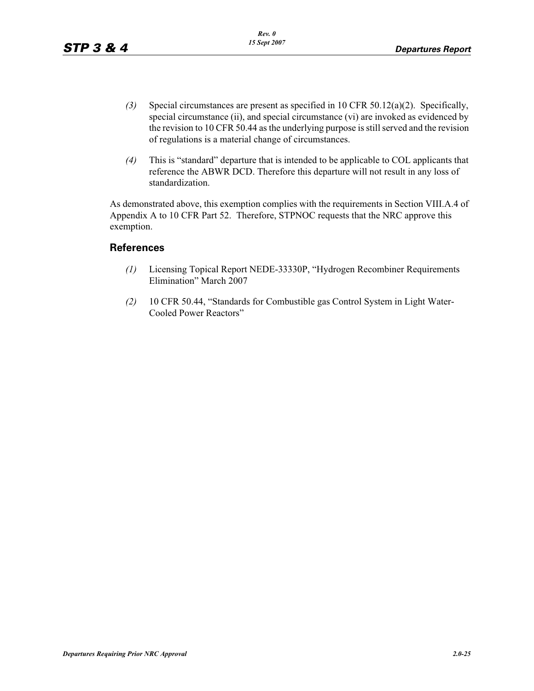- *(3)* Special circumstances are present as specified in 10 CFR 50.12(a)(2). Specifically, special circumstance (ii), and special circumstance (vi) are invoked as evidenced by the revision to 10 CFR 50.44 as the underlying purpose is still served and the revision of regulations is a material change of circumstances.
- *(4)* This is "standard" departure that is intended to be applicable to COL applicants that reference the ABWR DCD. Therefore this departure will not result in any loss of standardization.

As demonstrated above, this exemption complies with the requirements in Section VIII.A.4 of Appendix A to 10 CFR Part 52. Therefore, STPNOC requests that the NRC approve this exemption.

#### **References**

- *(1)* Licensing Topical Report NEDE-33330P, "Hydrogen Recombiner Requirements Elimination" March 2007
- *(2)* 10 CFR 50.44, "Standards for Combustible gas Control System in Light Water-Cooled Power Reactors"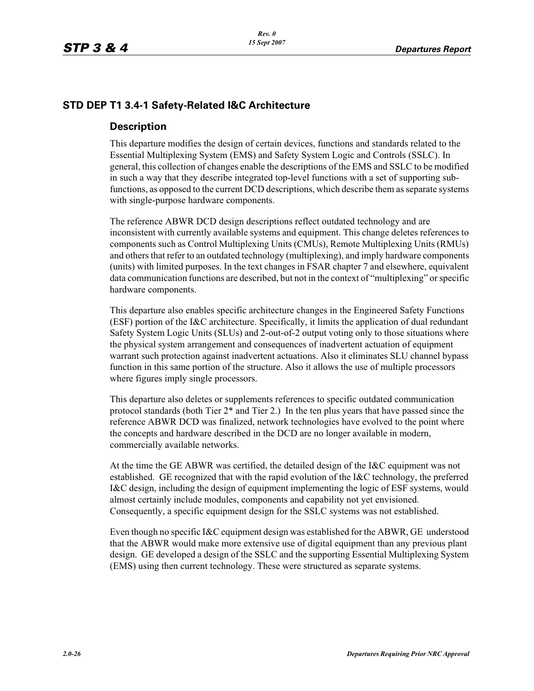## **STD DEP T1 3.4-1 Safety-Related I&C Architecture**

#### **Description**

This departure modifies the design of certain devices, functions and standards related to the Essential Multiplexing System (EMS) and Safety System Logic and Controls (SSLC). In general, this collection of changes enable the descriptions of the EMS and SSLC to be modified in such a way that they describe integrated top-level functions with a set of supporting subfunctions, as opposed to the current DCD descriptions, which describe them as separate systems with single-purpose hardware components.

The reference ABWR DCD design descriptions reflect outdated technology and are inconsistent with currently available systems and equipment. This change deletes references to components such as Control Multiplexing Units (CMUs), Remote Multiplexing Units (RMUs) and others that refer to an outdated technology (multiplexing), and imply hardware components (units) with limited purposes. In the text changes in FSAR chapter 7 and elsewhere, equivalent data communication functions are described, but not in the context of "multiplexing" or specific hardware components.

This departure also enables specific architecture changes in the Engineered Safety Functions (ESF) portion of the I&C architecture. Specifically, it limits the application of dual redundant Safety System Logic Units (SLUs) and 2-out-of-2 output voting only to those situations where the physical system arrangement and consequences of inadvertent actuation of equipment warrant such protection against inadvertent actuations. Also it eliminates SLU channel bypass function in this same portion of the structure. Also it allows the use of multiple processors where figures imply single processors.

This departure also deletes or supplements references to specific outdated communication protocol standards (both Tier 2\* and Tier 2.) In the ten plus years that have passed since the reference ABWR DCD was finalized, network technologies have evolved to the point where the concepts and hardware described in the DCD are no longer available in modern, commercially available networks.

At the time the GE ABWR was certified, the detailed design of the I&C equipment was not established. GE recognized that with the rapid evolution of the I&C technology, the preferred I&C design, including the design of equipment implementing the logic of ESF systems, would almost certainly include modules, components and capability not yet envisioned. Consequently, a specific equipment design for the SSLC systems was not established.

Even though no specific I&C equipment design was established for the ABWR, GE understood that the ABWR would make more extensive use of digital equipment than any previous plant design. GE developed a design of the SSLC and the supporting Essential Multiplexing System (EMS) using then current technology. These were structured as separate systems.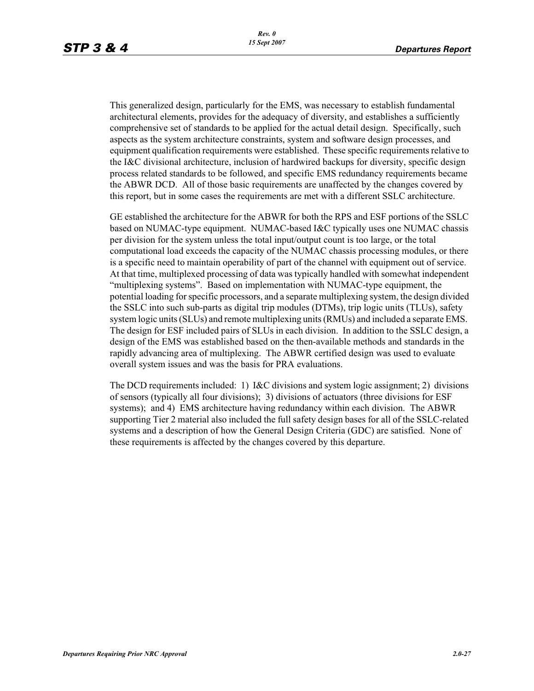This generalized design, particularly for the EMS, was necessary to establish fundamental architectural elements, provides for the adequacy of diversity, and establishes a sufficiently comprehensive set of standards to be applied for the actual detail design. Specifically, such aspects as the system architecture constraints, system and software design processes, and equipment qualification requirements were established. These specific requirements relative to the I&C divisional architecture, inclusion of hardwired backups for diversity, specific design process related standards to be followed, and specific EMS redundancy requirements became the ABWR DCD. All of those basic requirements are unaffected by the changes covered by this report, but in some cases the requirements are met with a different SSLC architecture.

GE established the architecture for the ABWR for both the RPS and ESF portions of the SSLC based on NUMAC-type equipment. NUMAC-based I&C typically uses one NUMAC chassis per division for the system unless the total input/output count is too large, or the total computational load exceeds the capacity of the NUMAC chassis processing modules, or there is a specific need to maintain operability of part of the channel with equipment out of service. At that time, multiplexed processing of data was typically handled with somewhat independent "multiplexing systems". Based on implementation with NUMAC-type equipment, the potential loading for specific processors, and a separate multiplexing system, the design divided the SSLC into such sub-parts as digital trip modules (DTMs), trip logic units (TLUs), safety system logic units (SLUs) and remote multiplexing units (RMUs) and included a separate EMS. The design for ESF included pairs of SLUs in each division. In addition to the SSLC design, a design of the EMS was established based on the then-available methods and standards in the rapidly advancing area of multiplexing. The ABWR certified design was used to evaluate overall system issues and was the basis for PRA evaluations.

The DCD requirements included: 1) I&C divisions and system logic assignment; 2) divisions of sensors (typically all four divisions); 3) divisions of actuators (three divisions for ESF systems); and 4) EMS architecture having redundancy within each division. The ABWR supporting Tier 2 material also included the full safety design bases for all of the SSLC-related systems and a description of how the General Design Criteria (GDC) are satisfied. None of these requirements is affected by the changes covered by this departure.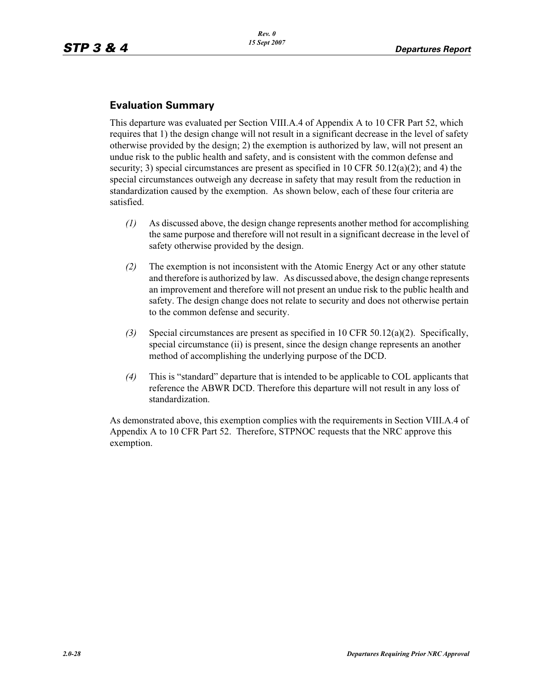## **Evaluation Summary**

This departure was evaluated per Section VIII.A.4 of Appendix A to 10 CFR Part 52, which requires that 1) the design change will not result in a significant decrease in the level of safety otherwise provided by the design; 2) the exemption is authorized by law, will not present an undue risk to the public health and safety, and is consistent with the common defense and security; 3) special circumstances are present as specified in 10 CFR 50.12(a)(2); and 4) the special circumstances outweigh any decrease in safety that may result from the reduction in standardization caused by the exemption. As shown below, each of these four criteria are satisfied.

- *(1)* As discussed above, the design change represents another method for accomplishing the same purpose and therefore will not result in a significant decrease in the level of safety otherwise provided by the design.
- *(2)* The exemption is not inconsistent with the Atomic Energy Act or any other statute and therefore is authorized by law. As discussed above, the design change represents an improvement and therefore will not present an undue risk to the public health and safety. The design change does not relate to security and does not otherwise pertain to the common defense and security.
- *(3)* Special circumstances are present as specified in 10 CFR 50.12(a)(2). Specifically, special circumstance (ii) is present, since the design change represents an another method of accomplishing the underlying purpose of the DCD.
- *(4)* This is "standard" departure that is intended to be applicable to COL applicants that reference the ABWR DCD. Therefore this departure will not result in any loss of standardization.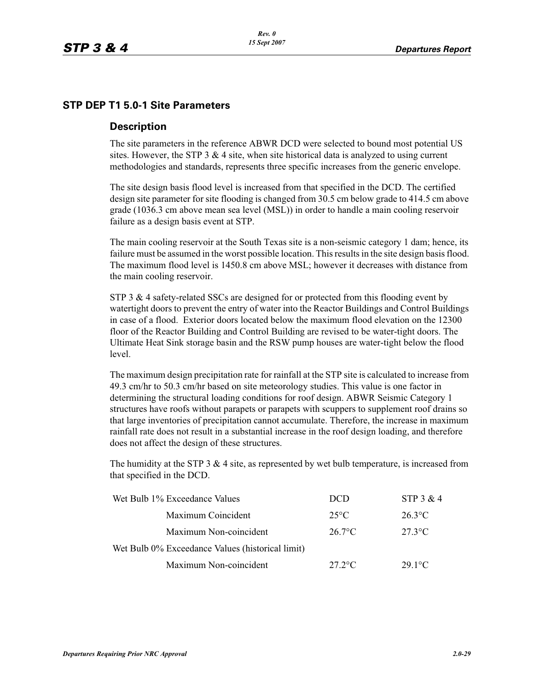#### **STP DEP T1 5.0-1 Site Parameters**

#### **Description**

The site parameters in the reference ABWR DCD were selected to bound most potential US sites. However, the STP  $3 \& 4$  site, when site historical data is analyzed to using current methodologies and standards, represents three specific increases from the generic envelope.

The site design basis flood level is increased from that specified in the DCD. The certified design site parameter for site flooding is changed from 30.5 cm below grade to 414.5 cm above grade (1036.3 cm above mean sea level (MSL)) in order to handle a main cooling reservoir failure as a design basis event at STP.

The main cooling reservoir at the South Texas site is a non-seismic category 1 dam; hence, its failure must be assumed in the worst possible location. This results in the site design basis flood. The maximum flood level is 1450.8 cm above MSL; however it decreases with distance from the main cooling reservoir.

STP 3  $\&$  4 safety-related SSCs are designed for or protected from this flooding event by watertight doors to prevent the entry of water into the Reactor Buildings and Control Buildings in case of a flood. Exterior doors located below the maximum flood elevation on the 12300 floor of the Reactor Building and Control Building are revised to be water-tight doors. The Ultimate Heat Sink storage basin and the RSW pump houses are water-tight below the flood level.

The maximum design precipitation rate for rainfall at the STP site is calculated to increase from 49.3 cm/hr to 50.3 cm/hr based on site meteorology studies. This value is one factor in determining the structural loading conditions for roof design. ABWR Seismic Category 1 structures have roofs without parapets or parapets with scuppers to supplement roof drains so that large inventories of precipitation cannot accumulate. Therefore, the increase in maximum rainfall rate does not result in a substantial increase in the roof design loading, and therefore does not affect the design of these structures.

The humidity at the STP  $3 \& 4$  site, as represented by wet bulb temperature, is increased from that specified in the DCD.

| Wet Bulb 1% Exceedance Values                    | <b>DCD</b>       | STP 3 & 4        |
|--------------------------------------------------|------------------|------------------|
| Maximum Coincident                               | $25^{\circ}$ C   | $26.3^{\circ}$ C |
| Maximum Non-coincident                           | $26.7^{\circ}$ C | $27.3$ °C        |
| Wet Bulb 0% Exceedance Values (historical limit) |                  |                  |
| Maximum Non-coincident                           | $27.2$ °C        | $29.1^{\circ}$ C |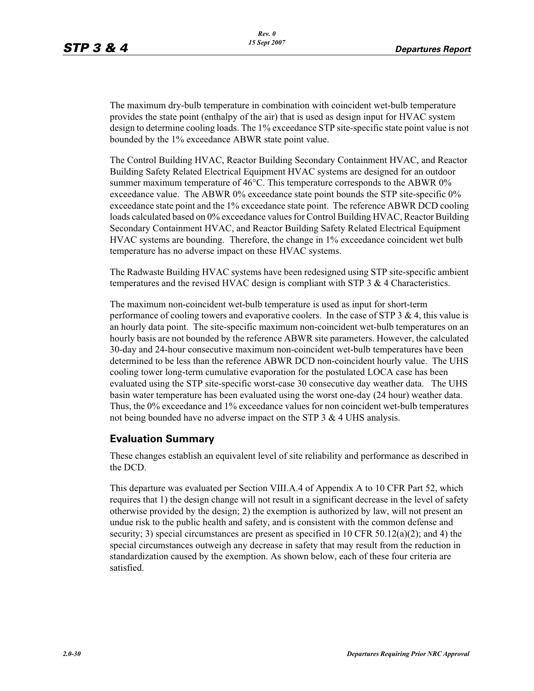The maximum dry-bulb temperature in combination with coincident wet-bulb temperature provides the state point (enthalpy of the air) that is used as design input for HVAC system design to determine cooling loads. The 1% exceedance STP site-specific state point value is not bounded by the 1% exceedance ABWR state point value.

The Control Building HVAC, Reactor Building Secondary Containment HVAC, and Reactor Building Safety Related Electrical Equipment HVAC systems are designed for an outdoor summer maximum temperature of 46°C. This temperature corresponds to the ABWR 0% exceedance value. The ABWR 0% exceedance state point bounds the STP site-specific 0% exceedance state point and the 1% exceedance state point. The reference ABWR DCD cooling loads calculated based on 0% exceedance values for Control Building HVAC, Reactor Building Secondary Containment HVAC, and Reactor Building Safety Related Electrical Equipment HVAC systems are bounding. Therefore, the change in 1% exceedance coincident wet bulb temperature has no adverse impact on these HVAC systems.

The Radwaste Building HVAC systems have been redesigned using STP site-specific ambient temperatures and the revised HVAC design is compliant with STP  $3 \& 4$  Characteristics.

The maximum non-coincident wet-bulb temperature is used as input for short-term performance of cooling towers and evaporative coolers. In the case of STP  $3 \& 4$ , this value is an hourly data point. The site-specific maximum non-coincident wet-bulb temperatures on an hourly basis are not bounded by the reference ABWR site parameters. However, the calculated 30-day and 24-hour consecutive maximum non-coincident wet-bulb temperatures have been determined to be less than the reference ABWR DCD non-coincident hourly value. The UHS cooling tower long-term cumulative evaporation for the postulated LOCA case has been evaluated using the STP site-specific worst-case 30 consecutive day weather data. The UHS basin water temperature has been evaluated using the worst one-day (24 hour) weather data. Thus, the 0% exceedance and 1% exceedance values for non coincident wet-bulb temperatures not being bounded have no adverse impact on the STP 3 & 4 UHS analysis.

#### **Evaluation Summary**

These changes establish an equivalent level of site reliability and performance as described in the DCD.

This departure was evaluated per Section VIII.A.4 of Appendix A to 10 CFR Part 52, which requires that 1) the design change will not result in a significant decrease in the level of safety otherwise provided by the design; 2) the exemption is authorized by law, will not present an undue risk to the public health and safety, and is consistent with the common defense and security; 3) special circumstances are present as specified in 10 CFR 50.12(a)(2); and 4) the special circumstances outweigh any decrease in safety that may result from the reduction in standardization caused by the exemption. As shown below, each of these four criteria are satisfied.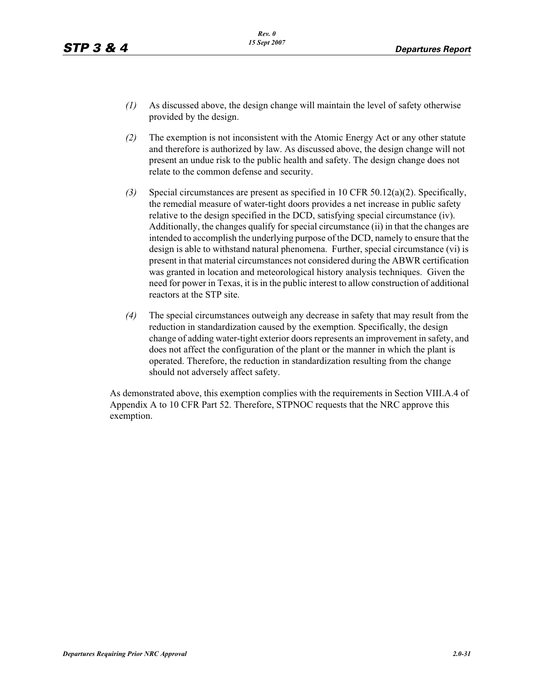- *(1)* As discussed above, the design change will maintain the level of safety otherwise provided by the design.
- *(2)* The exemption is not inconsistent with the Atomic Energy Act or any other statute and therefore is authorized by law. As discussed above, the design change will not present an undue risk to the public health and safety. The design change does not relate to the common defense and security.
- *(3)* Special circumstances are present as specified in 10 CFR 50.12(a)(2). Specifically, the remedial measure of water-tight doors provides a net increase in public safety relative to the design specified in the DCD, satisfying special circumstance (iv). Additionally, the changes qualify for special circumstance (ii) in that the changes are intended to accomplish the underlying purpose of the DCD, namely to ensure that the design is able to withstand natural phenomena. Further, special circumstance (vi) is present in that material circumstances not considered during the ABWR certification was granted in location and meteorological history analysis techniques. Given the need for power in Texas, it is in the public interest to allow construction of additional reactors at the STP site.
- *(4)* The special circumstances outweigh any decrease in safety that may result from the reduction in standardization caused by the exemption. Specifically, the design change of adding water-tight exterior doors represents an improvement in safety, and does not affect the configuration of the plant or the manner in which the plant is operated. Therefore, the reduction in standardization resulting from the change should not adversely affect safety.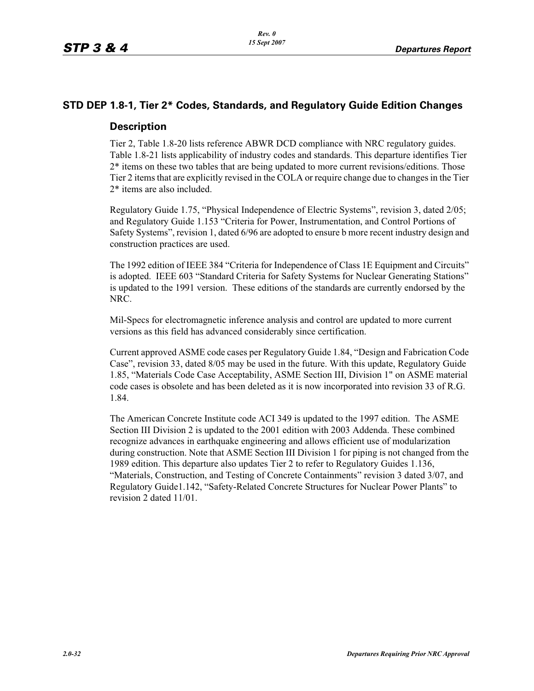## **STD DEP 1.8-1, Tier 2\* Codes, Standards, and Regulatory Guide Edition Changes**

#### **Description**

Tier 2, Table 1.8-20 lists reference ABWR DCD compliance with NRC regulatory guides. Table 1.8-21 lists applicability of industry codes and standards. This departure identifies Tier 2\* items on these two tables that are being updated to more current revisions/editions. Those Tier 2 items that are explicitly revised in the COLA or require change due to changes in the Tier 2\* items are also included.

Regulatory Guide 1.75, "Physical Independence of Electric Systems", revision 3, dated 2/05; and Regulatory Guide 1.153 "Criteria for Power, Instrumentation, and Control Portions of Safety Systems", revision 1, dated 6/96 are adopted to ensure b more recent industry design and construction practices are used.

The 1992 edition of IEEE 384 "Criteria for Independence of Class 1E Equipment and Circuits" is adopted. IEEE 603 "Standard Criteria for Safety Systems for Nuclear Generating Stations" is updated to the 1991 version. These editions of the standards are currently endorsed by the NRC.

Mil-Specs for electromagnetic inference analysis and control are updated to more current versions as this field has advanced considerably since certification.

Current approved ASME code cases per Regulatory Guide 1.84, "Design and Fabrication Code Case", revision 33, dated 8/05 may be used in the future. With this update, Regulatory Guide 1.85, "Materials Code Case Acceptability, ASME Section III, Division 1" on ASME material code cases is obsolete and has been deleted as it is now incorporated into revision 33 of R.G. 1.84.

The American Concrete Institute code ACI 349 is updated to the 1997 edition. The ASME Section III Division 2 is updated to the 2001 edition with 2003 Addenda. These combined recognize advances in earthquake engineering and allows efficient use of modularization during construction. Note that ASME Section III Division 1 for piping is not changed from the 1989 edition. This departure also updates Tier 2 to refer to Regulatory Guides 1.136, "Materials, Construction, and Testing of Concrete Containments" revision 3 dated 3/07, and Regulatory Guide1.142, "Safety-Related Concrete Structures for Nuclear Power Plants" to revision 2 dated 11/01.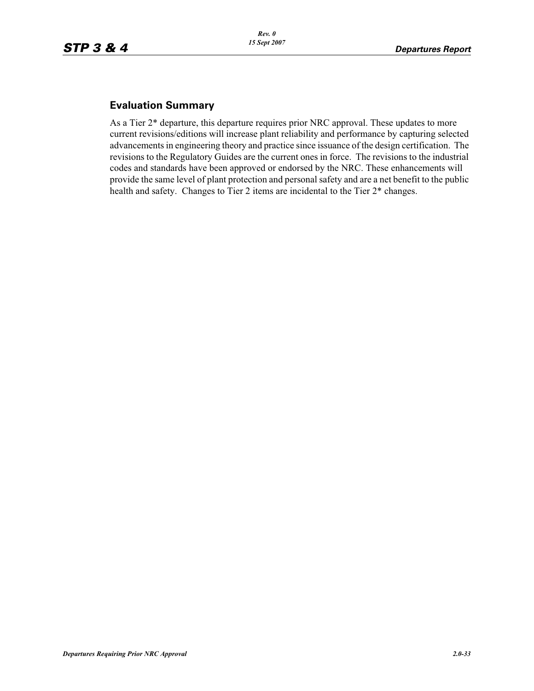## **Evaluation Summary**

As a Tier 2\* departure, this departure requires prior NRC approval. These updates to more current revisions/editions will increase plant reliability and performance by capturing selected advancements in engineering theory and practice since issuance of the design certification. The revisions to the Regulatory Guides are the current ones in force. The revisions to the industrial codes and standards have been approved or endorsed by the NRC. These enhancements will provide the same level of plant protection and personal safety and are a net benefit to the public health and safety. Changes to Tier 2 items are incidental to the Tier  $2^*$  changes.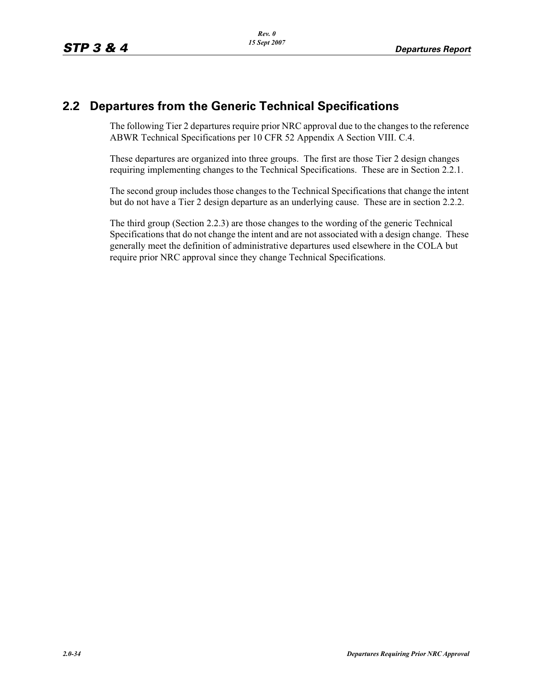## **2.2 Departures from the Generic Technical Specifications**

The following Tier 2 departures require prior NRC approval due to the changes to the reference ABWR Technical Specifications per 10 CFR 52 Appendix A Section VIII. C.4.

These departures are organized into three groups. The first are those Tier 2 design changes requiring implementing changes to the Technical Specifications. These are in Section 2.2.1.

The second group includes those changes to the Technical Specifications that change the intent but do not have a Tier 2 design departure as an underlying cause. These are in section 2.2.2.

The third group (Section 2.2.3) are those changes to the wording of the generic Technical Specifications that do not change the intent and are not associated with a design change. These generally meet the definition of administrative departures used elsewhere in the COLA but require prior NRC approval since they change Technical Specifications.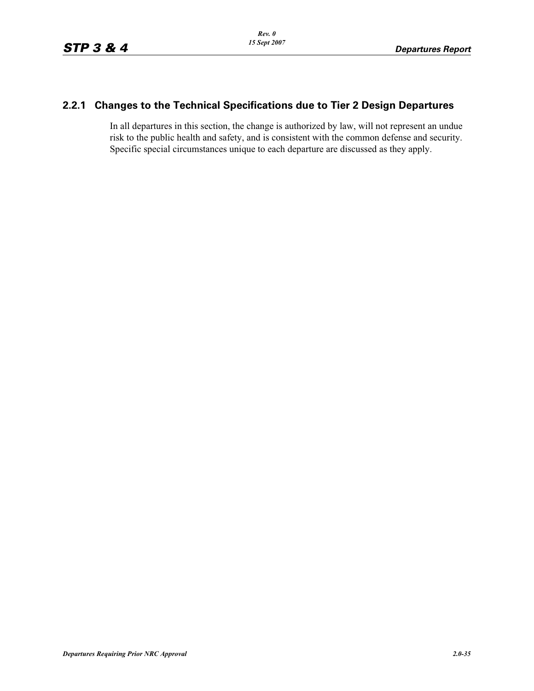## **2.2.1 Changes to the Technical Specifications due to Tier 2 Design Departures**

In all departures in this section, the change is authorized by law, will not represent an undue risk to the public health and safety, and is consistent with the common defense and security. Specific special circumstances unique to each departure are discussed as they apply.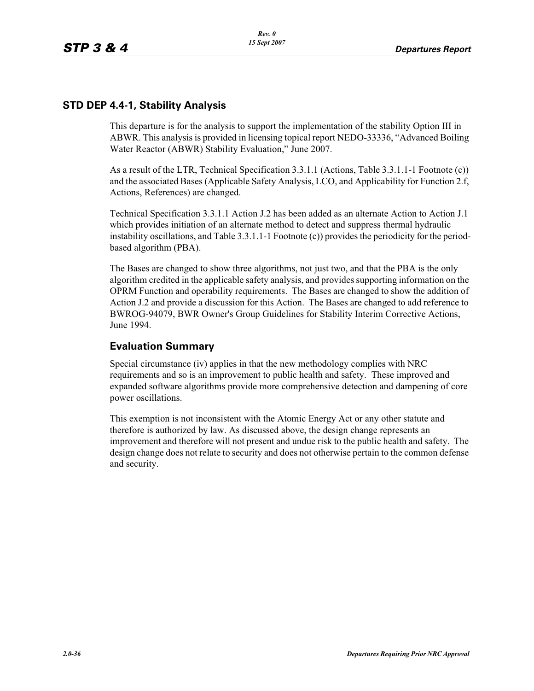## **STD DEP 4.4-1, Stability Analysis**

This departure is for the analysis to support the implementation of the stability Option III in ABWR. This analysis is provided in licensing topical report NEDO-33336, "Advanced Boiling Water Reactor (ABWR) Stability Evaluation," June 2007.

As a result of the LTR, Technical Specification 3.3.1.1 (Actions, Table 3.3.1.1-1 Footnote (c)) and the associated Bases (Applicable Safety Analysis, LCO, and Applicability for Function 2.f, Actions, References) are changed.

Technical Specification 3.3.1.1 Action J.2 has been added as an alternate Action to Action J.1 which provides initiation of an alternate method to detect and suppress thermal hydraulic instability oscillations, and Table  $3.3.1.1$ -1 Footnote (c)) provides the periodicity for the periodbased algorithm (PBA).

The Bases are changed to show three algorithms, not just two, and that the PBA is the only algorithm credited in the applicable safety analysis, and provides supporting information on the OPRM Function and operability requirements. The Bases are changed to show the addition of Action J.2 and provide a discussion for this Action. The Bases are changed to add reference to BWROG-94079, BWR Owner's Group Guidelines for Stability Interim Corrective Actions, June 1994.

#### **Evaluation Summary**

Special circumstance (iv) applies in that the new methodology complies with NRC requirements and so is an improvement to public health and safety. These improved and expanded software algorithms provide more comprehensive detection and dampening of core power oscillations.

This exemption is not inconsistent with the Atomic Energy Act or any other statute and therefore is authorized by law. As discussed above, the design change represents an improvement and therefore will not present and undue risk to the public health and safety. The design change does not relate to security and does not otherwise pertain to the common defense and security.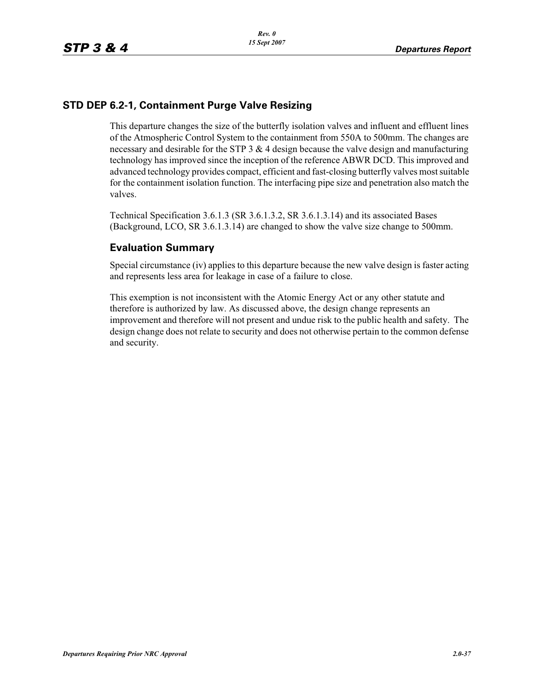## **STD DEP 6.2-1, Containment Purge Valve Resizing**

This departure changes the size of the butterfly isolation valves and influent and effluent lines of the Atmospheric Control System to the containment from 550A to 500mm. The changes are necessary and desirable for the STP  $3 \& 4$  design because the valve design and manufacturing technology has improved since the inception of the reference ABWR DCD. This improved and advanced technology provides compact, efficient and fast-closing butterfly valves most suitable for the containment isolation function. The interfacing pipe size and penetration also match the valves.

Technical Specification 3.6.1.3 (SR 3.6.1.3.2, SR 3.6.1.3.14) and its associated Bases (Background, LCO, SR 3.6.1.3.14) are changed to show the valve size change to 500mm.

## **Evaluation Summary**

Special circumstance (iv) applies to this departure because the new valve design is faster acting and represents less area for leakage in case of a failure to close.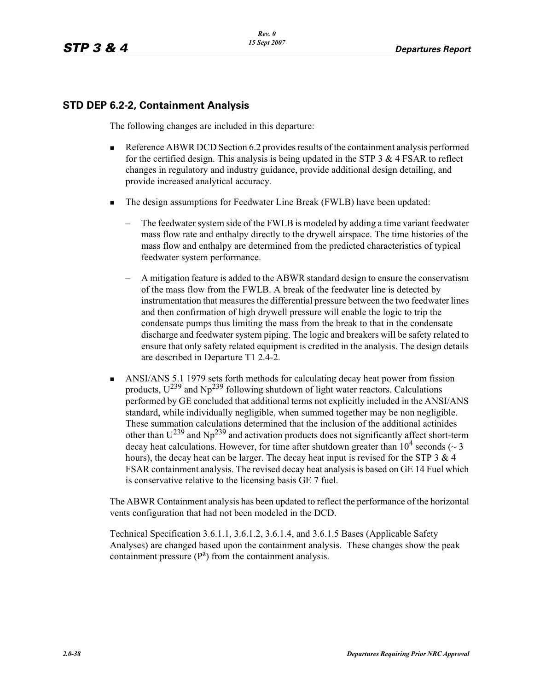## **STD DEP 6.2-2, Containment Analysis**

The following changes are included in this departure:

- - Reference ABWR DCD Section 6.2 provides results of the containment analysis performed for the certified design. This analysis is being updated in the STP 3  $\&$  4 FSAR to reflect changes in regulatory and industry guidance, provide additional design detailing, and provide increased analytical accuracy.
- - The design assumptions for Feedwater Line Break (FWLB) have been updated:
	- The feedwater system side of the FWLB is modeled by adding a time variant feedwater mass flow rate and enthalpy directly to the drywell airspace. The time histories of the mass flow and enthalpy are determined from the predicted characteristics of typical feedwater system performance.
	- A mitigation feature is added to the ABWR standard design to ensure the conservatism of the mass flow from the FWLB. A break of the feedwater line is detected by instrumentation that measures the differential pressure between the two feedwater lines and then confirmation of high drywell pressure will enable the logic to trip the condensate pumps thus limiting the mass from the break to that in the condensate discharge and feedwater system piping. The logic and breakers will be safety related to ensure that only safety related equipment is credited in the analysis. The design details are described in Departure T1 2.4-2.
- - ANSI/ANS 5.1 1979 sets forth methods for calculating decay heat power from fission products,  $U^{239}$  and  $Np^{239}$  following shutdown of light water reactors. Calculations performed by GE concluded that additional terms not explicitly included in the ANSI/ANS standard, while individually negligible, when summed together may be non negligible. These summation calculations determined that the inclusion of the additional actinides other than  $U^{239}$  and Np<sup>239</sup> and activation products does not significantly affect short-term decay heat calculations. However, for time after shutdown greater than  $10^4$  seconds ( $\sim$  3 hours), the decay heat can be larger. The decay heat input is revised for the STP  $3 \& 4$ FSAR containment analysis. The revised decay heat analysis is based on GE 14 Fuel which is conservative relative to the licensing basis GE 7 fuel.

The ABWR Containment analysis has been updated to reflect the performance of the horizontal vents configuration that had not been modeled in the DCD.

Technical Specification 3.6.1.1, 3.6.1.2, 3.6.1.4, and 3.6.1.5 Bases (Applicable Safety Analyses) are changed based upon the containment analysis. These changes show the peak containment pressure  $(P^a)$  from the containment analysis.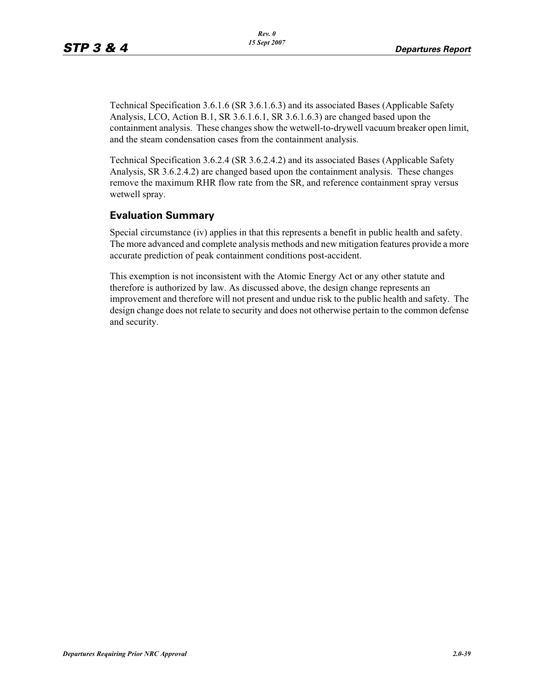Technical Specification 3.6.1.6 (SR 3.6.1.6.3) and its associated Bases (Applicable Safety Analysis, LCO, Action B.1, SR 3.6.1.6.1, SR 3.6.1.6.3) are changed based upon the containment analysis. These changes show the wetwell-to-drywell vacuum breaker open limit, and the steam condensation cases from the containment analysis.

Technical Specification 3.6.2.4 (SR 3.6.2.4.2) and its associated Bases (Applicable Safety Analysis, SR 3.6.2.4.2) are changed based upon the containment analysis. These changes remove the maximum RHR flow rate from the SR, and reference containment spray versus wetwell spray.

## **Evaluation Summary**

Special circumstance (iv) applies in that this represents a benefit in public health and safety. The more advanced and complete analysis methods and new mitigation features provide a more accurate prediction of peak containment conditions post-accident.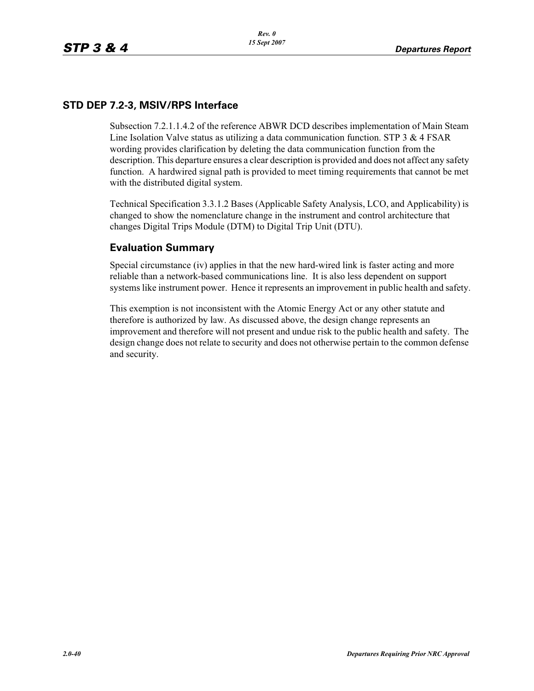## **STD DEP 7.2-3, MSIV/RPS Interface**

Subsection 7.2.1.1.4.2 of the reference ABWR DCD describes implementation of Main Steam Line Isolation Valve status as utilizing a data communication function. STP  $3 \& 4$  FSAR wording provides clarification by deleting the data communication function from the description. This departure ensures a clear description is provided and does not affect any safety function. A hardwired signal path is provided to meet timing requirements that cannot be met with the distributed digital system.

Technical Specification 3.3.1.2 Bases (Applicable Safety Analysis, LCO, and Applicability) is changed to show the nomenclature change in the instrument and control architecture that changes Digital Trips Module (DTM) to Digital Trip Unit (DTU).

## **Evaluation Summary**

Special circumstance (iv) applies in that the new hard-wired link is faster acting and more reliable than a network-based communications line. It is also less dependent on support systems like instrument power. Hence it represents an improvement in public health and safety.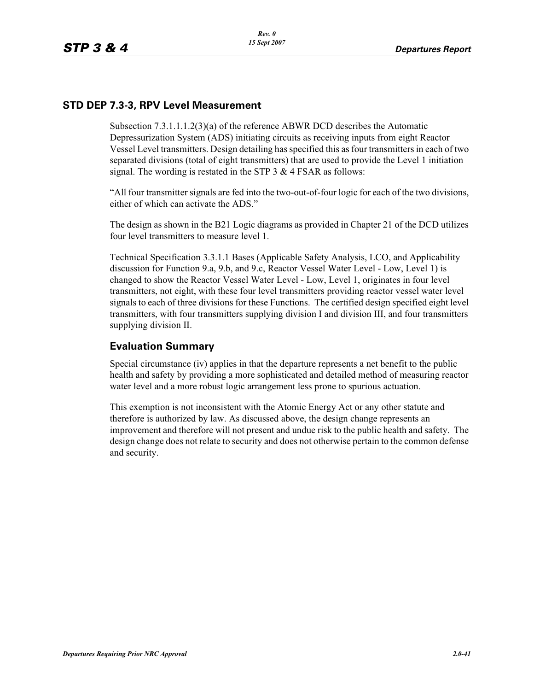## **STD DEP 7.3-3, RPV Level Measurement**

Subsection 7.3.1.1.1.2(3)(a) of the reference ABWR DCD describes the Automatic Depressurization System (ADS) initiating circuits as receiving inputs from eight Reactor Vessel Level transmitters. Design detailing has specified this as four transmitters in each of two separated divisions (total of eight transmitters) that are used to provide the Level 1 initiation signal. The wording is restated in the STP 3 & 4 FSAR as follows:

"All four transmitter signals are fed into the two-out-of-four logic for each of the two divisions, either of which can activate the ADS."

The design as shown in the B21 Logic diagrams as provided in Chapter 21 of the DCD utilizes four level transmitters to measure level 1.

Technical Specification 3.3.1.1 Bases (Applicable Safety Analysis, LCO, and Applicability discussion for Function 9.a, 9.b, and 9.c, Reactor Vessel Water Level - Low, Level 1) is changed to show the Reactor Vessel Water Level - Low, Level 1, originates in four level transmitters, not eight, with these four level transmitters providing reactor vessel water level signals to each of three divisions for these Functions. The certified design specified eight level transmitters, with four transmitters supplying division I and division III, and four transmitters supplying division II.

#### **Evaluation Summary**

Special circumstance (iv) applies in that the departure represents a net benefit to the public health and safety by providing a more sophisticated and detailed method of measuring reactor water level and a more robust logic arrangement less prone to spurious actuation.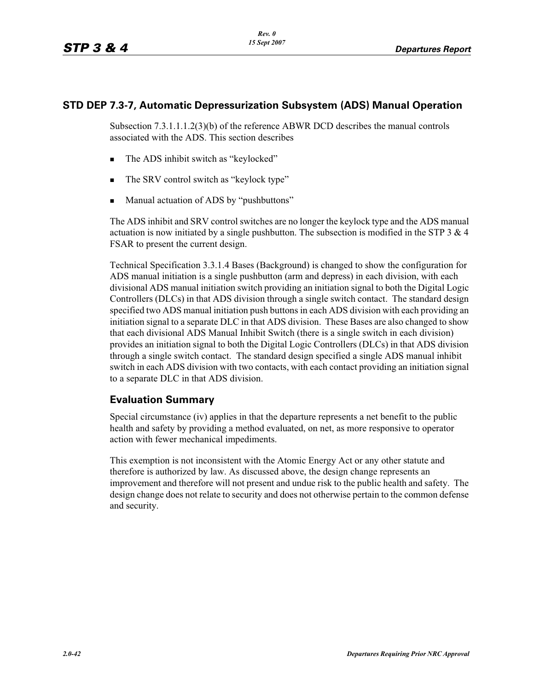### **STD DEP 7.3-7, Automatic Depressurization Subsystem (ADS) Manual Operation**

Subsection 7.3.1.1.1.2(3)(b) of the reference ABWR DCD describes the manual controls associated with the ADS. This section describes

- -The ADS inhibit switch as "keylocked"
- -The SRV control switch as "keylock type"
- -Manual actuation of ADS by "pushbuttons"

The ADS inhibit and SRV control switches are no longer the keylock type and the ADS manual actuation is now initiated by a single pushbutton. The subsection is modified in the STP  $3 \& 4$ FSAR to present the current design.

Technical Specification 3.3.1.4 Bases (Background) is changed to show the configuration for ADS manual initiation is a single pushbutton (arm and depress) in each division, with each divisional ADS manual initiation switch providing an initiation signal to both the Digital Logic Controllers (DLCs) in that ADS division through a single switch contact. The standard design specified two ADS manual initiation push buttons in each ADS division with each providing an initiation signal to a separate DLC in that ADS division. These Bases are also changed to show that each divisional ADS Manual Inhibit Switch (there is a single switch in each division) provides an initiation signal to both the Digital Logic Controllers (DLCs) in that ADS division through a single switch contact. The standard design specified a single ADS manual inhibit switch in each ADS division with two contacts, with each contact providing an initiation signal to a separate DLC in that ADS division.

## **Evaluation Summary**

Special circumstance (iv) applies in that the departure represents a net benefit to the public health and safety by providing a method evaluated, on net, as more responsive to operator action with fewer mechanical impediments.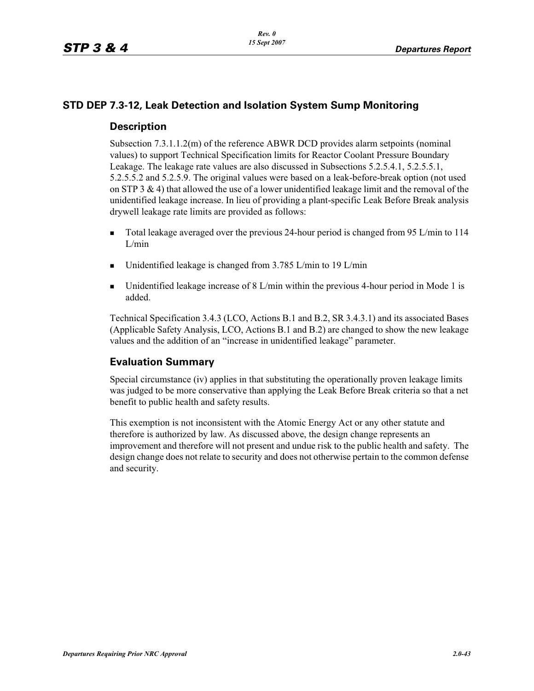## **STD DEP 7.3-12, Leak Detection and Isolation System Sump Monitoring**

### **Description**

Subsection 7.3.1.1.2(m) of the reference ABWR DCD provides alarm setpoints (nominal values) to support Technical Specification limits for Reactor Coolant Pressure Boundary Leakage. The leakage rate values are also discussed in Subsections 5.2.5.4.1, 5.2.5.5.1, 5.2.5.5.2 and 5.2.5.9. The original values were based on a leak-before-break option (not used on STP 3  $\&$  4) that allowed the use of a lower unidentified leakage limit and the removal of the unidentified leakage increase. In lieu of providing a plant-specific Leak Before Break analysis drywell leakage rate limits are provided as follows:

- - Total leakage averaged over the previous 24-hour period is changed from 95 L/min to 114 L/min
- -Unidentified leakage is changed from 3.785 L/min to 19 L/min
- - Unidentified leakage increase of 8 L/min within the previous 4-hour period in Mode 1 is added.

Technical Specification 3.4.3 (LCO, Actions B.1 and B.2, SR 3.4.3.1) and its associated Bases (Applicable Safety Analysis, LCO, Actions B.1 and B.2) are changed to show the new leakage values and the addition of an "increase in unidentified leakage" parameter.

## **Evaluation Summary**

Special circumstance (iv) applies in that substituting the operationally proven leakage limits was judged to be more conservative than applying the Leak Before Break criteria so that a net benefit to public health and safety results.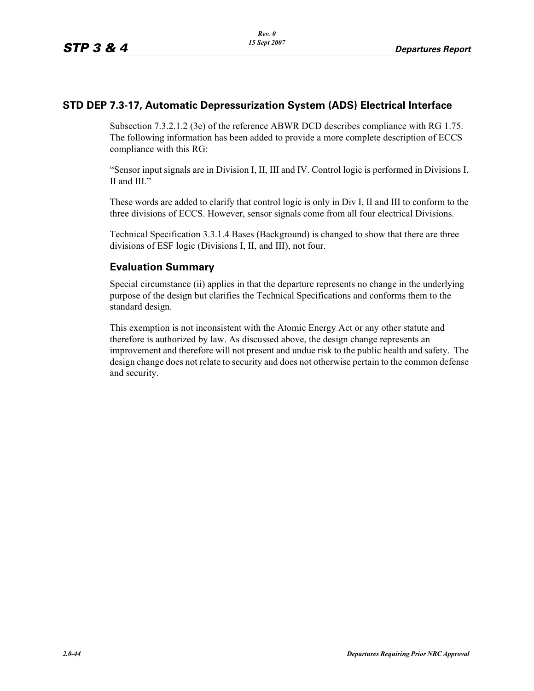## **STD DEP 7.3-17, Automatic Depressurization System (ADS) Electrical Interface**

Subsection 7.3.2.1.2 (3e) of the reference ABWR DCD describes compliance with RG 1.75. The following information has been added to provide a more complete description of ECCS compliance with this RG:

"Sensor input signals are in Division I, II, III and IV. Control logic is performed in Divisions I, II and III."

These words are added to clarify that control logic is only in Div I, II and III to conform to the three divisions of ECCS. However, sensor signals come from all four electrical Divisions.

Technical Specification 3.3.1.4 Bases (Background) is changed to show that there are three divisions of ESF logic (Divisions I, II, and III), not four.

## **Evaluation Summary**

Special circumstance (ii) applies in that the departure represents no change in the underlying purpose of the design but clarifies the Technical Specifications and conforms them to the standard design.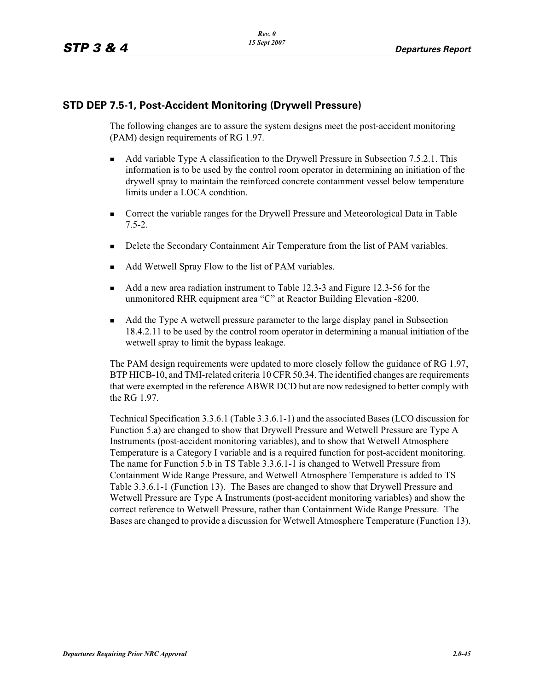## **STD DEP 7.5-1, Post-Accident Monitoring (Drywell Pressure)**

The following changes are to assure the system designs meet the post-accident monitoring (PAM) design requirements of RG 1.97.

- - Add variable Type A classification to the Drywell Pressure in Subsection 7.5.2.1. This information is to be used by the control room operator in determining an initiation of the drywell spray to maintain the reinforced concrete containment vessel below temperature limits under a LOCA condition.
- - Correct the variable ranges for the Drywell Pressure and Meteorological Data in Table 7.5-2.
- -Delete the Secondary Containment Air Temperature from the list of PAM variables.
- -Add Wetwell Spray Flow to the list of PAM variables.
- - Add a new area radiation instrument to Table 12.3-3 and Figure 12.3-56 for the unmonitored RHR equipment area "C" at Reactor Building Elevation -8200.
- - Add the Type A wetwell pressure parameter to the large display panel in Subsection 18.4.2.11 to be used by the control room operator in determining a manual initiation of the wetwell spray to limit the bypass leakage.

The PAM design requirements were updated to more closely follow the guidance of RG 1.97, BTP HICB-10, and TMI-related criteria 10 CFR 50.34. The identified changes are requirements that were exempted in the reference ABWR DCD but are now redesigned to better comply with the RG 1.97.

Technical Specification 3.3.6.1 (Table 3.3.6.1-1) and the associated Bases (LCO discussion for Function 5.a) are changed to show that Drywell Pressure and Wetwell Pressure are Type A Instruments (post-accident monitoring variables), and to show that Wetwell Atmosphere Temperature is a Category I variable and is a required function for post-accident monitoring. The name for Function 5.b in TS Table 3.3.6.1-1 is changed to Wetwell Pressure from Containment Wide Range Pressure, and Wetwell Atmosphere Temperature is added to TS Table 3.3.6.1-1 (Function 13). The Bases are changed to show that Drywell Pressure and Wetwell Pressure are Type A Instruments (post-accident monitoring variables) and show the correct reference to Wetwell Pressure, rather than Containment Wide Range Pressure. The Bases are changed to provide a discussion for Wetwell Atmosphere Temperature (Function 13).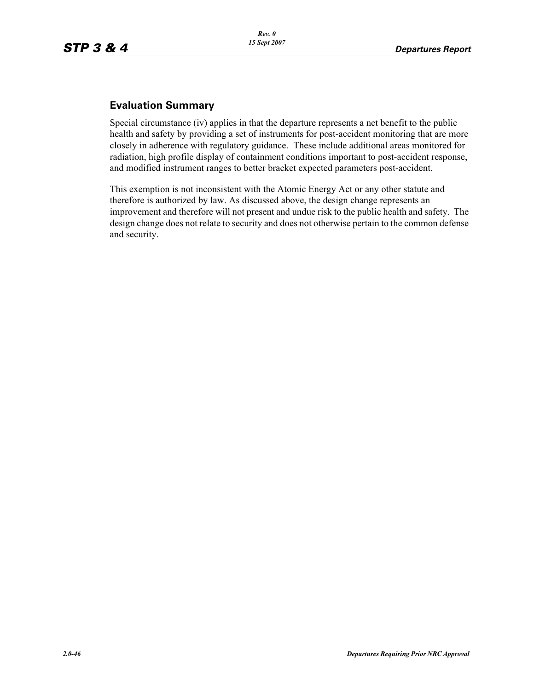## **Evaluation Summary**

Special circumstance (iv) applies in that the departure represents a net benefit to the public health and safety by providing a set of instruments for post-accident monitoring that are more closely in adherence with regulatory guidance. These include additional areas monitored for radiation, high profile display of containment conditions important to post-accident response, and modified instrument ranges to better bracket expected parameters post-accident.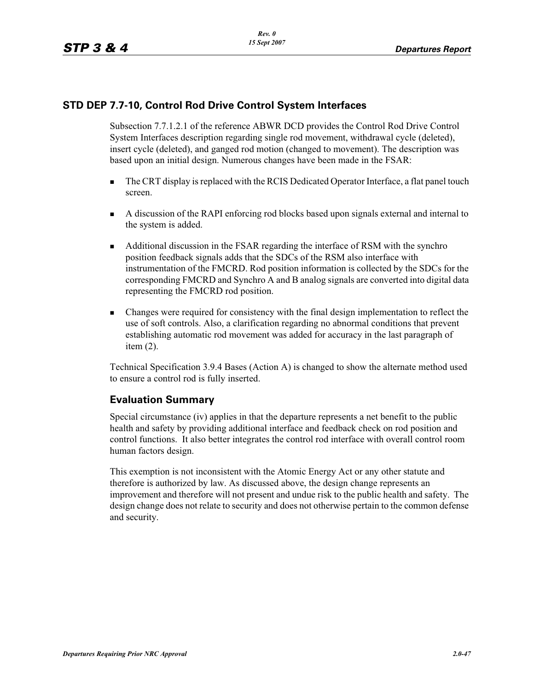## **STD DEP 7.7-10, Control Rod Drive Control System Interfaces**

Subsection 7.7.1.2.1 of the reference ABWR DCD provides the Control Rod Drive Control System Interfaces description regarding single rod movement, withdrawal cycle (deleted), insert cycle (deleted), and ganged rod motion (changed to movement). The description was based upon an initial design. Numerous changes have been made in the FSAR:

- - The CRT display is replaced with the RCIS Dedicated Operator Interface, a flat panel touch screen.
- - A discussion of the RAPI enforcing rod blocks based upon signals external and internal to the system is added.
- - Additional discussion in the FSAR regarding the interface of RSM with the synchro position feedback signals adds that the SDCs of the RSM also interface with instrumentation of the FMCRD. Rod position information is collected by the SDCs for the corresponding FMCRD and Synchro A and B analog signals are converted into digital data representing the FMCRD rod position.
- - Changes were required for consistency with the final design implementation to reflect the use of soft controls. Also, a clarification regarding no abnormal conditions that prevent establishing automatic rod movement was added for accuracy in the last paragraph of item (2).

Technical Specification 3.9.4 Bases (Action A) is changed to show the alternate method used to ensure a control rod is fully inserted.

## **Evaluation Summary**

Special circumstance (iv) applies in that the departure represents a net benefit to the public health and safety by providing additional interface and feedback check on rod position and control functions. It also better integrates the control rod interface with overall control room human factors design.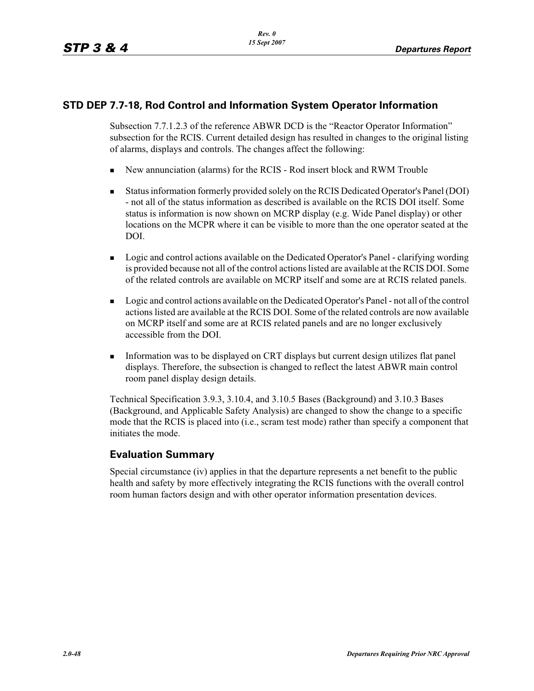## **STD DEP 7.7-18, Rod Control and Information System Operator Information**

Subsection 7.7.1.2.3 of the reference ABWR DCD is the "Reactor Operator Information" subsection for the RCIS. Current detailed design has resulted in changes to the original listing of alarms, displays and controls. The changes affect the following:

- -New annunciation (alarms) for the RCIS - Rod insert block and RWM Trouble
- - Status information formerly provided solely on the RCIS Dedicated Operator's Panel (DOI) - not all of the status information as described is available on the RCIS DOI itself. Some status is information is now shown on MCRP display (e.g. Wide Panel display) or other locations on the MCPR where it can be visible to more than the one operator seated at the DOI.
- - Logic and control actions available on the Dedicated Operator's Panel - clarifying wording is provided because not all of the control actions listed are available at the RCIS DOI. Some of the related controls are available on MCRP itself and some are at RCIS related panels.
- **Logic and control actions available on the Dedicated Operator's Panel not all of the control** actions listed are available at the RCIS DOI. Some of the related controls are now available on MCRP itself and some are at RCIS related panels and are no longer exclusively accessible from the DOI.
- Information was to be displayed on CRT displays but current design utilizes flat panel displays. Therefore, the subsection is changed to reflect the latest ABWR main control room panel display design details.

Technical Specification 3.9.3, 3.10.4, and 3.10.5 Bases (Background) and 3.10.3 Bases (Background, and Applicable Safety Analysis) are changed to show the change to a specific mode that the RCIS is placed into (i.e., scram test mode) rather than specify a component that initiates the mode.

## **Evaluation Summary**

Special circumstance (iv) applies in that the departure represents a net benefit to the public health and safety by more effectively integrating the RCIS functions with the overall control room human factors design and with other operator information presentation devices.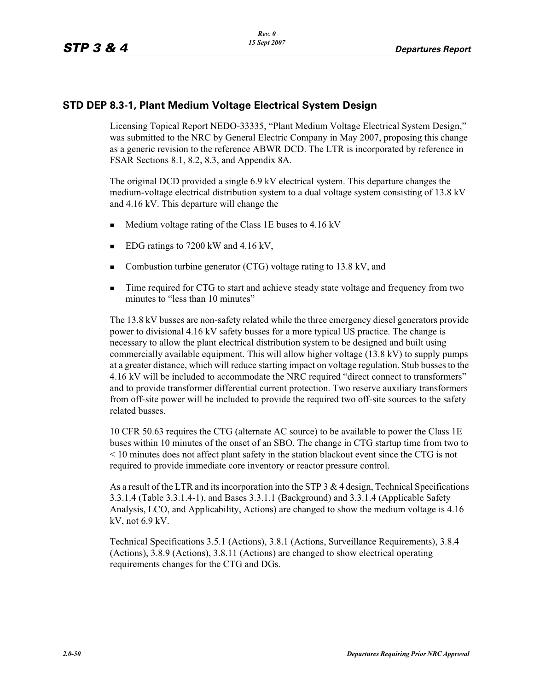## **STD DEP 8.3-1, Plant Medium Voltage Electrical System Design**

Licensing Topical Report NEDO-33335, "Plant Medium Voltage Electrical System Design," was submitted to the NRC by General Electric Company in May 2007, proposing this change as a generic revision to the reference ABWR DCD. The LTR is incorporated by reference in FSAR Sections 8.1, 8.2, 8.3, and Appendix 8A.

The original DCD provided a single 6.9 kV electrical system. This departure changes the medium-voltage electrical distribution system to a dual voltage system consisting of 13.8 kV and 4.16 kV. This departure will change the

- -Medium voltage rating of the Class 1E buses to 4.16 kV
- -EDG ratings to 7200 kW and 4.16 kV,
- -Combustion turbine generator (CTG) voltage rating to 13.8 kV, and
- - Time required for CTG to start and achieve steady state voltage and frequency from two minutes to "less than 10 minutes"

The 13.8 kV busses are non-safety related while the three emergency diesel generators provide power to divisional 4.16 kV safety busses for a more typical US practice. The change is necessary to allow the plant electrical distribution system to be designed and built using commercially available equipment. This will allow higher voltage (13.8 kV) to supply pumps at a greater distance, which will reduce starting impact on voltage regulation. Stub busses to the 4.16 kV will be included to accommodate the NRC required "direct connect to transformers" and to provide transformer differential current protection. Two reserve auxiliary transformers from off-site power will be included to provide the required two off-site sources to the safety related busses.

10 CFR 50.63 requires the CTG (alternate AC source) to be available to power the Class 1E buses within 10 minutes of the onset of an SBO. The change in CTG startup time from two to < 10 minutes does not affect plant safety in the station blackout event since the CTG is not required to provide immediate core inventory or reactor pressure control.

As a result of the LTR and its incorporation into the STP 3 & 4 design, Technical Specifications 3.3.1.4 (Table 3.3.1.4-1), and Bases 3.3.1.1 (Background) and 3.3.1.4 (Applicable Safety Analysis, LCO, and Applicability, Actions) are changed to show the medium voltage is 4.16 kV, not 6.9 kV.

Technical Specifications 3.5.1 (Actions), 3.8.1 (Actions, Surveillance Requirements), 3.8.4 (Actions), 3.8.9 (Actions), 3.8.11 (Actions) are changed to show electrical operating requirements changes for the CTG and DGs.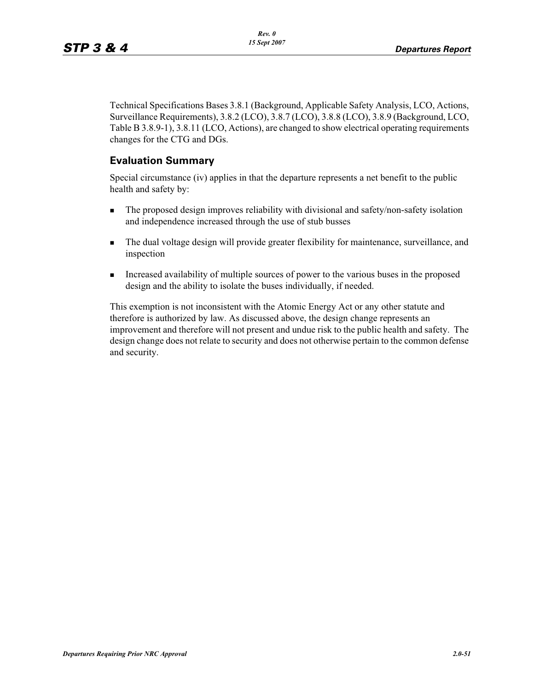Technical Specifications Bases 3.8.1 (Background, Applicable Safety Analysis, LCO, Actions, Surveillance Requirements), 3.8.2 (LCO), 3.8.7 (LCO), 3.8.8 (LCO), 3.8.9 (Background, LCO, Table B 3.8.9-1), 3.8.11 (LCO, Actions), are changed to show electrical operating requirements changes for the CTG and DGs.

## **Evaluation Summary**

Special circumstance (iv) applies in that the departure represents a net benefit to the public health and safety by:

- - The proposed design improves reliability with divisional and safety/non-safety isolation and independence increased through the use of stub busses
- - The dual voltage design will provide greater flexibility for maintenance, surveillance, and inspection
- - Increased availability of multiple sources of power to the various buses in the proposed design and the ability to isolate the buses individually, if needed.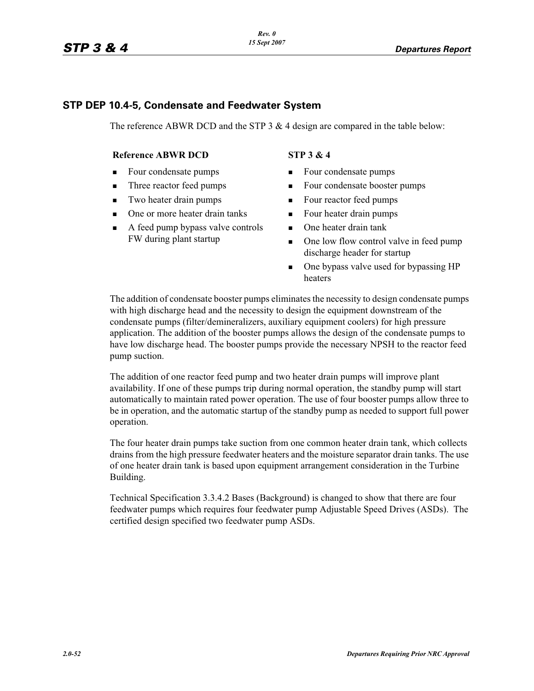### **STP DEP 10.4-5, Condensate and Feedwater System**

The reference ABWR DCD and the STP  $3 \& 4$  design are compared in the table below:

#### **Reference ABWR DCD** STP 3 & 4

- -Four condensate pumps
- -Three reactor feed pumps
- -Two heater drain pumps
- -One or more heater drain tanks
- - A feed pump bypass valve controls FW during plant startup

- **EXECUTE:** Four condensate pumps
- -Four condensate booster pumps
- -Four reactor feed pumps
- -Four heater drain pumps
- One heater drain tank
- - One low flow control valve in feed pump discharge header for startup
- - One bypass valve used for bypassing HP heaters

The addition of condensate booster pumps eliminates the necessity to design condensate pumps with high discharge head and the necessity to design the equipment downstream of the condensate pumps (filter/demineralizers, auxiliary equipment coolers) for high pressure application. The addition of the booster pumps allows the design of the condensate pumps to have low discharge head. The booster pumps provide the necessary NPSH to the reactor feed pump suction.

The addition of one reactor feed pump and two heater drain pumps will improve plant availability. If one of these pumps trip during normal operation, the standby pump will start automatically to maintain rated power operation. The use of four booster pumps allow three to be in operation, and the automatic startup of the standby pump as needed to support full power operation.

The four heater drain pumps take suction from one common heater drain tank, which collects drains from the high pressure feedwater heaters and the moisture separator drain tanks. The use of one heater drain tank is based upon equipment arrangement consideration in the Turbine Building.

Technical Specification 3.3.4.2 Bases (Background) is changed to show that there are four feedwater pumps which requires four feedwater pump Adjustable Speed Drives (ASDs). The certified design specified two feedwater pump ASDs.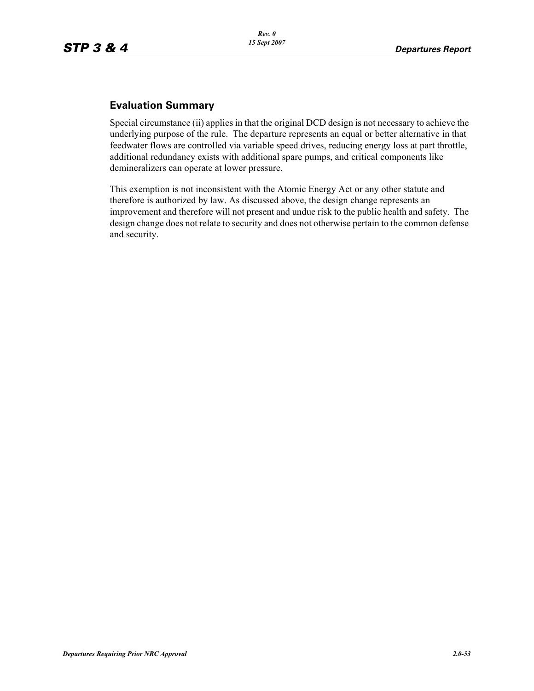## **Evaluation Summary**

Special circumstance (ii) applies in that the original DCD design is not necessary to achieve the underlying purpose of the rule. The departure represents an equal or better alternative in that feedwater flows are controlled via variable speed drives, reducing energy loss at part throttle, additional redundancy exists with additional spare pumps, and critical components like demineralizers can operate at lower pressure.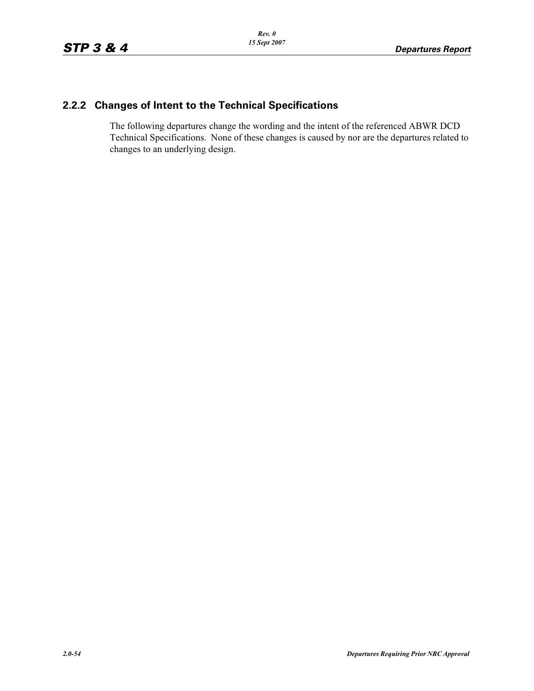## **2.2.2 Changes of Intent to the Technical Specifications**

The following departures change the wording and the intent of the referenced ABWR DCD Technical Specifications. None of these changes is caused by nor are the departures related to changes to an underlying design.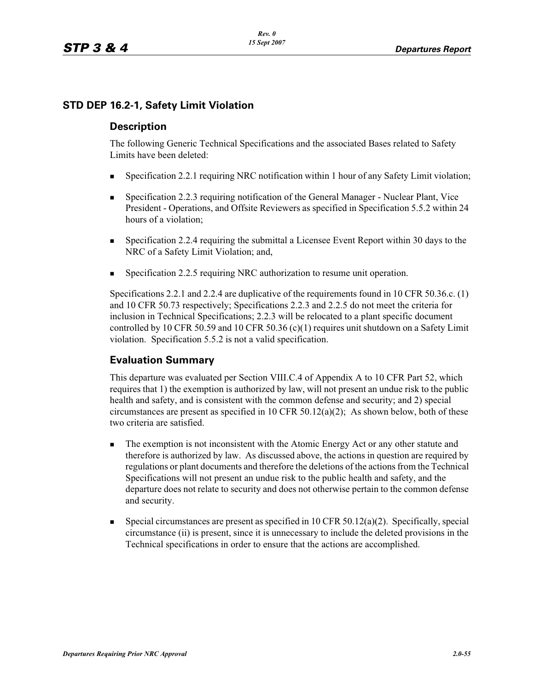## **STD DEP 16.2-1, Safety Limit Violation**

### **Description**

The following Generic Technical Specifications and the associated Bases related to Safety Limits have been deleted:

- -Specification 2.2.1 requiring NRC notification within 1 hour of any Safety Limit violation;
- - Specification 2.2.3 requiring notification of the General Manager - Nuclear Plant, Vice President - Operations, and Offsite Reviewers as specified in Specification 5.5.2 within 24 hours of a violation;
- - Specification 2.2.4 requiring the submittal a Licensee Event Report within 30 days to the NRC of a Safety Limit Violation; and,
- -Specification 2.2.5 requiring NRC authorization to resume unit operation.

Specifications 2.2.1 and 2.2.4 are duplicative of the requirements found in 10 CFR 50.36.c. (1) and 10 CFR 50.73 respectively; Specifications 2.2.3 and 2.2.5 do not meet the criteria for inclusion in Technical Specifications; 2.2.3 will be relocated to a plant specific document controlled by 10 CFR 50.59 and 10 CFR 50.36 (c)(1) requires unit shutdown on a Safety Limit violation. Specification 5.5.2 is not a valid specification.

## **Evaluation Summary**

This departure was evaluated per Section VIII.C.4 of Appendix A to 10 CFR Part 52, which requires that 1) the exemption is authorized by law, will not present an undue risk to the public health and safety, and is consistent with the common defense and security; and 2) special circumstances are present as specified in 10 CFR  $50.12(a)(2)$ ; As shown below, both of these two criteria are satisfied.

- - The exemption is not inconsistent with the Atomic Energy Act or any other statute and therefore is authorized by law. As discussed above, the actions in question are required by regulations or plant documents and therefore the deletions of the actions from the Technical Specifications will not present an undue risk to the public health and safety, and the departure does not relate to security and does not otherwise pertain to the common defense and security.
- - Special circumstances are present as specified in 10 CFR 50.12(a)(2). Specifically, special circumstance (ii) is present, since it is unnecessary to include the deleted provisions in the Technical specifications in order to ensure that the actions are accomplished.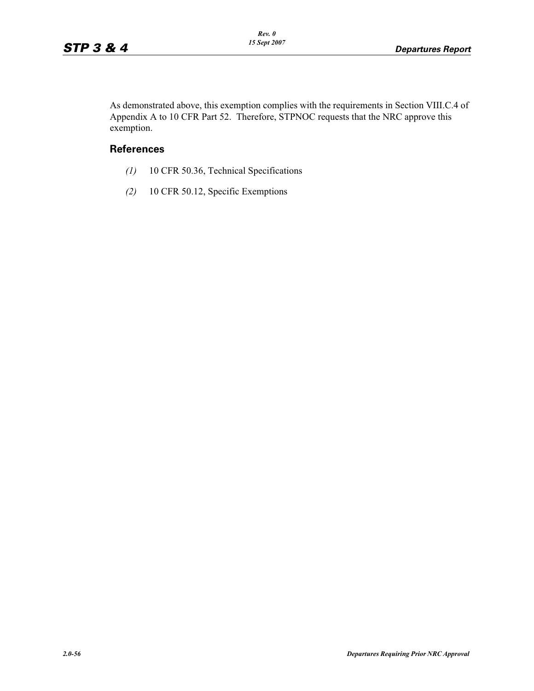As demonstrated above, this exemption complies with the requirements in Section VIII.C.4 of Appendix A to 10 CFR Part 52. Therefore, STPNOC requests that the NRC approve this exemption.

#### **References**

- *(1)* 10 CFR 50.36, Technical Specifications
- *(2)* 10 CFR 50.12, Specific Exemptions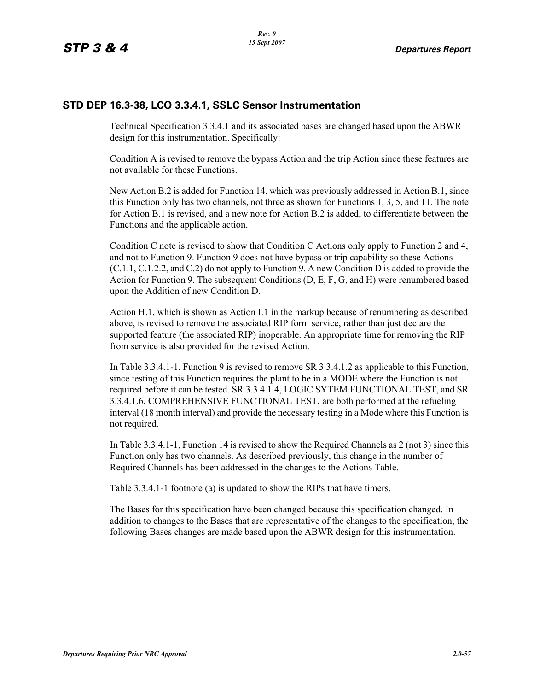### **STD DEP 16.3-38, LCO 3.3.4.1, SSLC Sensor Instrumentation**

Technical Specification 3.3.4.1 and its associated bases are changed based upon the ABWR design for this instrumentation. Specifically:

Condition A is revised to remove the bypass Action and the trip Action since these features are not available for these Functions.

New Action B.2 is added for Function 14, which was previously addressed in Action B.1, since this Function only has two channels, not three as shown for Functions 1, 3, 5, and 11. The note for Action B.1 is revised, and a new note for Action B.2 is added, to differentiate between the Functions and the applicable action.

Condition C note is revised to show that Condition C Actions only apply to Function 2 and 4, and not to Function 9. Function 9 does not have bypass or trip capability so these Actions (C.1.1, C.1.2.2, and C.2) do not apply to Function 9. A new Condition D is added to provide the Action for Function 9. The subsequent Conditions (D, E, F, G, and H) were renumbered based upon the Addition of new Condition D.

Action H.1, which is shown as Action I.1 in the markup because of renumbering as described above, is revised to remove the associated RIP form service, rather than just declare the supported feature (the associated RIP) inoperable. An appropriate time for removing the RIP from service is also provided for the revised Action.

In Table 3.3.4.1-1, Function 9 is revised to remove SR 3.3.4.1.2 as applicable to this Function, since testing of this Function requires the plant to be in a MODE where the Function is not required before it can be tested. SR 3.3.4.1.4, LOGIC SYTEM FUNCTIONAL TEST, and SR 3.3.4.1.6, COMPREHENSIVE FUNCTIONAL TEST, are both performed at the refueling interval (18 month interval) and provide the necessary testing in a Mode where this Function is not required.

In Table 3.3.4.1-1, Function 14 is revised to show the Required Channels as 2 (not 3) since this Function only has two channels. As described previously, this change in the number of Required Channels has been addressed in the changes to the Actions Table.

Table 3.3.4.1-1 footnote (a) is updated to show the RIPs that have timers.

The Bases for this specification have been changed because this specification changed. In addition to changes to the Bases that are representative of the changes to the specification, the following Bases changes are made based upon the ABWR design for this instrumentation.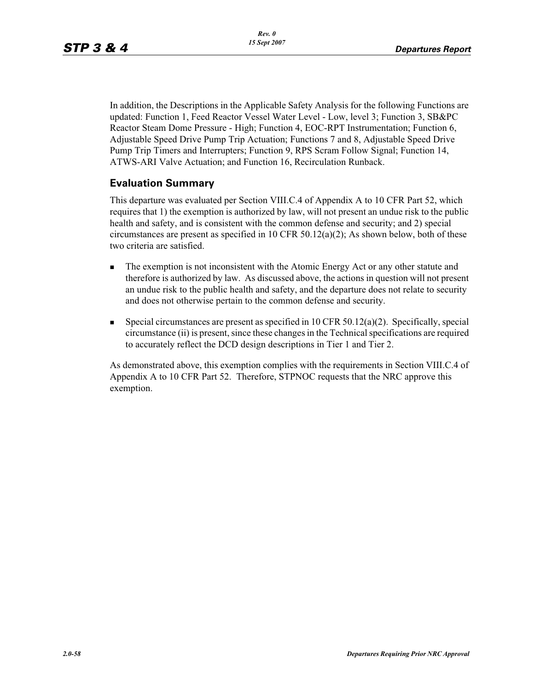In addition, the Descriptions in the Applicable Safety Analysis for the following Functions are updated: Function 1, Feed Reactor Vessel Water Level - Low, level 3; Function 3, SB&PC Reactor Steam Dome Pressure - High; Function 4, EOC-RPT Instrumentation; Function 6, Adjustable Speed Drive Pump Trip Actuation; Functions 7 and 8, Adjustable Speed Drive Pump Trip Timers and Interrupters; Function 9, RPS Scram Follow Signal; Function 14, ATWS-ARI Valve Actuation; and Function 16, Recirculation Runback.

## **Evaluation Summary**

This departure was evaluated per Section VIII.C.4 of Appendix A to 10 CFR Part 52, which requires that 1) the exemption is authorized by law, will not present an undue risk to the public health and safety, and is consistent with the common defense and security; and 2) special circumstances are present as specified in 10 CFR  $50.12(a)(2)$ ; As shown below, both of these two criteria are satisfied.

- - The exemption is not inconsistent with the Atomic Energy Act or any other statute and therefore is authorized by law. As discussed above, the actions in question will not present an undue risk to the public health and safety, and the departure does not relate to security and does not otherwise pertain to the common defense and security.
- -Special circumstances are present as specified in  $10$  CFR  $50.12(a)(2)$ . Specifically, special circumstance (ii) is present, since these changes in the Technical specifications are required to accurately reflect the DCD design descriptions in Tier 1 and Tier 2.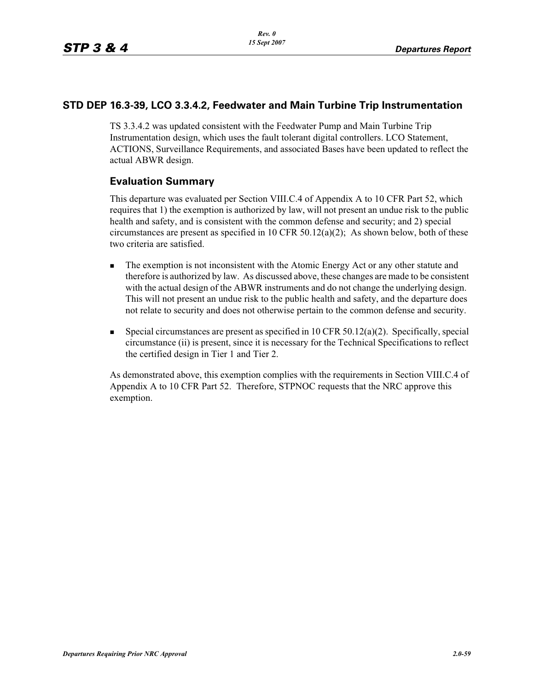### **STD DEP 16.3-39, LCO 3.3.4.2, Feedwater and Main Turbine Trip Instrumentation**

TS 3.3.4.2 was updated consistent with the Feedwater Pump and Main Turbine Trip Instrumentation design, which uses the fault tolerant digital controllers. LCO Statement, ACTIONS, Surveillance Requirements, and associated Bases have been updated to reflect the actual ABWR design.

## **Evaluation Summary**

This departure was evaluated per Section VIII.C.4 of Appendix A to 10 CFR Part 52, which requires that 1) the exemption is authorized by law, will not present an undue risk to the public health and safety, and is consistent with the common defense and security; and 2) special circumstances are present as specified in 10 CFR  $50.12(a)(2)$ ; As shown below, both of these two criteria are satisfied.

- - The exemption is not inconsistent with the Atomic Energy Act or any other statute and therefore is authorized by law. As discussed above, these changes are made to be consistent with the actual design of the ABWR instruments and do not change the underlying design. This will not present an undue risk to the public health and safety, and the departure does not relate to security and does not otherwise pertain to the common defense and security.
- - Special circumstances are present as specified in 10 CFR 50.12(a)(2). Specifically, special circumstance (ii) is present, since it is necessary for the Technical Specifications to reflect the certified design in Tier 1 and Tier 2.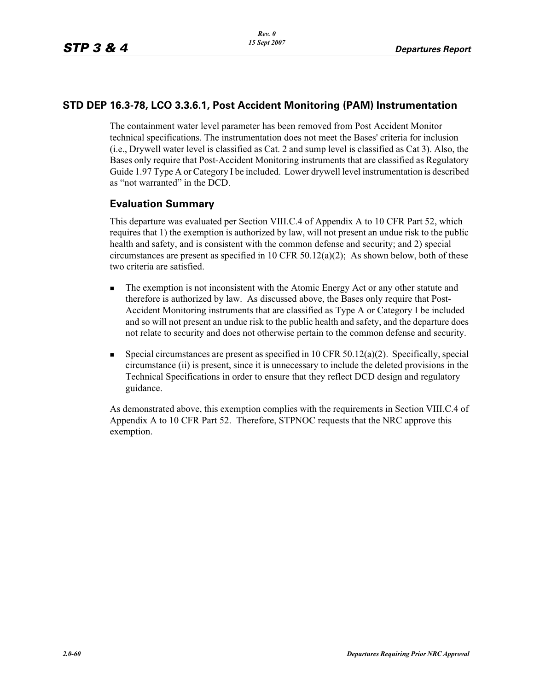## **STD DEP 16.3-78, LCO 3.3.6.1, Post Accident Monitoring (PAM) Instrumentation**

The containment water level parameter has been removed from Post Accident Monitor technical specifications. The instrumentation does not meet the Bases' criteria for inclusion (i.e., Drywell water level is classified as Cat. 2 and sump level is classified as Cat 3). Also, the Bases only require that Post-Accident Monitoring instruments that are classified as Regulatory Guide 1.97 Type A or Category I be included. Lower drywell level instrumentation is described as "not warranted" in the DCD.

## **Evaluation Summary**

This departure was evaluated per Section VIII.C.4 of Appendix A to 10 CFR Part 52, which requires that 1) the exemption is authorized by law, will not present an undue risk to the public health and safety, and is consistent with the common defense and security; and 2) special circumstances are present as specified in 10 CFR  $50.12(a)(2)$ ; As shown below, both of these two criteria are satisfied.

- - The exemption is not inconsistent with the Atomic Energy Act or any other statute and therefore is authorized by law. As discussed above, the Bases only require that Post-Accident Monitoring instruments that are classified as Type A or Category I be included and so will not present an undue risk to the public health and safety, and the departure does not relate to security and does not otherwise pertain to the common defense and security.
- - Special circumstances are present as specified in 10 CFR 50.12(a)(2). Specifically, special circumstance (ii) is present, since it is unnecessary to include the deleted provisions in the Technical Specifications in order to ensure that they reflect DCD design and regulatory guidance.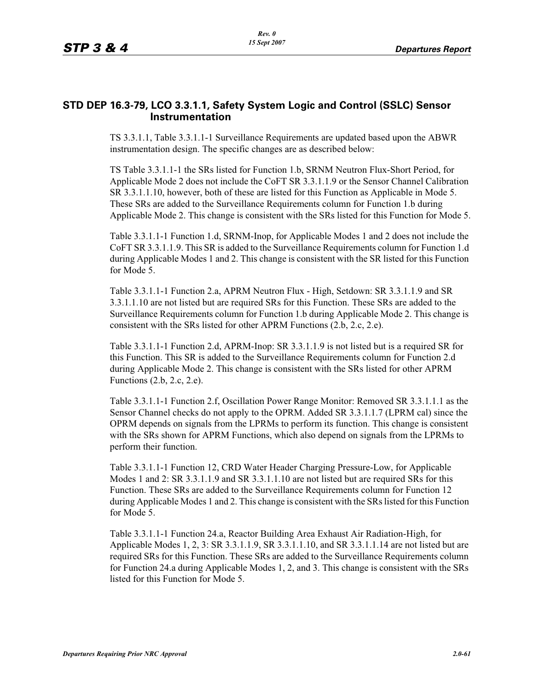## **STD DEP 16.3-79, LCO 3.3.1.1, Safety System Logic and Control (SSLC) Sensor Instrumentation**

TS 3.3.1.1, Table 3.3.1.1-1 Surveillance Requirements are updated based upon the ABWR instrumentation design. The specific changes are as described below:

TS Table 3.3.1.1-1 the SRs listed for Function 1.b, SRNM Neutron Flux-Short Period, for Applicable Mode 2 does not include the CoFT SR 3.3.1.1.9 or the Sensor Channel Calibration SR 3.3.1.1.10, however, both of these are listed for this Function as Applicable in Mode 5. These SRs are added to the Surveillance Requirements column for Function 1.b during Applicable Mode 2. This change is consistent with the SRs listed for this Function for Mode 5.

Table 3.3.1.1-1 Function 1.d, SRNM-Inop, for Applicable Modes 1 and 2 does not include the CoFT SR 3.3.1.1.9. This SR is added to the Surveillance Requirements column for Function 1.d during Applicable Modes 1 and 2. This change is consistent with the SR listed for this Function for Mode 5.

Table 3.3.1.1-1 Function 2.a, APRM Neutron Flux - High, Setdown: SR 3.3.1.1.9 and SR 3.3.1.1.10 are not listed but are required SRs for this Function. These SRs are added to the Surveillance Requirements column for Function 1.b during Applicable Mode 2. This change is consistent with the SRs listed for other APRM Functions (2.b, 2.c, 2.e).

Table 3.3.1.1-1 Function 2.d, APRM-Inop: SR 3.3.1.1.9 is not listed but is a required SR for this Function. This SR is added to the Surveillance Requirements column for Function 2.d during Applicable Mode 2. This change is consistent with the SRs listed for other APRM Functions (2.b, 2.c, 2.e).

Table 3.3.1.1-1 Function 2.f, Oscillation Power Range Monitor: Removed SR 3.3.1.1.1 as the Sensor Channel checks do not apply to the OPRM. Added SR 3.3.1.1.7 (LPRM cal) since the OPRM depends on signals from the LPRMs to perform its function. This change is consistent with the SRs shown for APRM Functions, which also depend on signals from the LPRMs to perform their function.

Table 3.3.1.1-1 Function 12, CRD Water Header Charging Pressure-Low, for Applicable Modes 1 and 2: SR 3.3.1.1.9 and SR 3.3.1.1.10 are not listed but are required SRs for this Function. These SRs are added to the Surveillance Requirements column for Function 12 during Applicable Modes 1 and 2. This change is consistent with the SRs listed for this Function for Mode 5.

Table 3.3.1.1-1 Function 24.a, Reactor Building Area Exhaust Air Radiation-High, for Applicable Modes 1, 2, 3: SR 3.3.1.1.9, SR 3.3.1.1.10, and SR 3.3.1.1.14 are not listed but are required SRs for this Function. These SRs are added to the Surveillance Requirements column for Function 24.a during Applicable Modes 1, 2, and 3. This change is consistent with the SRs listed for this Function for Mode 5.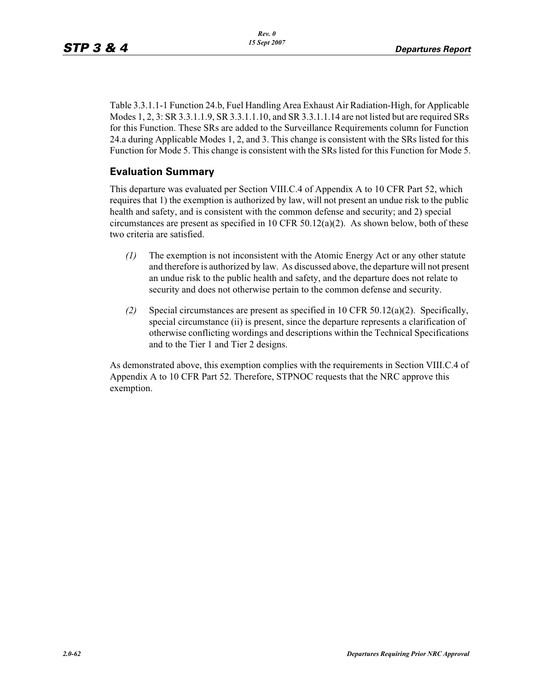Table 3.3.1.1-1 Function 24.b, Fuel Handling Area Exhaust Air Radiation-High, for Applicable Modes 1, 2, 3: SR 3.3.1.1.9, SR 3.3.1.1.10, and SR 3.3.1.1.14 are not listed but are required SRs for this Function. These SRs are added to the Surveillance Requirements column for Function 24.a during Applicable Modes 1, 2, and 3. This change is consistent with the SRs listed for this Function for Mode 5. This change is consistent with the SRs listed for this Function for Mode 5.

## **Evaluation Summary**

This departure was evaluated per Section VIII.C.4 of Appendix A to 10 CFR Part 52, which requires that 1) the exemption is authorized by law, will not present an undue risk to the public health and safety, and is consistent with the common defense and security; and 2) special circumstances are present as specified in 10 CFR  $50.12(a)(2)$ . As shown below, both of these two criteria are satisfied.

- *(1)* The exemption is not inconsistent with the Atomic Energy Act or any other statute and therefore is authorized by law. As discussed above, the departure will not present an undue risk to the public health and safety, and the departure does not relate to security and does not otherwise pertain to the common defense and security.
- *(2)* Special circumstances are present as specified in 10 CFR 50.12(a)(2). Specifically, special circumstance (ii) is present, since the departure represents a clarification of otherwise conflicting wordings and descriptions within the Technical Specifications and to the Tier 1 and Tier 2 designs.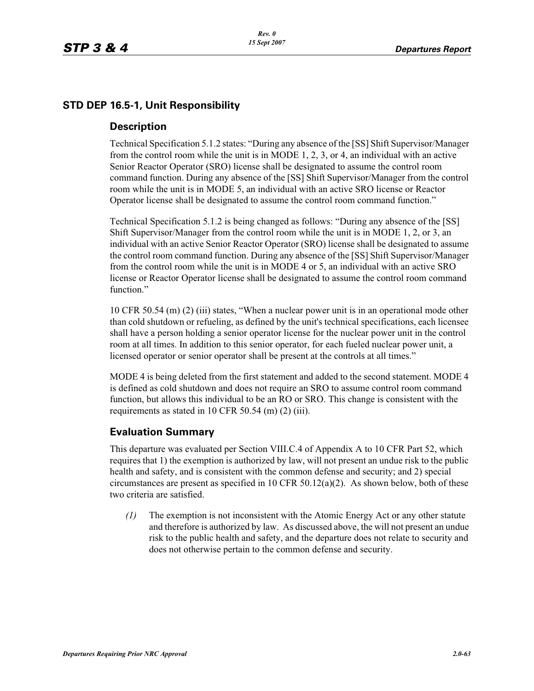## **STD DEP 16.5-1, Unit Responsibility**

#### **Description**

Technical Specification 5.1.2 states: "During any absence of the [SS] Shift Supervisor/Manager from the control room while the unit is in MODE 1, 2, 3, or 4, an individual with an active Senior Reactor Operator (SRO) license shall be designated to assume the control room command function. During any absence of the [SS] Shift Supervisor/Manager from the control room while the unit is in MODE 5, an individual with an active SRO license or Reactor Operator license shall be designated to assume the control room command function."

Technical Specification 5.1.2 is being changed as follows: "During any absence of the [SS] Shift Supervisor/Manager from the control room while the unit is in MODE 1, 2, or 3, an individual with an active Senior Reactor Operator (SRO) license shall be designated to assume the control room command function. During any absence of the [SS] Shift Supervisor/Manager from the control room while the unit is in MODE 4 or 5, an individual with an active SRO license or Reactor Operator license shall be designated to assume the control room command function."

10 CFR 50.54 (m) (2) (iii) states, "When a nuclear power unit is in an operational mode other than cold shutdown or refueling, as defined by the unit's technical specifications, each licensee shall have a person holding a senior operator license for the nuclear power unit in the control room at all times. In addition to this senior operator, for each fueled nuclear power unit, a licensed operator or senior operator shall be present at the controls at all times."

MODE 4 is being deleted from the first statement and added to the second statement. MODE 4 is defined as cold shutdown and does not require an SRO to assume control room command function, but allows this individual to be an RO or SRO. This change is consistent with the requirements as stated in 10 CFR 50.54 (m) (2) (iii).

## **Evaluation Summary**

This departure was evaluated per Section VIII.C.4 of Appendix A to 10 CFR Part 52, which requires that 1) the exemption is authorized by law, will not present an undue risk to the public health and safety, and is consistent with the common defense and security; and 2) special circumstances are present as specified in 10 CFR  $50.12(a)(2)$ . As shown below, both of these two criteria are satisfied.

*(1)* The exemption is not inconsistent with the Atomic Energy Act or any other statute and therefore is authorized by law. As discussed above, the will not present an undue risk to the public health and safety, and the departure does not relate to security and does not otherwise pertain to the common defense and security.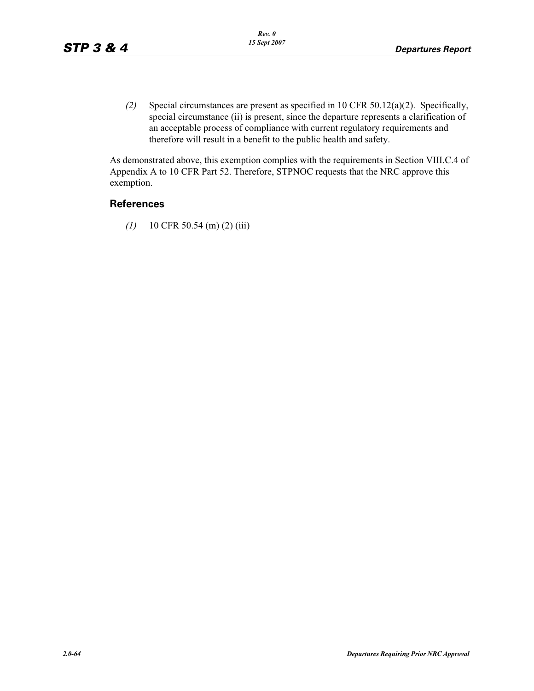*(2)* Special circumstances are present as specified in 10 CFR 50.12(a)(2). Specifically, special circumstance (ii) is present, since the departure represents a clarification of an acceptable process of compliance with current regulatory requirements and therefore will result in a benefit to the public health and safety.

As demonstrated above, this exemption complies with the requirements in Section VIII.C.4 of Appendix A to 10 CFR Part 52. Therefore, STPNOC requests that the NRC approve this exemption.

### **References**

*(1)* 10 CFR 50.54 (m) (2) (iii)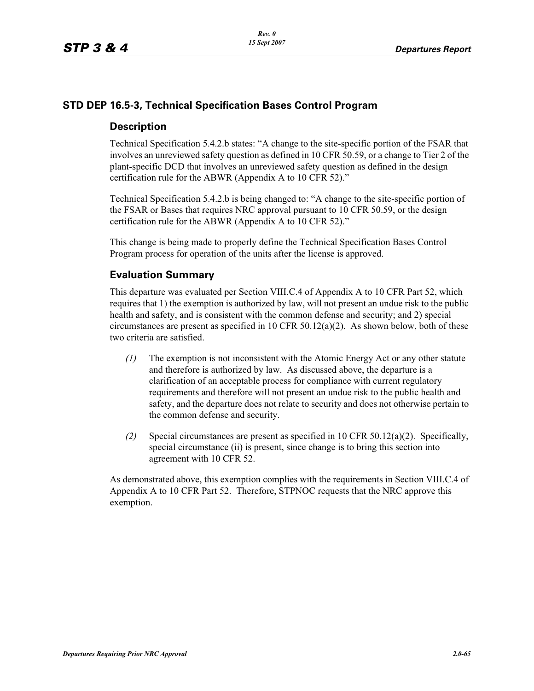## **STD DEP 16.5-3, Technical Specification Bases Control Program**

#### **Description**

Technical Specification 5.4.2.b states: "A change to the site-specific portion of the FSAR that involves an unreviewed safety question as defined in 10 CFR 50.59, or a change to Tier 2 of the plant-specific DCD that involves an unreviewed safety question as defined in the design certification rule for the ABWR (Appendix A to 10 CFR 52)."

Technical Specification 5.4.2.b is being changed to: "A change to the site-specific portion of the FSAR or Bases that requires NRC approval pursuant to 10 CFR 50.59, or the design certification rule for the ABWR (Appendix A to 10 CFR 52)."

This change is being made to properly define the Technical Specification Bases Control Program process for operation of the units after the license is approved.

## **Evaluation Summary**

This departure was evaluated per Section VIII.C.4 of Appendix A to 10 CFR Part 52, which requires that 1) the exemption is authorized by law, will not present an undue risk to the public health and safety, and is consistent with the common defense and security; and 2) special circumstances are present as specified in 10 CFR 50.12(a)(2). As shown below, both of these two criteria are satisfied.

- *(1)* The exemption is not inconsistent with the Atomic Energy Act or any other statute and therefore is authorized by law. As discussed above, the departure is a clarification of an acceptable process for compliance with current regulatory requirements and therefore will not present an undue risk to the public health and safety, and the departure does not relate to security and does not otherwise pertain to the common defense and security.
- *(2)* Special circumstances are present as specified in 10 CFR 50.12(a)(2). Specifically, special circumstance (ii) is present, since change is to bring this section into agreement with 10 CFR 52.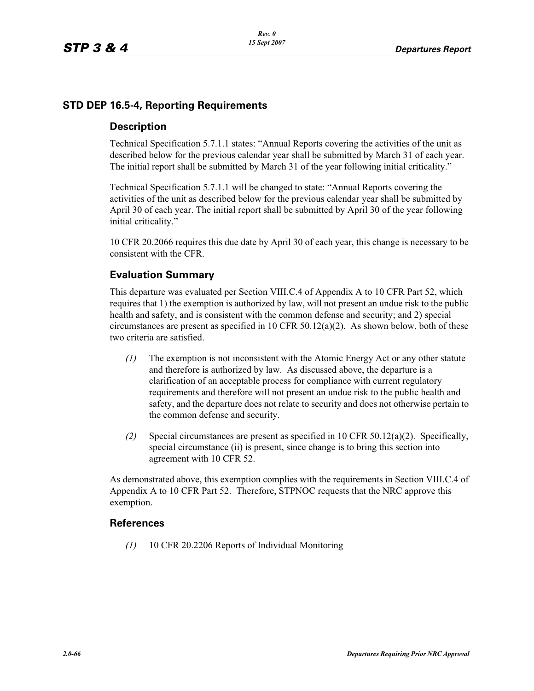## **STD DEP 16.5-4, Reporting Requirements**

#### **Description**

Technical Specification 5.7.1.1 states: "Annual Reports covering the activities of the unit as described below for the previous calendar year shall be submitted by March 31 of each year. The initial report shall be submitted by March 31 of the year following initial criticality."

Technical Specification 5.7.1.1 will be changed to state: "Annual Reports covering the activities of the unit as described below for the previous calendar year shall be submitted by April 30 of each year. The initial report shall be submitted by April 30 of the year following initial criticality."

10 CFR 20.2066 requires this due date by April 30 of each year, this change is necessary to be consistent with the CFR.

#### **Evaluation Summary**

This departure was evaluated per Section VIII.C.4 of Appendix A to 10 CFR Part 52, which requires that 1) the exemption is authorized by law, will not present an undue risk to the public health and safety, and is consistent with the common defense and security; and 2) special circumstances are present as specified in 10 CFR 50.12(a)(2). As shown below, both of these two criteria are satisfied.

- *(1)* The exemption is not inconsistent with the Atomic Energy Act or any other statute and therefore is authorized by law. As discussed above, the departure is a clarification of an acceptable process for compliance with current regulatory requirements and therefore will not present an undue risk to the public health and safety, and the departure does not relate to security and does not otherwise pertain to the common defense and security.
- *(2)* Special circumstances are present as specified in 10 CFR 50.12(a)(2). Specifically, special circumstance (ii) is present, since change is to bring this section into agreement with 10 CFR 52.

As demonstrated above, this exemption complies with the requirements in Section VIII.C.4 of Appendix A to 10 CFR Part 52. Therefore, STPNOC requests that the NRC approve this exemption.

#### **References**

*(1)* 10 CFR 20.2206 Reports of Individual Monitoring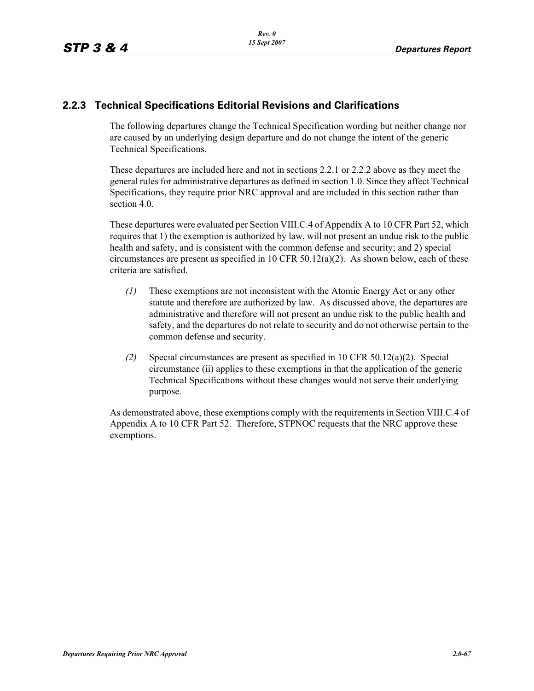## **2.2.3 Technical Specifications Editorial Revisions and Clarifications**

The following departures change the Technical Specification wording but neither change nor are caused by an underlying design departure and do not change the intent of the generic Technical Specifications.

These departures are included here and not in sections 2.2.1 or 2.2.2 above as they meet the general rules for administrative departures as defined in section 1.0. Since they affect Technical Specifications, they require prior NRC approval and are included in this section rather than section 4.0.

These departures were evaluated per Section VIII.C.4 of Appendix A to 10 CFR Part 52, which requires that 1) the exemption is authorized by law, will not present an undue risk to the public health and safety, and is consistent with the common defense and security; and 2) special circumstances are present as specified in 10 CFR 50.12(a)(2). As shown below, each of these criteria are satisfied.

- *(1)* These exemptions are not inconsistent with the Atomic Energy Act or any other statute and therefore are authorized by law. As discussed above, the departures are administrative and therefore will not present an undue risk to the public health and safety, and the departures do not relate to security and do not otherwise pertain to the common defense and security.
- *(2)* Special circumstances are present as specified in 10 CFR 50.12(a)(2). Special circumstance (ii) applies to these exemptions in that the application of the generic Technical Specifications without these changes would not serve their underlying purpose.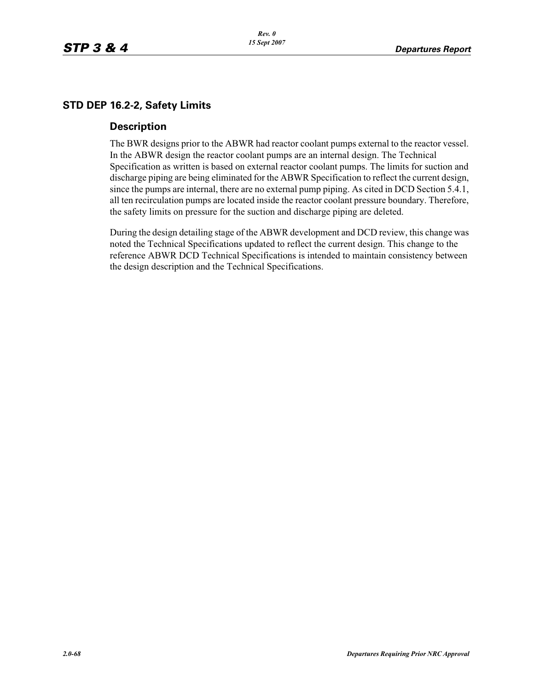## **STD DEP 16.2-2, Safety Limits**

#### **Description**

The BWR designs prior to the ABWR had reactor coolant pumps external to the reactor vessel. In the ABWR design the reactor coolant pumps are an internal design. The Technical Specification as written is based on external reactor coolant pumps. The limits for suction and discharge piping are being eliminated for the ABWR Specification to reflect the current design, since the pumps are internal, there are no external pump piping. As cited in DCD Section 5.4.1, all ten recirculation pumps are located inside the reactor coolant pressure boundary. Therefore, the safety limits on pressure for the suction and discharge piping are deleted.

During the design detailing stage of the ABWR development and DCD review, this change was noted the Technical Specifications updated to reflect the current design. This change to the reference ABWR DCD Technical Specifications is intended to maintain consistency between the design description and the Technical Specifications.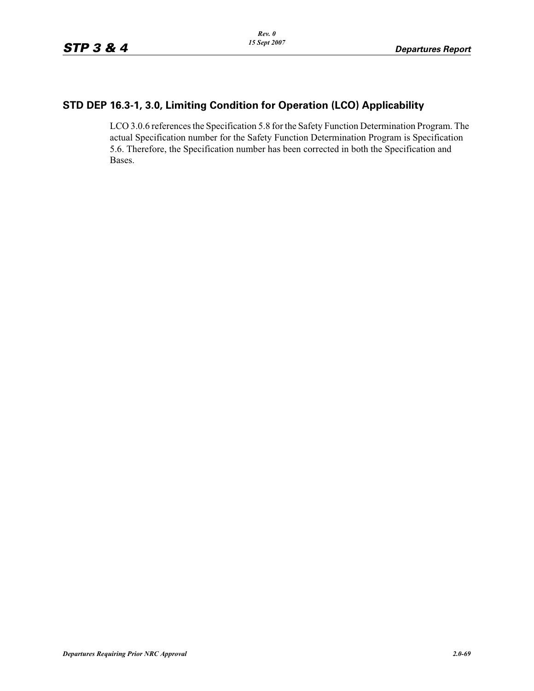# **STD DEP 16.3-1, 3.0, Limiting Condition for Operation (LCO) Applicability**

LCO 3.0.6 references the Specification 5.8 for the Safety Function Determination Program. The actual Specification number for the Safety Function Determination Program is Specification 5.6. Therefore, the Specification number has been corrected in both the Specification and Bases.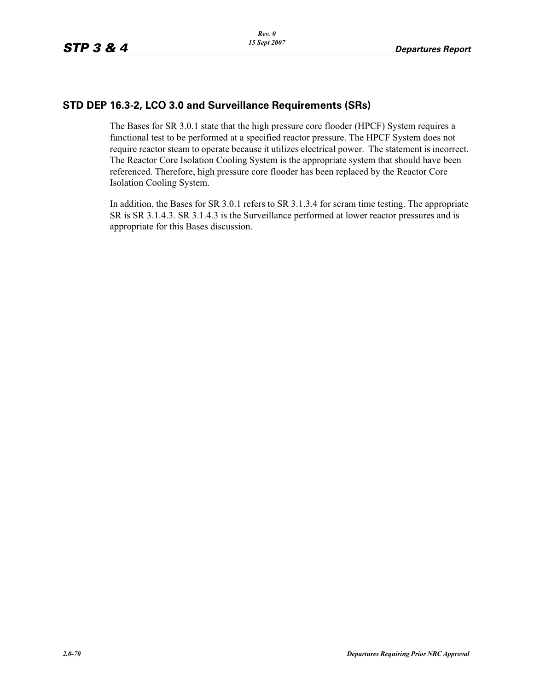## **STD DEP 16.3-2, LCO 3.0 and Surveillance Requirements (SRs)**

The Bases for SR 3.0.1 state that the high pressure core flooder (HPCF) System requires a functional test to be performed at a specified reactor pressure. The HPCF System does not require reactor steam to operate because it utilizes electrical power. The statement is incorrect. The Reactor Core Isolation Cooling System is the appropriate system that should have been referenced. Therefore, high pressure core flooder has been replaced by the Reactor Core Isolation Cooling System.

In addition, the Bases for SR 3.0.1 refers to SR 3.1.3.4 for scram time testing. The appropriate SR is SR 3.1.4.3. SR 3.1.4.3 is the Surveillance performed at lower reactor pressures and is appropriate for this Bases discussion.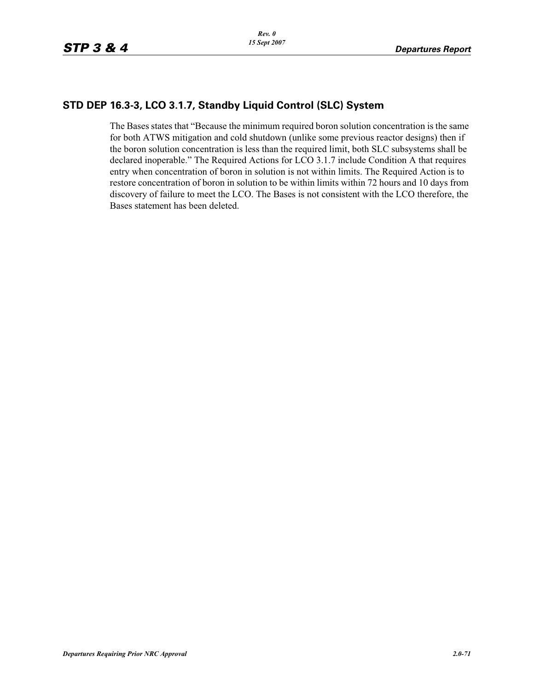## **STD DEP 16.3-3, LCO 3.1.7, Standby Liquid Control (SLC) System**

The Bases states that "Because the minimum required boron solution concentration is the same for both ATWS mitigation and cold shutdown (unlike some previous reactor designs) then if the boron solution concentration is less than the required limit, both SLC subsystems shall be declared inoperable." The Required Actions for LCO 3.1.7 include Condition A that requires entry when concentration of boron in solution is not within limits. The Required Action is to restore concentration of boron in solution to be within limits within 72 hours and 10 days from discovery of failure to meet the LCO. The Bases is not consistent with the LCO therefore, the Bases statement has been deleted.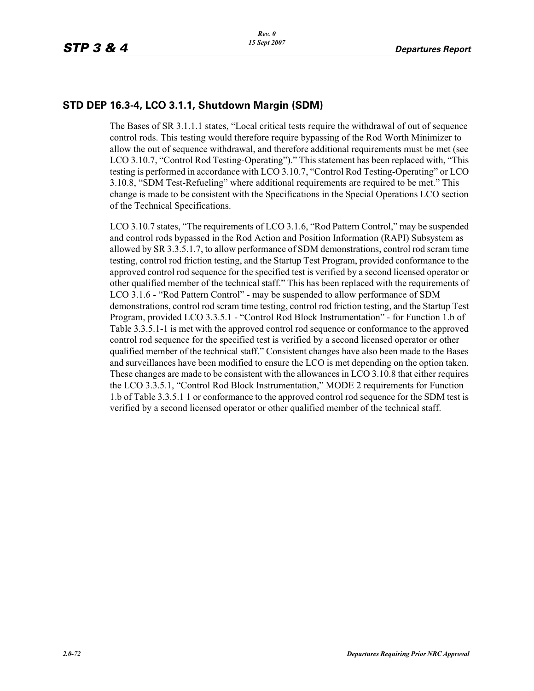## **STD DEP 16.3-4, LCO 3.1.1, Shutdown Margin (SDM)**

The Bases of SR 3.1.1.1 states, "Local critical tests require the withdrawal of out of sequence control rods. This testing would therefore require bypassing of the Rod Worth Minimizer to allow the out of sequence withdrawal, and therefore additional requirements must be met (see LCO 3.10.7, "Control Rod Testing-Operating")." This statement has been replaced with, "This testing is performed in accordance with LCO 3.10.7, "Control Rod Testing-Operating" or LCO 3.10.8, "SDM Test-Refueling" where additional requirements are required to be met." This change is made to be consistent with the Specifications in the Special Operations LCO section of the Technical Specifications.

LCO 3.10.7 states, "The requirements of LCO 3.1.6, "Rod Pattern Control," may be suspended and control rods bypassed in the Rod Action and Position Information (RAPI) Subsystem as allowed by SR 3.3.5.1.7, to allow performance of SDM demonstrations, control rod scram time testing, control rod friction testing, and the Startup Test Program, provided conformance to the approved control rod sequence for the specified test is verified by a second licensed operator or other qualified member of the technical staff." This has been replaced with the requirements of LCO 3.1.6 - "Rod Pattern Control" - may be suspended to allow performance of SDM demonstrations, control rod scram time testing, control rod friction testing, and the Startup Test Program, provided LCO 3.3.5.1 - "Control Rod Block Instrumentation" - for Function 1.b of Table 3.3.5.1-1 is met with the approved control rod sequence or conformance to the approved control rod sequence for the specified test is verified by a second licensed operator or other qualified member of the technical staff." Consistent changes have also been made to the Bases and surveillances have been modified to ensure the LCO is met depending on the option taken. These changes are made to be consistent with the allowances in LCO 3.10.8 that either requires the LCO 3.3.5.1, "Control Rod Block Instrumentation," MODE 2 requirements for Function 1.b of Table 3.3.5.1 1 or conformance to the approved control rod sequence for the SDM test is verified by a second licensed operator or other qualified member of the technical staff.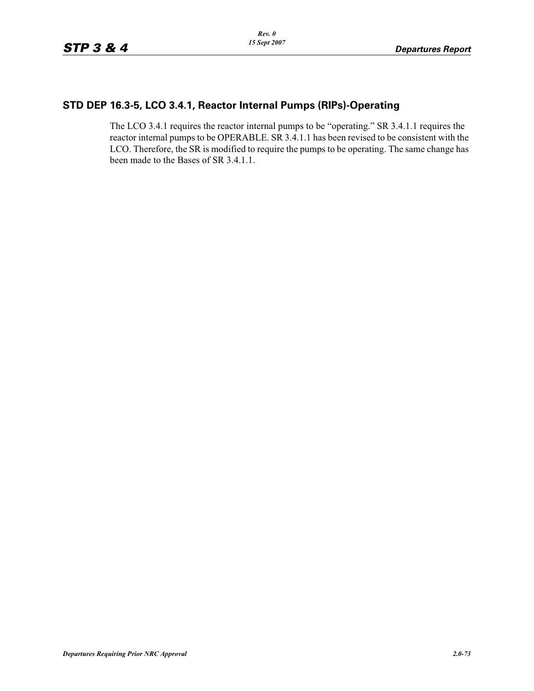#### **STD DEP 16.3-5, LCO 3.4.1, Reactor Internal Pumps (RIPs)-Operating**

The LCO 3.4.1 requires the reactor internal pumps to be "operating." SR 3.4.1.1 requires the reactor internal pumps to be OPERABLE. SR 3.4.1.1 has been revised to be consistent with the LCO. Therefore, the SR is modified to require the pumps to be operating. The same change has been made to the Bases of SR 3.4.1.1.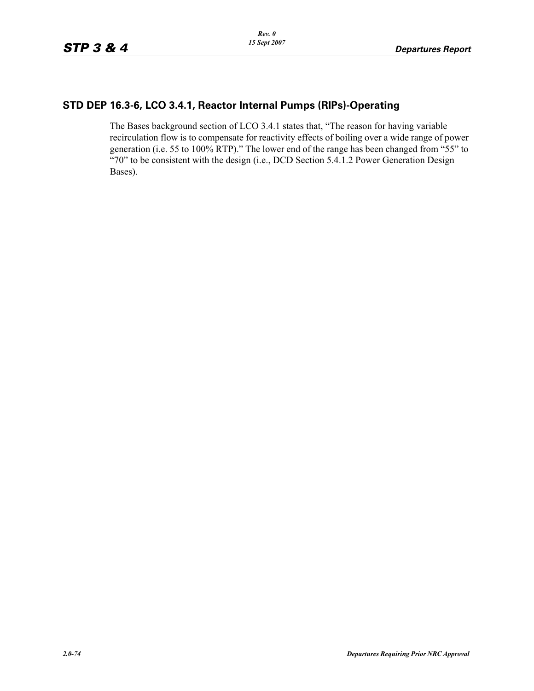### **STD DEP 16.3-6, LCO 3.4.1, Reactor Internal Pumps (RIPs)-Operating**

The Bases background section of LCO 3.4.1 states that, "The reason for having variable recirculation flow is to compensate for reactivity effects of boiling over a wide range of power generation (i.e. 55 to 100% RTP)." The lower end of the range has been changed from "55" to "70" to be consistent with the design (i.e., DCD Section 5.4.1.2 Power Generation Design Bases).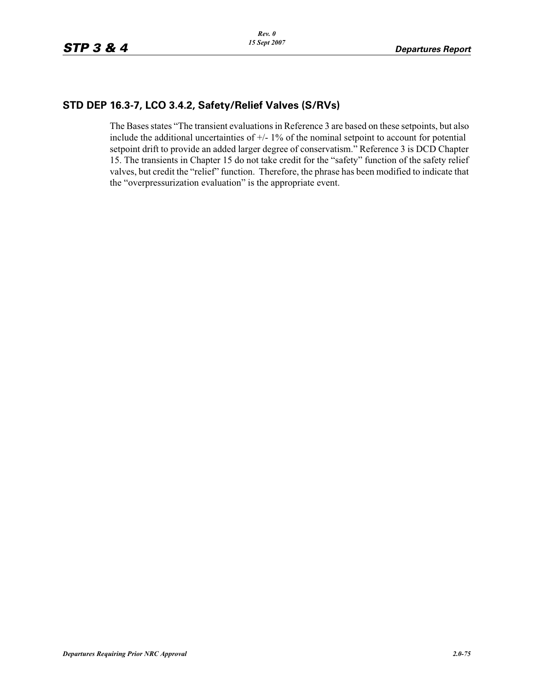### **STD DEP 16.3-7, LCO 3.4.2, Safety/Relief Valves (S/RVs)**

The Bases states "The transient evaluations in Reference 3 are based on these setpoints, but also include the additional uncertainties of  $+/- 1\%$  of the nominal setpoint to account for potential setpoint drift to provide an added larger degree of conservatism." Reference 3 is DCD Chapter 15. The transients in Chapter 15 do not take credit for the "safety" function of the safety relief valves, but credit the "relief" function. Therefore, the phrase has been modified to indicate that the "overpressurization evaluation" is the appropriate event.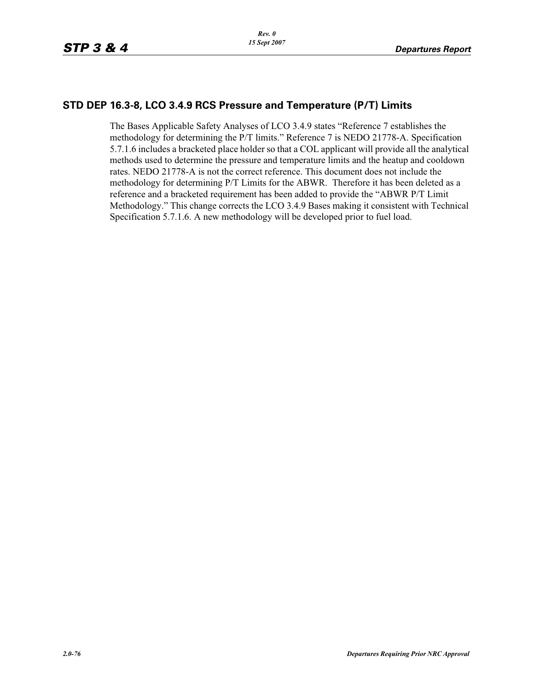#### **STD DEP 16.3-8, LCO 3.4.9 RCS Pressure and Temperature (P/T) Limits**

The Bases Applicable Safety Analyses of LCO 3.4.9 states "Reference 7 establishes the methodology for determining the P/T limits." Reference 7 is NEDO 21778-A. Specification 5.7.1.6 includes a bracketed place holder so that a COL applicant will provide all the analytical methods used to determine the pressure and temperature limits and the heatup and cooldown rates. NEDO 21778-A is not the correct reference. This document does not include the methodology for determining P/T Limits for the ABWR. Therefore it has been deleted as a reference and a bracketed requirement has been added to provide the "ABWR P/T Limit Methodology." This change corrects the LCO 3.4.9 Bases making it consistent with Technical Specification 5.7.1.6. A new methodology will be developed prior to fuel load.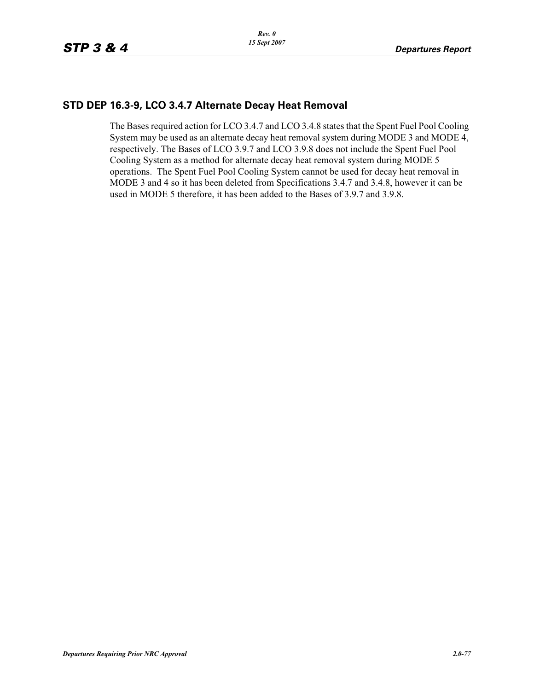## **STD DEP 16.3-9, LCO 3.4.7 Alternate Decay Heat Removal**

The Bases required action for LCO 3.4.7 and LCO 3.4.8 states that the Spent Fuel Pool Cooling System may be used as an alternate decay heat removal system during MODE 3 and MODE 4, respectively. The Bases of LCO 3.9.7 and LCO 3.9.8 does not include the Spent Fuel Pool Cooling System as a method for alternate decay heat removal system during MODE 5 operations. The Spent Fuel Pool Cooling System cannot be used for decay heat removal in MODE 3 and 4 so it has been deleted from Specifications 3.4.7 and 3.4.8, however it can be used in MODE 5 therefore, it has been added to the Bases of 3.9.7 and 3.9.8.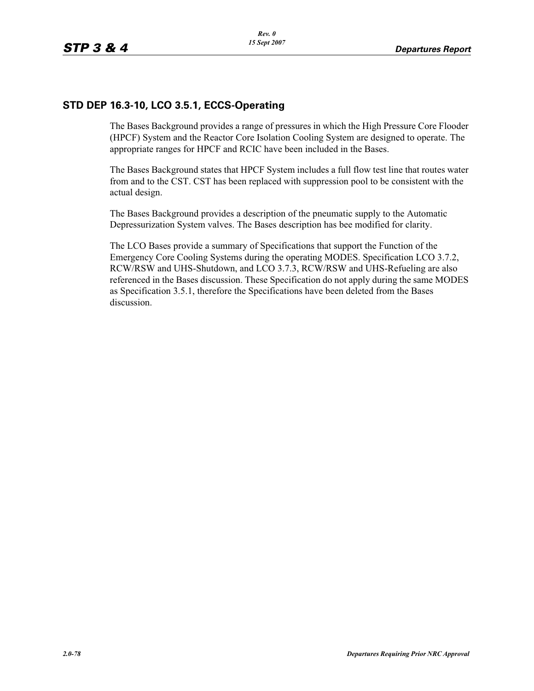## **STD DEP 16.3-10, LCO 3.5.1, ECCS-Operating**

The Bases Background provides a range of pressures in which the High Pressure Core Flooder (HPCF) System and the Reactor Core Isolation Cooling System are designed to operate. The appropriate ranges for HPCF and RCIC have been included in the Bases.

The Bases Background states that HPCF System includes a full flow test line that routes water from and to the CST. CST has been replaced with suppression pool to be consistent with the actual design.

The Bases Background provides a description of the pneumatic supply to the Automatic Depressurization System valves. The Bases description has bee modified for clarity.

The LCO Bases provide a summary of Specifications that support the Function of the Emergency Core Cooling Systems during the operating MODES. Specification LCO 3.7.2, RCW/RSW and UHS-Shutdown, and LCO 3.7.3, RCW/RSW and UHS-Refueling are also referenced in the Bases discussion. These Specification do not apply during the same MODES as Specification 3.5.1, therefore the Specifications have been deleted from the Bases discussion.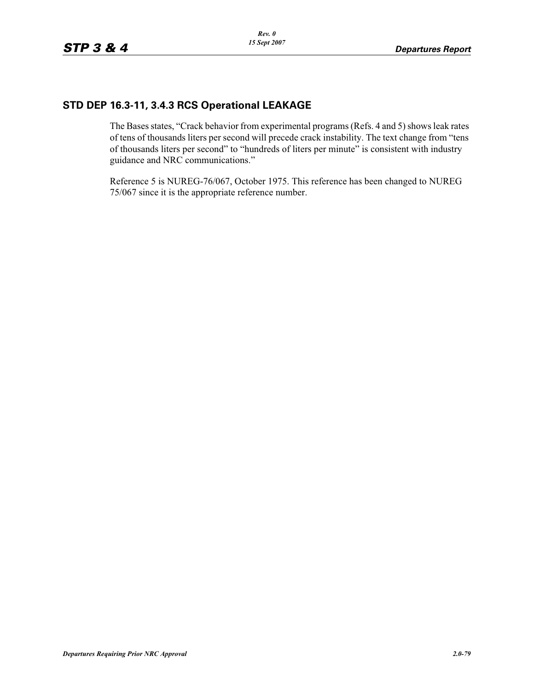# **STD DEP 16.3-11, 3.4.3 RCS Operational LEAKAGE**

The Bases states, "Crack behavior from experimental programs (Refs. 4 and 5) shows leak rates of tens of thousands liters per second will precede crack instability. The text change from "tens of thousands liters per second" to "hundreds of liters per minute" is consistent with industry guidance and NRC communications."

Reference 5 is NUREG-76/067, October 1975. This reference has been changed to NUREG 75/067 since it is the appropriate reference number.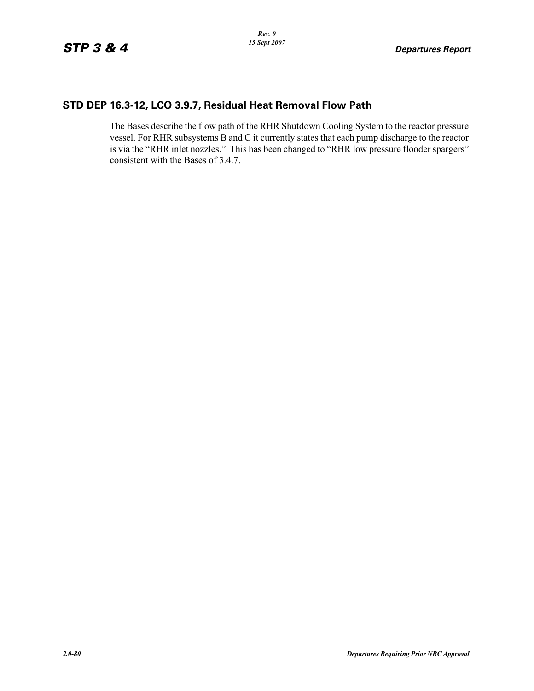## **STD DEP 16.3-12, LCO 3.9.7, Residual Heat Removal Flow Path**

The Bases describe the flow path of the RHR Shutdown Cooling System to the reactor pressure vessel. For RHR subsystems B and C it currently states that each pump discharge to the reactor is via the "RHR inlet nozzles." This has been changed to "RHR low pressure flooder spargers" consistent with the Bases of 3.4.7.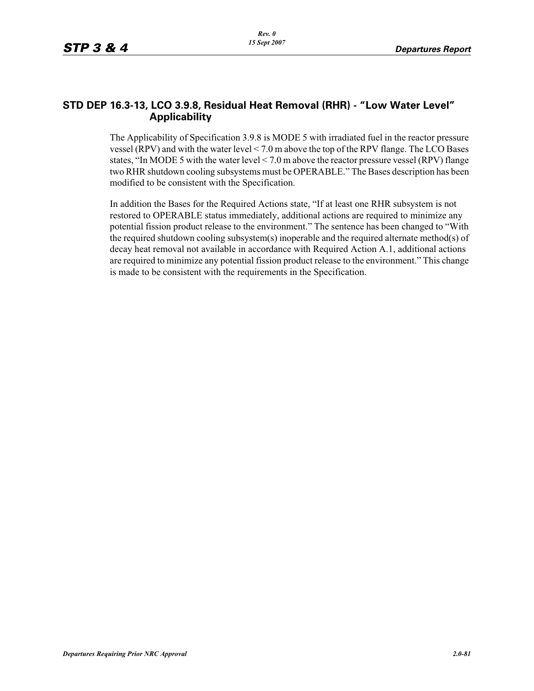#### **STD DEP 16.3-13, LCO 3.9.8, Residual Heat Removal (RHR) - "Low Water Level" Applicability**

The Applicability of Specification 3.9.8 is MODE 5 with irradiated fuel in the reactor pressure vessel (RPV) and with the water level < 7.0 m above the top of the RPV flange. The LCO Bases states, "In MODE 5 with the water level < 7.0 m above the reactor pressure vessel (RPV) flange two RHR shutdown cooling subsystems must be OPERABLE." The Bases description has been modified to be consistent with the Specification.

In addition the Bases for the Required Actions state, "If at least one RHR subsystem is not restored to OPERABLE status immediately, additional actions are required to minimize any potential fission product release to the environment." The sentence has been changed to "With the required shutdown cooling subsystem(s) inoperable and the required alternate method(s) of decay heat removal not available in accordance with Required Action A.1, additional actions are required to minimize any potential fission product release to the environment." This change is made to be consistent with the requirements in the Specification.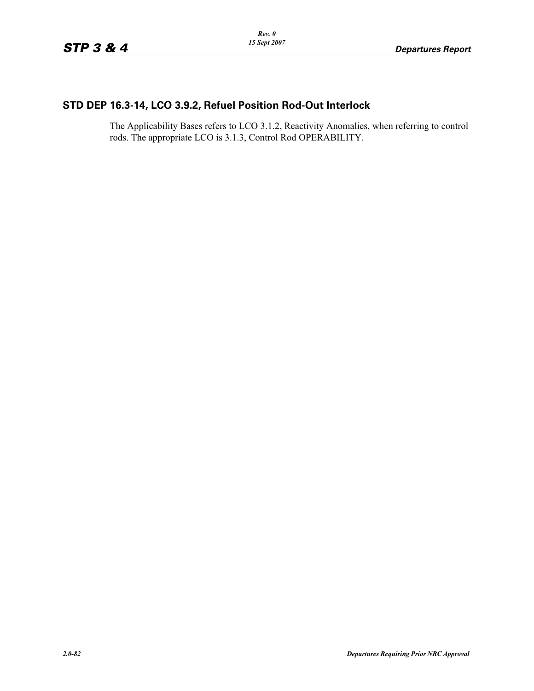## **STD DEP 16.3-14, LCO 3.9.2, Refuel Position Rod-Out Interlock**

The Applicability Bases refers to LCO 3.1.2, Reactivity Anomalies, when referring to control rods. The appropriate LCO is 3.1.3, Control Rod OPERABILITY.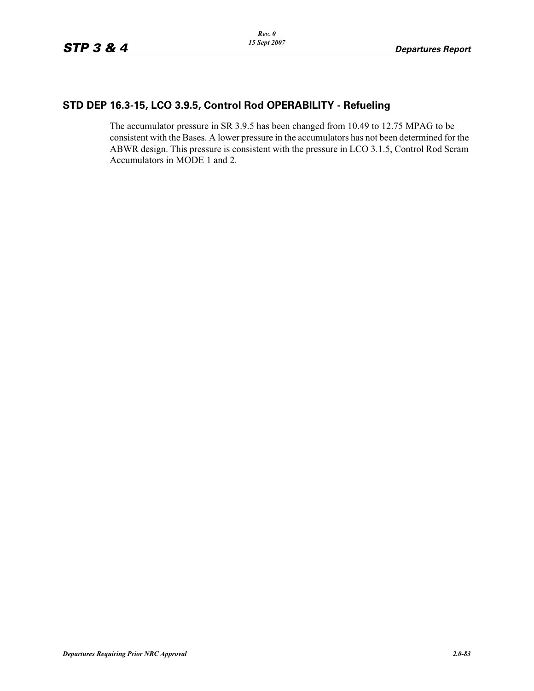## **STD DEP 16.3-15, LCO 3.9.5, Control Rod OPERABILITY - Refueling**

The accumulator pressure in SR 3.9.5 has been changed from 10.49 to 12.75 MPAG to be consistent with the Bases. A lower pressure in the accumulators has not been determined for the ABWR design. This pressure is consistent with the pressure in LCO 3.1.5, Control Rod Scram Accumulators in MODE 1 and 2.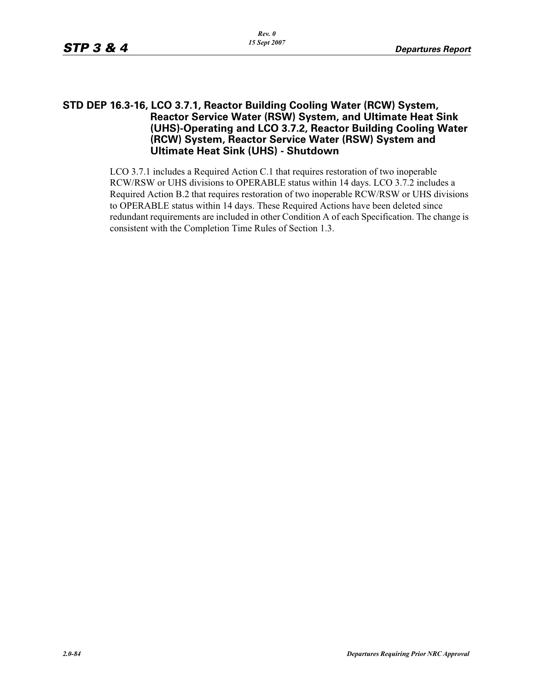#### **STD DEP 16.3-16, LCO 3.7.1, Reactor Building Cooling Water (RCW) System, Reactor Service Water (RSW) System, and Ultimate Heat Sink (UHS)-Operating and LCO 3.7.2, Reactor Building Cooling Water (RCW) System, Reactor Service Water (RSW) System and Ultimate Heat Sink (UHS) - Shutdown**

LCO 3.7.1 includes a Required Action C.1 that requires restoration of two inoperable RCW/RSW or UHS divisions to OPERABLE status within 14 days. LCO 3.7.2 includes a Required Action B.2 that requires restoration of two inoperable RCW/RSW or UHS divisions to OPERABLE status within 14 days. These Required Actions have been deleted since redundant requirements are included in other Condition A of each Specification. The change is consistent with the Completion Time Rules of Section 1.3.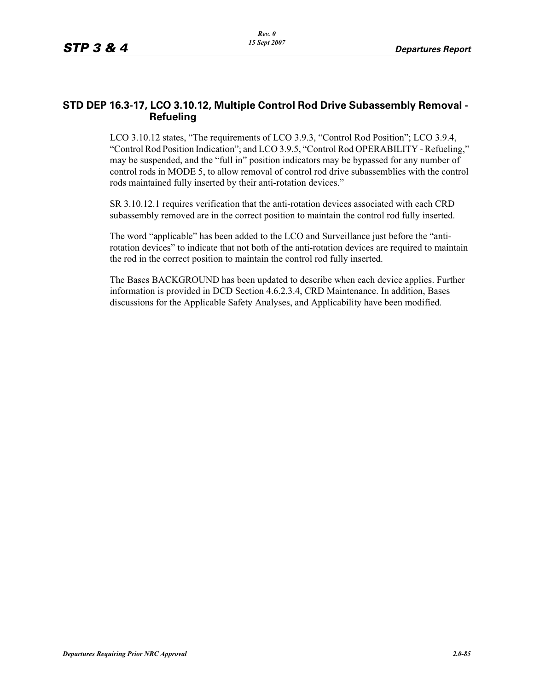#### **STD DEP 16.3-17, LCO 3.10.12, Multiple Control Rod Drive Subassembly Removal - Refueling**

LCO 3.10.12 states, "The requirements of LCO 3.9.3, "Control Rod Position"; LCO 3.9.4, "Control Rod Position Indication"; and LCO 3.9.5, "Control Rod OPERABILITY - Refueling," may be suspended, and the "full in" position indicators may be bypassed for any number of control rods in MODE 5, to allow removal of control rod drive subassemblies with the control rods maintained fully inserted by their anti-rotation devices."

SR 3.10.12.1 requires verification that the anti-rotation devices associated with each CRD subassembly removed are in the correct position to maintain the control rod fully inserted.

The word "applicable" has been added to the LCO and Surveillance just before the "antirotation devices" to indicate that not both of the anti-rotation devices are required to maintain the rod in the correct position to maintain the control rod fully inserted.

The Bases BACKGROUND has been updated to describe when each device applies. Further information is provided in DCD Section 4.6.2.3.4, CRD Maintenance. In addition, Bases discussions for the Applicable Safety Analyses, and Applicability have been modified.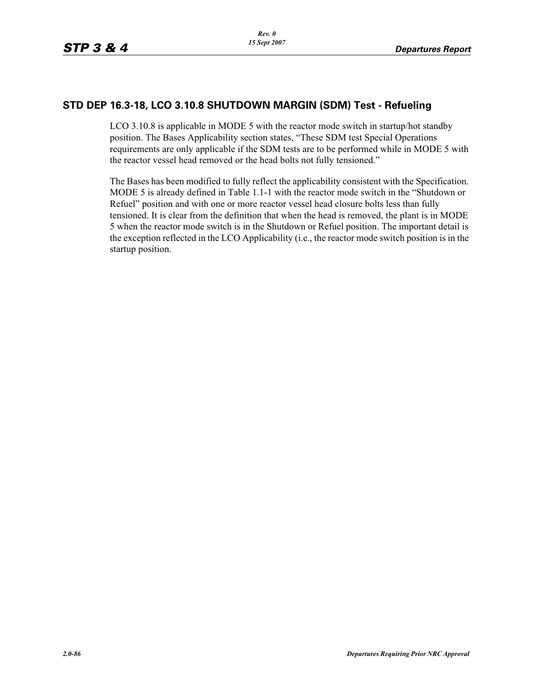### **STD DEP 16.3-18, LCO 3.10.8 SHUTDOWN MARGIN (SDM) Test - Refueling**

LCO 3.10.8 is applicable in MODE 5 with the reactor mode switch in startup/hot standby position. The Bases Applicability section states, "These SDM test Special Operations requirements are only applicable if the SDM tests are to be performed while in MODE 5 with the reactor vessel head removed or the head bolts not fully tensioned."

The Bases has been modified to fully reflect the applicability consistent with the Specification. MODE 5 is already defined in Table 1.1-1 with the reactor mode switch in the "Shutdown or Refuel" position and with one or more reactor vessel head closure bolts less than fully tensioned. It is clear from the definition that when the head is removed, the plant is in MODE 5 when the reactor mode switch is in the Shutdown or Refuel position. The important detail is the exception reflected in the LCO Applicability (i.e., the reactor mode switch position is in the startup position.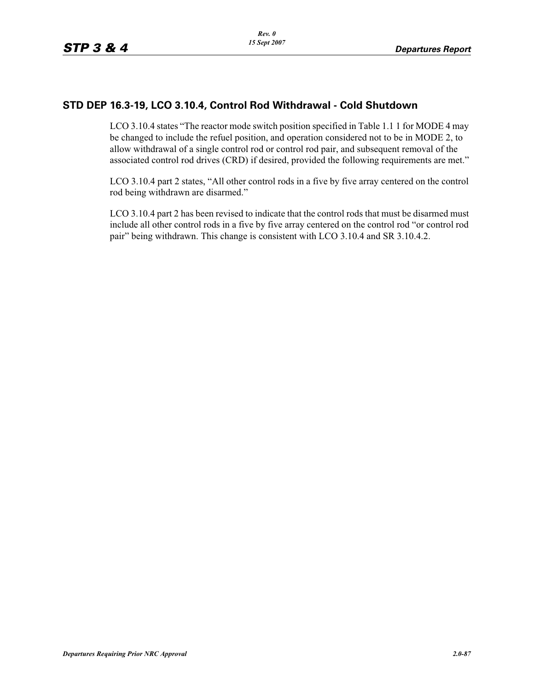### **STD DEP 16.3-19, LCO 3.10.4, Control Rod Withdrawal - Cold Shutdown**

LCO 3.10.4 states "The reactor mode switch position specified in Table 1.1 1 for MODE 4 may be changed to include the refuel position, and operation considered not to be in MODE 2, to allow withdrawal of a single control rod or control rod pair, and subsequent removal of the associated control rod drives (CRD) if desired, provided the following requirements are met."

LCO 3.10.4 part 2 states, "All other control rods in a five by five array centered on the control rod being withdrawn are disarmed."

LCO 3.10.4 part 2 has been revised to indicate that the control rods that must be disarmed must include all other control rods in a five by five array centered on the control rod "or control rod pair" being withdrawn. This change is consistent with LCO 3.10.4 and SR 3.10.4.2.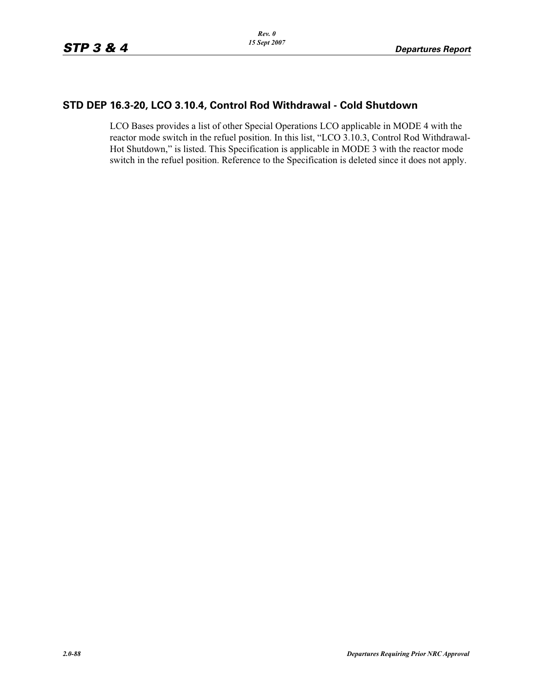### **STD DEP 16.3-20, LCO 3.10.4, Control Rod Withdrawal - Cold Shutdown**

LCO Bases provides a list of other Special Operations LCO applicable in MODE 4 with the reactor mode switch in the refuel position. In this list, "LCO 3.10.3, Control Rod Withdrawal-Hot Shutdown," is listed. This Specification is applicable in MODE 3 with the reactor mode switch in the refuel position. Reference to the Specification is deleted since it does not apply.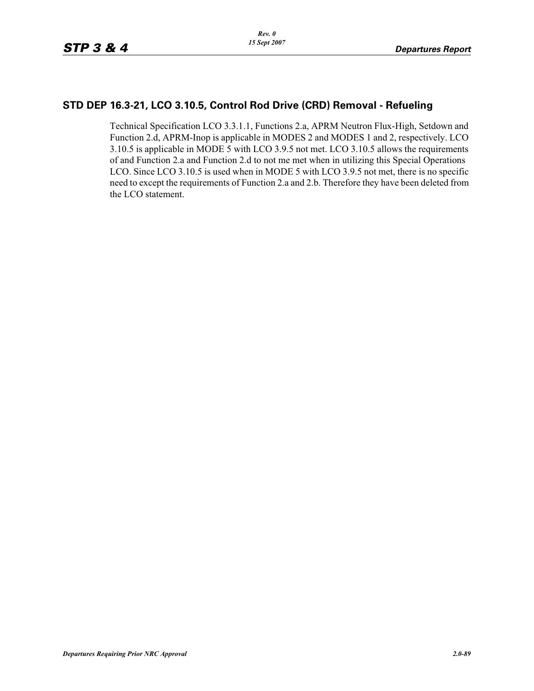### **STD DEP 16.3-21, LCO 3.10.5, Control Rod Drive (CRD) Removal - Refueling**

Technical Specification LCO 3.3.1.1, Functions 2.a, APRM Neutron Flux-High, Setdown and Function 2.d, APRM-Inop is applicable in MODES 2 and MODES 1 and 2, respectively. LCO 3.10.5 is applicable in MODE 5 with LCO 3.9.5 not met. LCO 3.10.5 allows the requirements of and Function 2.a and Function 2.d to not me met when in utilizing this Special Operations LCO. Since LCO 3.10.5 is used when in MODE 5 with LCO 3.9.5 not met, there is no specific need to except the requirements of Function 2.a and 2.b. Therefore they have been deleted from the LCO statement.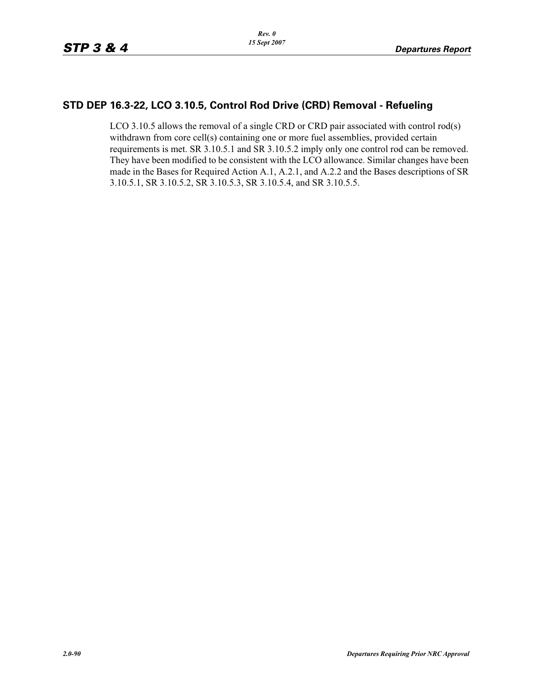### **STD DEP 16.3-22, LCO 3.10.5, Control Rod Drive (CRD) Removal - Refueling**

LCO 3.10.5 allows the removal of a single CRD or CRD pair associated with control rod(s) withdrawn from core cell(s) containing one or more fuel assemblies, provided certain requirements is met. SR 3.10.5.1 and SR 3.10.5.2 imply only one control rod can be removed. They have been modified to be consistent with the LCO allowance. Similar changes have been made in the Bases for Required Action A.1, A.2.1, and A.2.2 and the Bases descriptions of SR 3.10.5.1, SR 3.10.5.2, SR 3.10.5.3, SR 3.10.5.4, and SR 3.10.5.5.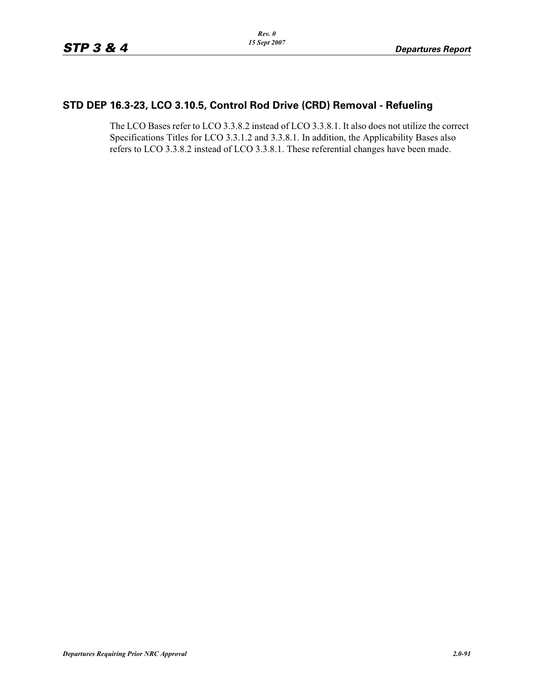## **STD DEP 16.3-23, LCO 3.10.5, Control Rod Drive (CRD) Removal - Refueling**

The LCO Bases refer to LCO 3.3.8.2 instead of LCO 3.3.8.1. It also does not utilize the correct Specifications Titles for LCO 3.3.1.2 and 3.3.8.1. In addition, the Applicability Bases also refers to LCO 3.3.8.2 instead of LCO 3.3.8.1. These referential changes have been made.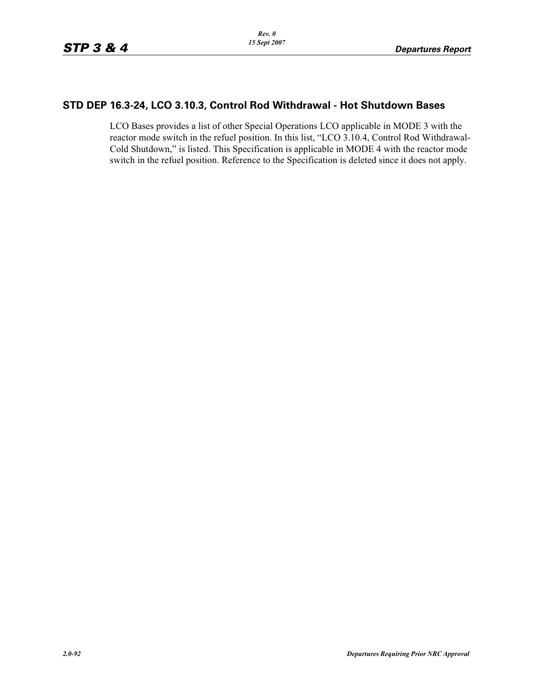#### **STD DEP 16.3-24, LCO 3.10.3, Control Rod Withdrawal - Hot Shutdown Bases**

LCO Bases provides a list of other Special Operations LCO applicable in MODE 3 with the reactor mode switch in the refuel position. In this list, "LCO 3.10.4, Control Rod Withdrawal-Cold Shutdown," is listed. This Specification is applicable in MODE 4 with the reactor mode switch in the refuel position. Reference to the Specification is deleted since it does not apply.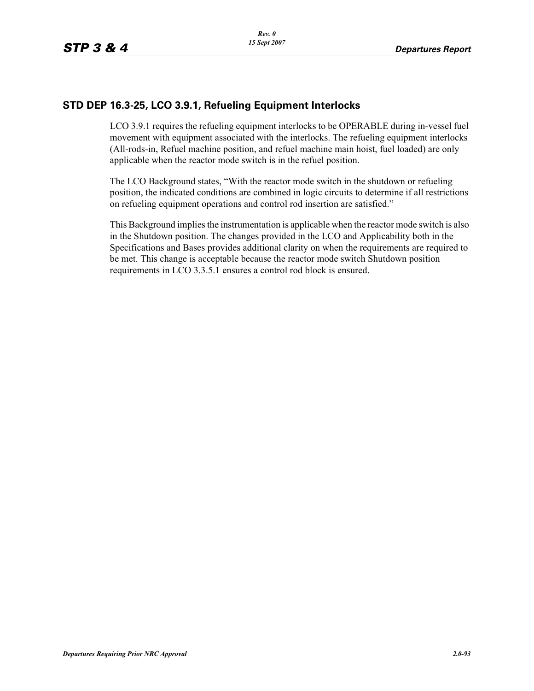### **STD DEP 16.3-25, LCO 3.9.1, Refueling Equipment Interlocks**

LCO 3.9.1 requires the refueling equipment interlocks to be OPERABLE during in-vessel fuel movement with equipment associated with the interlocks. The refueling equipment interlocks (All-rods-in, Refuel machine position, and refuel machine main hoist, fuel loaded) are only applicable when the reactor mode switch is in the refuel position.

The LCO Background states, "With the reactor mode switch in the shutdown or refueling position, the indicated conditions are combined in logic circuits to determine if all restrictions on refueling equipment operations and control rod insertion are satisfied."

This Background implies the instrumentation is applicable when the reactor mode switch is also in the Shutdown position. The changes provided in the LCO and Applicability both in the Specifications and Bases provides additional clarity on when the requirements are required to be met. This change is acceptable because the reactor mode switch Shutdown position requirements in LCO 3.3.5.1 ensures a control rod block is ensured.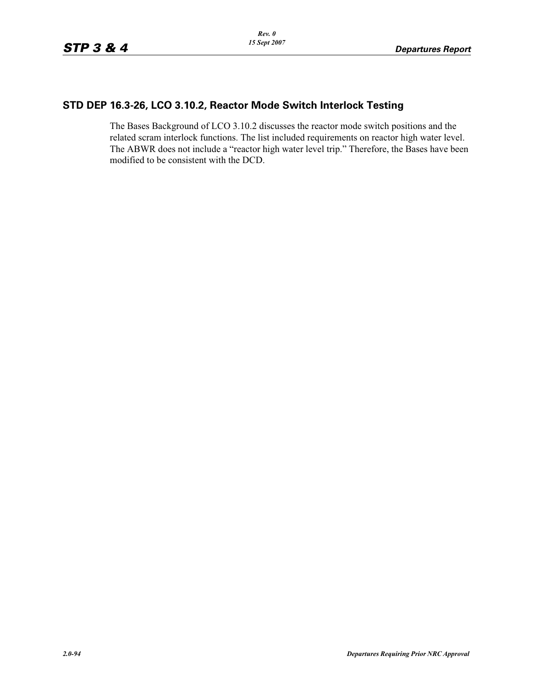### **STD DEP 16.3-26, LCO 3.10.2, Reactor Mode Switch Interlock Testing**

The Bases Background of LCO 3.10.2 discusses the reactor mode switch positions and the related scram interlock functions. The list included requirements on reactor high water level. The ABWR does not include a "reactor high water level trip." Therefore, the Bases have been modified to be consistent with the DCD.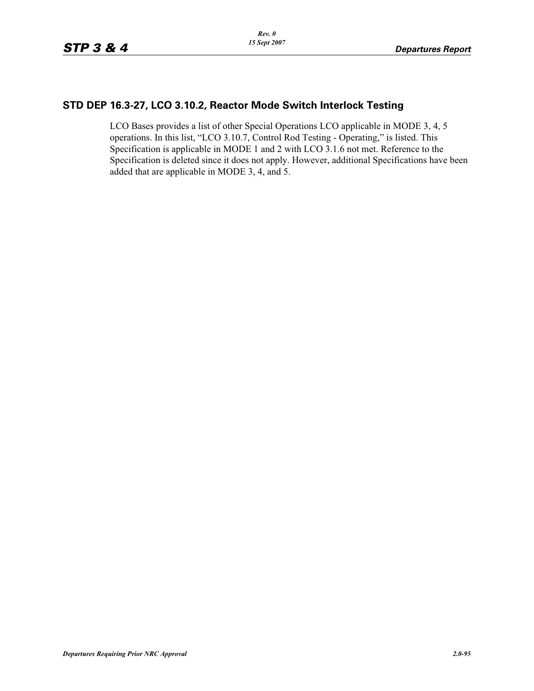### **STD DEP 16.3-27, LCO 3.10.2, Reactor Mode Switch Interlock Testing**

LCO Bases provides a list of other Special Operations LCO applicable in MODE 3, 4, 5 operations. In this list, "LCO 3.10.7, Control Rod Testing - Operating," is listed. This Specification is applicable in MODE 1 and 2 with LCO 3.1.6 not met. Reference to the Specification is deleted since it does not apply. However, additional Specifications have been added that are applicable in MODE 3, 4, and 5.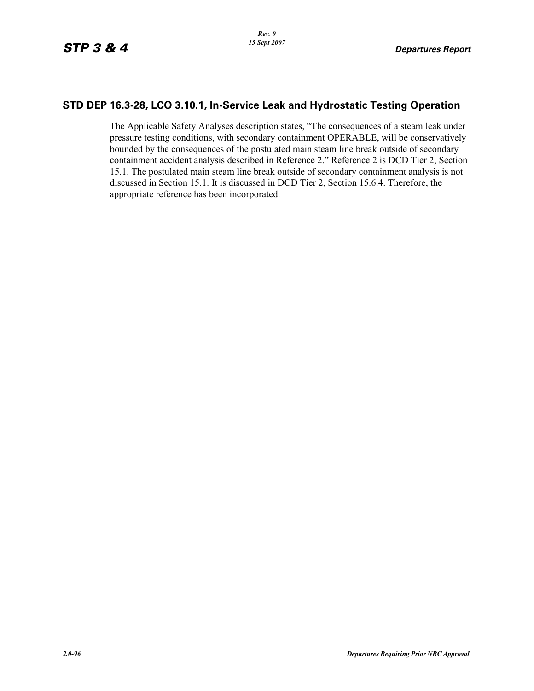# **STD DEP 16.3-28, LCO 3.10.1, In-Service Leak and Hydrostatic Testing Operation**

The Applicable Safety Analyses description states, "The consequences of a steam leak under pressure testing conditions, with secondary containment OPERABLE, will be conservatively bounded by the consequences of the postulated main steam line break outside of secondary containment accident analysis described in Reference 2." Reference 2 is DCD Tier 2, Section 15.1. The postulated main steam line break outside of secondary containment analysis is not discussed in Section 15.1. It is discussed in DCD Tier 2, Section 15.6.4. Therefore, the appropriate reference has been incorporated.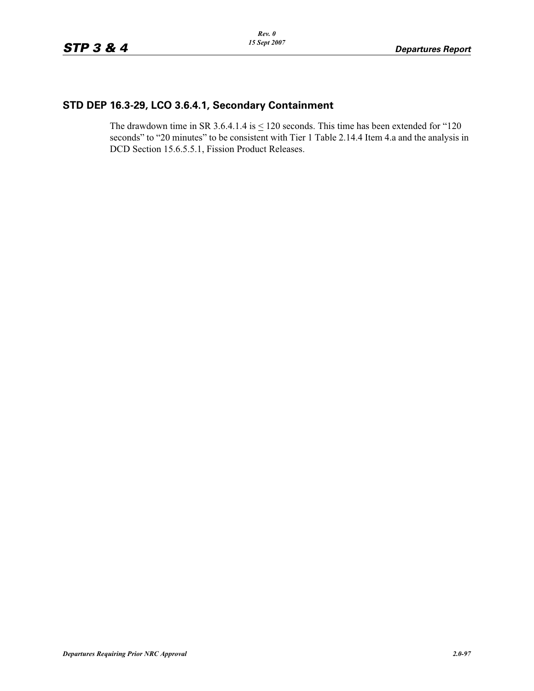# **STD DEP 16.3-29, LCO 3.6.4.1, Secondary Containment**

The drawdown time in SR 3.6.4.1.4 is  $\leq$  120 seconds. This time has been extended for "120 seconds" to "20 minutes" to be consistent with Tier 1 Table 2.14.4 Item 4.a and the analysis in DCD Section 15.6.5.5.1, Fission Product Releases.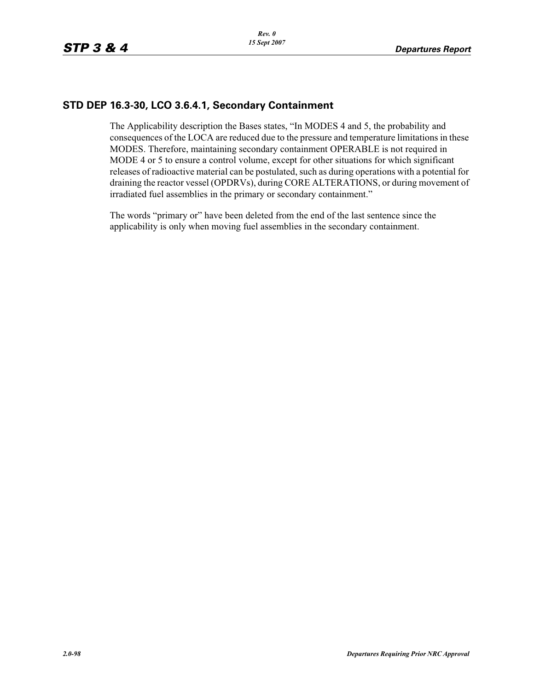### **STD DEP 16.3-30, LCO 3.6.4.1, Secondary Containment**

The Applicability description the Bases states, "In MODES 4 and 5, the probability and consequences of the LOCA are reduced due to the pressure and temperature limitations in these MODES. Therefore, maintaining secondary containment OPERABLE is not required in MODE 4 or 5 to ensure a control volume, except for other situations for which significant releases of radioactive material can be postulated, such as during operations with a potential for draining the reactor vessel (OPDRVs), during CORE ALTERATIONS, or during movement of irradiated fuel assemblies in the primary or secondary containment."

The words "primary or" have been deleted from the end of the last sentence since the applicability is only when moving fuel assemblies in the secondary containment.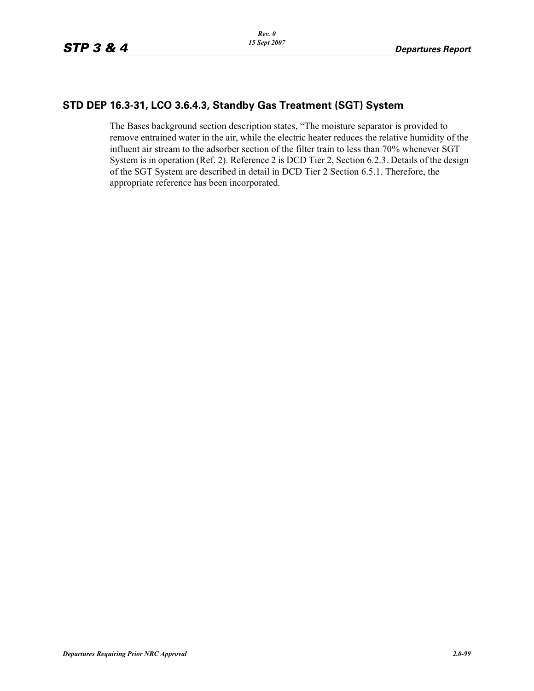### **STD DEP 16.3-31, LCO 3.6.4.3, Standby Gas Treatment (SGT) System**

The Bases background section description states, "The moisture separator is provided to remove entrained water in the air, while the electric heater reduces the relative humidity of the influent air stream to the adsorber section of the filter train to less than 70% whenever SGT System is in operation (Ref. 2). Reference 2 is DCD Tier 2, Section 6.2.3. Details of the design of the SGT System are described in detail in DCD Tier 2 Section 6.5.1. Therefore, the appropriate reference has been incorporated.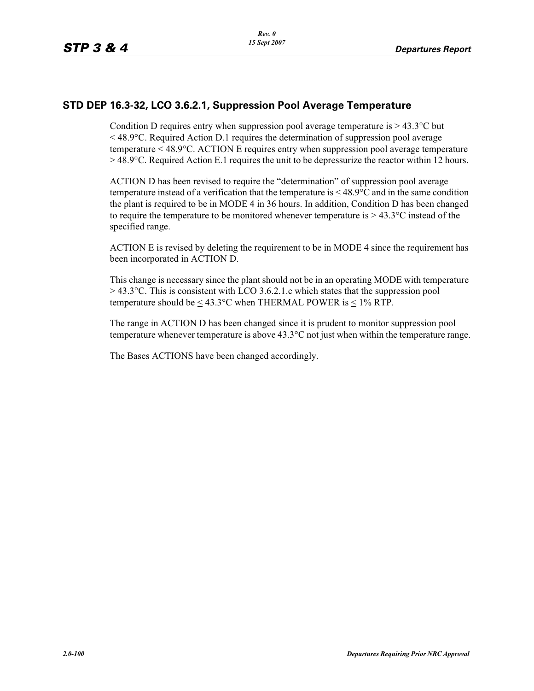### **STD DEP 16.3-32, LCO 3.6.2.1, Suppression Pool Average Temperature**

Condition D requires entry when suppression pool average temperature is  $> 43.3$ °C but  $\leq$  48.9 $\degree$ C. Required Action D.1 requires the determination of suppression pool average temperature < 48.9°C. ACTION E requires entry when suppression pool average temperature  $>$  48.9 $\degree$ C. Required Action E.1 requires the unit to be depressurize the reactor within 12 hours.

ACTION D has been revised to require the "determination" of suppression pool average temperature instead of a verification that the temperature is  $\leq 48.9$ °C and in the same condition the plant is required to be in MODE 4 in 36 hours. In addition, Condition D has been changed to require the temperature to be monitored whenever temperature is  $> 43.3$ °C instead of the specified range.

ACTION E is revised by deleting the requirement to be in MODE 4 since the requirement has been incorporated in ACTION D.

This change is necessary since the plant should not be in an operating MODE with temperature  $>$  43.3 $^{\circ}$ C. This is consistent with LCO 3.6.2.1.c which states that the suppression pool temperature should be  $\leq 43.3$ °C when THERMAL POWER is  $\leq 1\%$  RTP.

The range in ACTION D has been changed since it is prudent to monitor suppression pool temperature whenever temperature is above  $43.3^{\circ}$ C not just when within the temperature range.

The Bases ACTIONS have been changed accordingly.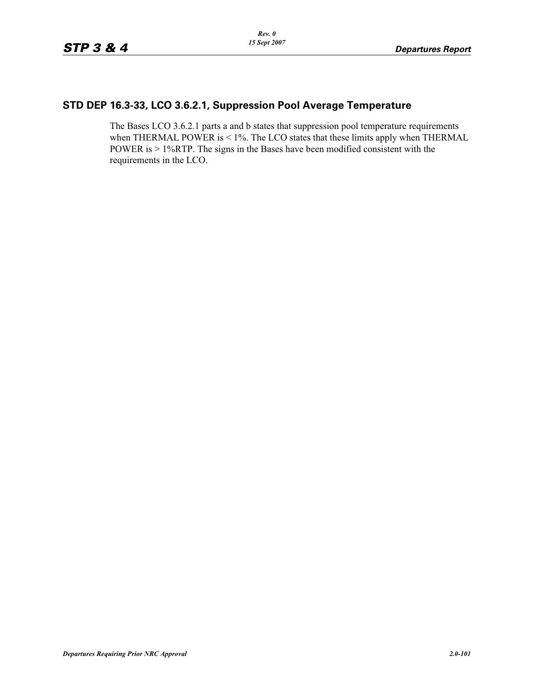## **STD DEP 16.3-33, LCO 3.6.2.1, Suppression Pool Average Temperature**

The Bases LCO 3.6.2.1 parts a and b states that suppression pool temperature requirements when THERMAL POWER is < 1%. The LCO states that these limits apply when THERMAL POWER is > 1%RTP. The signs in the Bases have been modified consistent with the requirements in the LCO.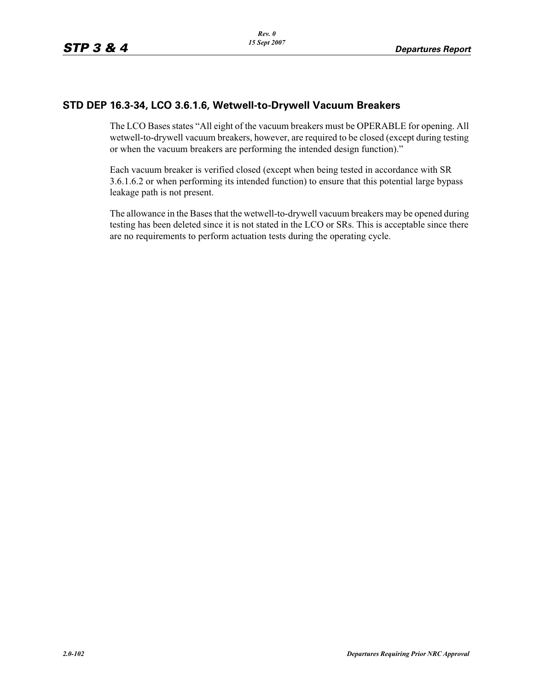### **STD DEP 16.3-34, LCO 3.6.1.6, Wetwell-to-Drywell Vacuum Breakers**

The LCO Bases states "All eight of the vacuum breakers must be OPERABLE for opening. All wetwell-to-drywell vacuum breakers, however, are required to be closed (except during testing or when the vacuum breakers are performing the intended design function)."

Each vacuum breaker is verified closed (except when being tested in accordance with SR 3.6.1.6.2 or when performing its intended function) to ensure that this potential large bypass leakage path is not present.

The allowance in the Bases that the wetwell-to-drywell vacuum breakers may be opened during testing has been deleted since it is not stated in the LCO or SRs. This is acceptable since there are no requirements to perform actuation tests during the operating cycle.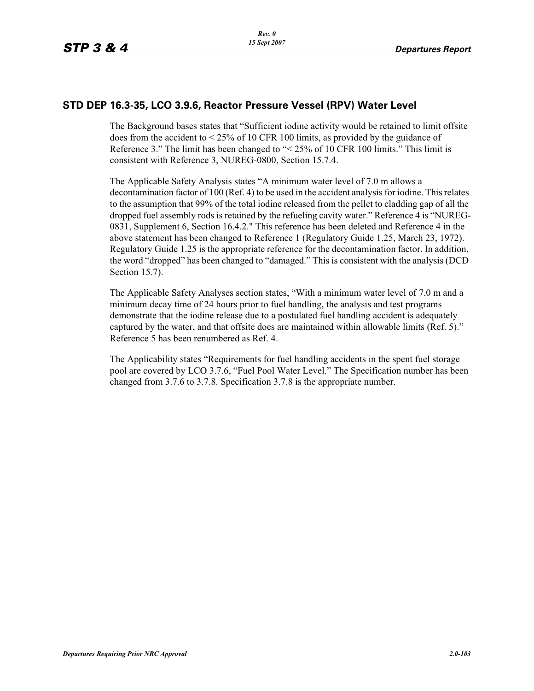#### **STD DEP 16.3-35, LCO 3.9.6, Reactor Pressure Vessel (RPV) Water Level**

The Background bases states that "Sufficient iodine activity would be retained to limit offsite does from the accident to < 25% of 10 CFR 100 limits, as provided by the guidance of Reference 3." The limit has been changed to "< 25% of 10 CFR 100 limits." This limit is consistent with Reference 3, NUREG-0800, Section 15.7.4.

The Applicable Safety Analysis states "A minimum water level of 7.0 m allows a decontamination factor of 100 (Ref. 4) to be used in the accident analysis for iodine. This relates to the assumption that 99% of the total iodine released from the pellet to cladding gap of all the dropped fuel assembly rods is retained by the refueling cavity water." Reference 4 is "NUREG-0831, Supplement 6, Section 16.4.2." This reference has been deleted and Reference 4 in the above statement has been changed to Reference 1 (Regulatory Guide 1.25, March 23, 1972). Regulatory Guide 1.25 is the appropriate reference for the decontamination factor. In addition, the word "dropped" has been changed to "damaged." This is consistent with the analysis (DCD Section 15.7).

The Applicable Safety Analyses section states, "With a minimum water level of 7.0 m and a minimum decay time of 24 hours prior to fuel handling, the analysis and test programs demonstrate that the iodine release due to a postulated fuel handling accident is adequately captured by the water, and that offsite does are maintained within allowable limits (Ref. 5)." Reference 5 has been renumbered as Ref. 4.

The Applicability states "Requirements for fuel handling accidents in the spent fuel storage pool are covered by LCO 3.7.6, "Fuel Pool Water Level." The Specification number has been changed from 3.7.6 to 3.7.8. Specification 3.7.8 is the appropriate number.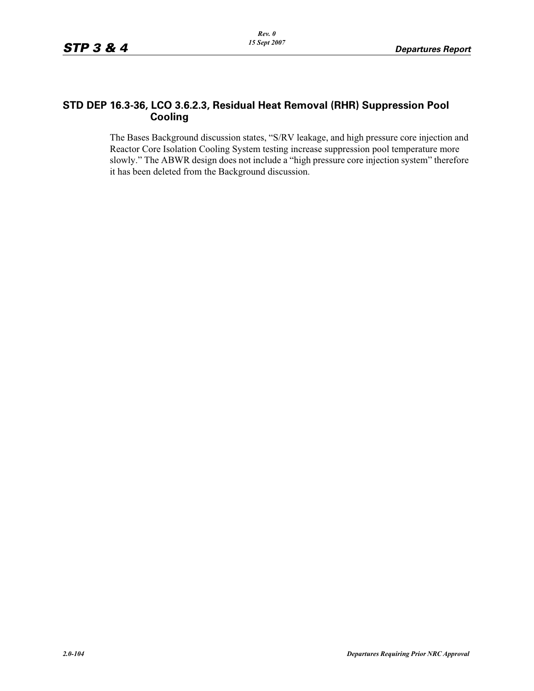### **STD DEP 16.3-36, LCO 3.6.2.3, Residual Heat Removal (RHR) Suppression Pool Cooling**

The Bases Background discussion states, "S/RV leakage, and high pressure core injection and Reactor Core Isolation Cooling System testing increase suppression pool temperature more slowly." The ABWR design does not include a "high pressure core injection system" therefore it has been deleted from the Background discussion.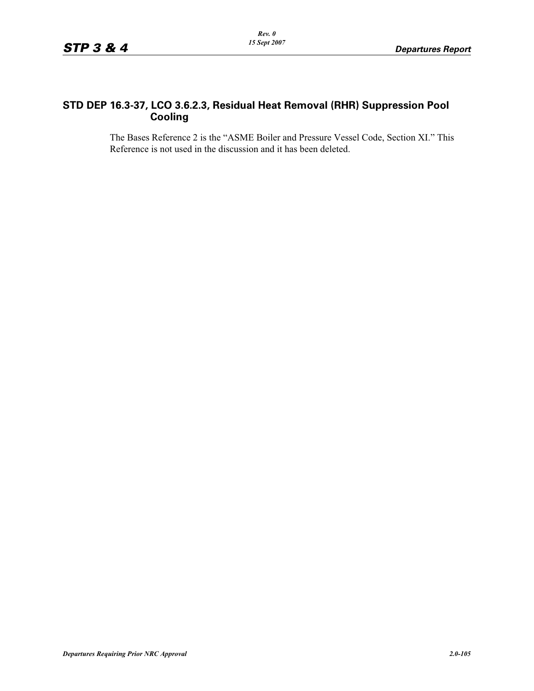## **STD DEP 16.3-37, LCO 3.6.2.3, Residual Heat Removal (RHR) Suppression Pool Cooling**

The Bases Reference 2 is the "ASME Boiler and Pressure Vessel Code, Section XI." This Reference is not used in the discussion and it has been deleted.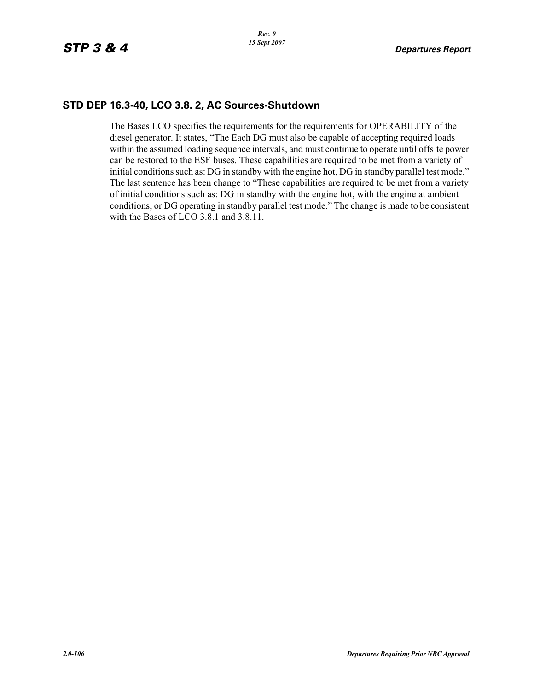### **STD DEP 16.3-40, LCO 3.8. 2, AC Sources-Shutdown**

The Bases LCO specifies the requirements for the requirements for OPERABILITY of the diesel generator. It states, "The Each DG must also be capable of accepting required loads within the assumed loading sequence intervals, and must continue to operate until offsite power can be restored to the ESF buses. These capabilities are required to be met from a variety of initial conditions such as: DG in standby with the engine hot, DG in standby parallel test mode." The last sentence has been change to "These capabilities are required to be met from a variety of initial conditions such as: DG in standby with the engine hot, with the engine at ambient conditions, or DG operating in standby parallel test mode." The change is made to be consistent with the Bases of LCO 3.8.1 and 3.8.11.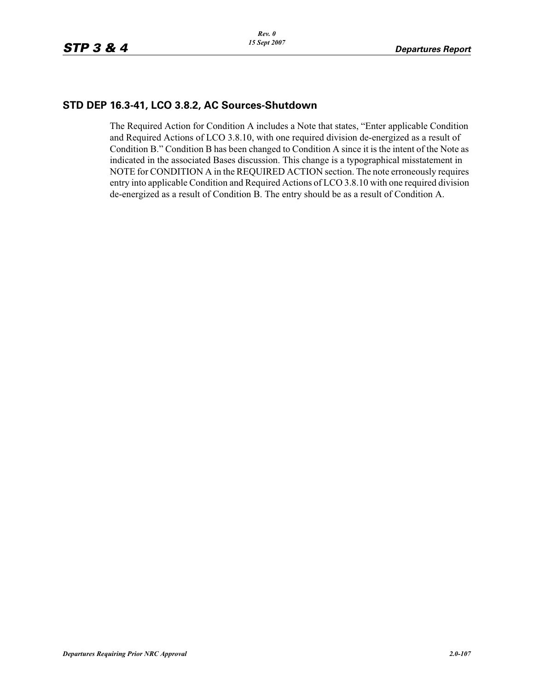#### **STD DEP 16.3-41, LCO 3.8.2, AC Sources-Shutdown**

The Required Action for Condition A includes a Note that states, "Enter applicable Condition and Required Actions of LCO 3.8.10, with one required division de-energized as a result of Condition B." Condition B has been changed to Condition A since it is the intent of the Note as indicated in the associated Bases discussion. This change is a typographical misstatement in NOTE for CONDITION A in the REQUIRED ACTION section. The note erroneously requires entry into applicable Condition and Required Actions of LCO 3.8.10 with one required division de-energized as a result of Condition B. The entry should be as a result of Condition A.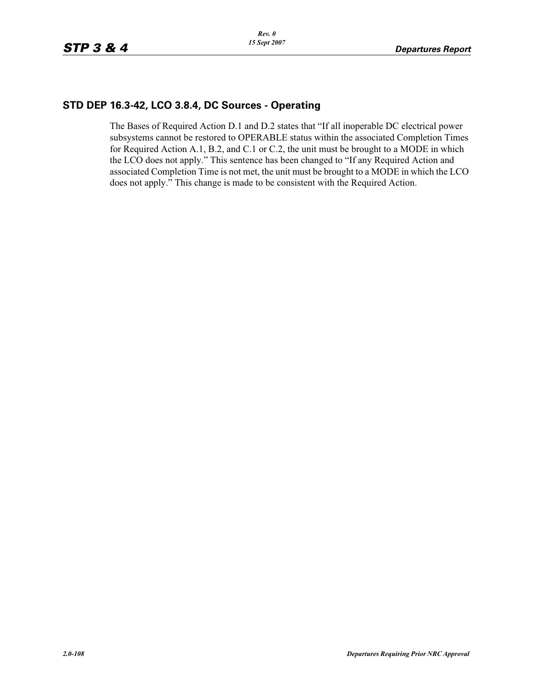### **STD DEP 16.3-42, LCO 3.8.4, DC Sources - Operating**

The Bases of Required Action D.1 and D.2 states that "If all inoperable DC electrical power subsystems cannot be restored to OPERABLE status within the associated Completion Times for Required Action A.1, B.2, and C.1 or C.2, the unit must be brought to a MODE in which the LCO does not apply." This sentence has been changed to "If any Required Action and associated Completion Time is not met, the unit must be brought to a MODE in which the LCO does not apply." This change is made to be consistent with the Required Action.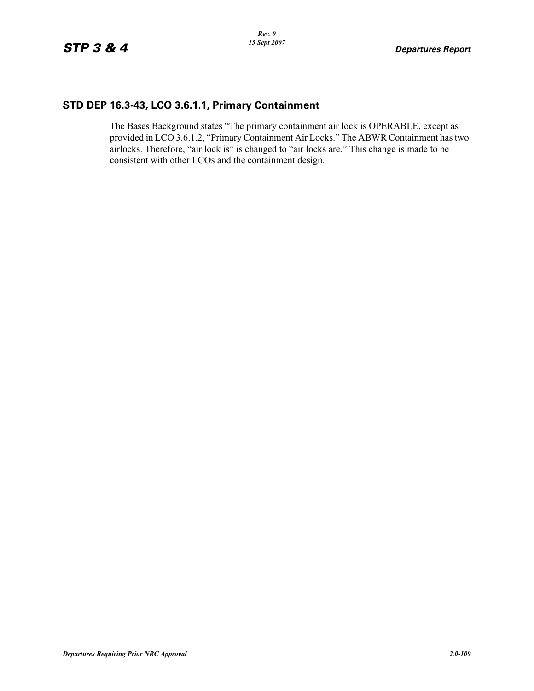# **STD DEP 16.3-43, LCO 3.6.1.1, Primary Containment**

The Bases Background states "The primary containment air lock is OPERABLE, except as provided in LCO 3.6.1.2, "Primary Containment Air Locks." The ABWR Containment has two airlocks. Therefore, "air lock is" is changed to "air locks are." This change is made to be consistent with other LCOs and the containment design.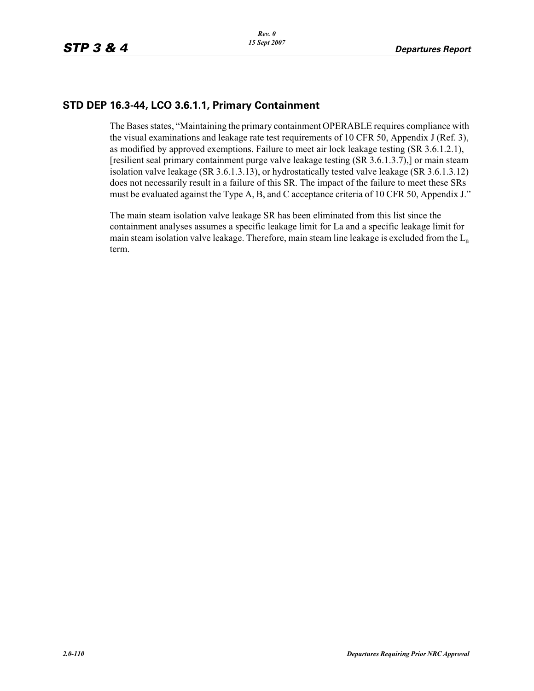## **STD DEP 16.3-44, LCO 3.6.1.1, Primary Containment**

The Bases states, "Maintaining the primary containment OPERABLE requires compliance with the visual examinations and leakage rate test requirements of 10 CFR 50, Appendix J (Ref. 3), as modified by approved exemptions. Failure to meet air lock leakage testing (SR 3.6.1.2.1), [resilient seal primary containment purge valve leakage testing (SR 3.6.1.3.7),] or main steam isolation valve leakage (SR 3.6.1.3.13), or hydrostatically tested valve leakage (SR 3.6.1.3.12) does not necessarily result in a failure of this SR. The impact of the failure to meet these SRs must be evaluated against the Type A, B, and C acceptance criteria of 10 CFR 50, Appendix J."

The main steam isolation valve leakage SR has been eliminated from this list since the containment analyses assumes a specific leakage limit for La and a specific leakage limit for main steam isolation valve leakage. Therefore, main steam line leakage is excluded from the  $L_a$ term.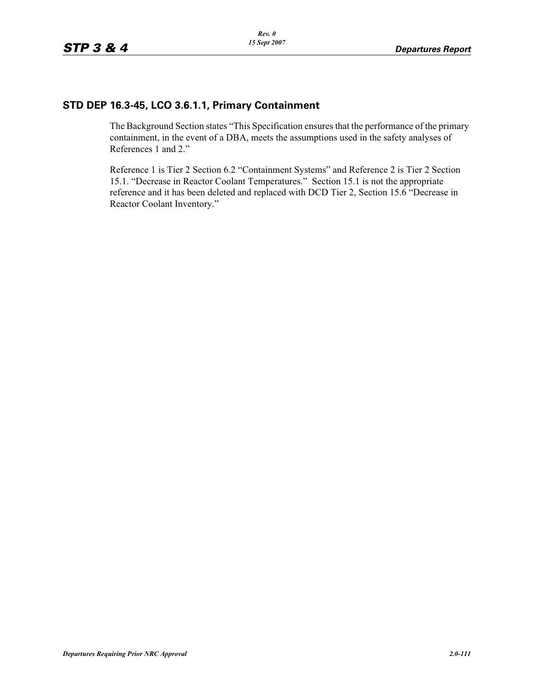### **STD DEP 16.3-45, LCO 3.6.1.1, Primary Containment**

The Background Section states "This Specification ensures that the performance of the primary containment, in the event of a DBA, meets the assumptions used in the safety analyses of References 1 and 2."

Reference 1 is Tier 2 Section 6.2 "Containment Systems" and Reference 2 is Tier 2 Section 15.1. "Decrease in Reactor Coolant Temperatures." Section 15.1 is not the appropriate reference and it has been deleted and replaced with DCD Tier 2, Section 15.6 "Decrease in Reactor Coolant Inventory."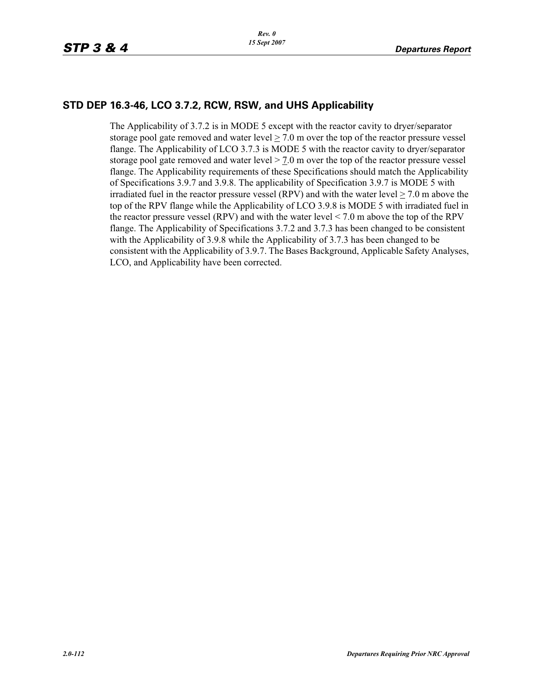#### **STD DEP 16.3-46, LCO 3.7.2, RCW, RSW, and UHS Applicability**

The Applicability of 3.7.2 is in MODE 5 except with the reactor cavity to dryer/separator storage pool gate removed and water level  $> 7.0$  m over the top of the reactor pressure vessel flange. The Applicability of LCO 3.7.3 is MODE 5 with the reactor cavity to dryer/separator storage pool gate removed and water level  $> 7.0$  m over the top of the reactor pressure vessel flange. The Applicability requirements of these Specifications should match the Applicability of Specifications 3.9.7 and 3.9.8. The applicability of Specification 3.9.7 is MODE 5 with irradiated fuel in the reactor pressure vessel (RPV) and with the water level  $>$  7.0 m above the top of the RPV flange while the Applicability of LCO 3.9.8 is MODE 5 with irradiated fuel in the reactor pressure vessel (RPV) and with the water level < 7.0 m above the top of the RPV flange. The Applicability of Specifications 3.7.2 and 3.7.3 has been changed to be consistent with the Applicability of 3.9.8 while the Applicability of 3.7.3 has been changed to be consistent with the Applicability of 3.9.7. The Bases Background, Applicable Safety Analyses, LCO, and Applicability have been corrected.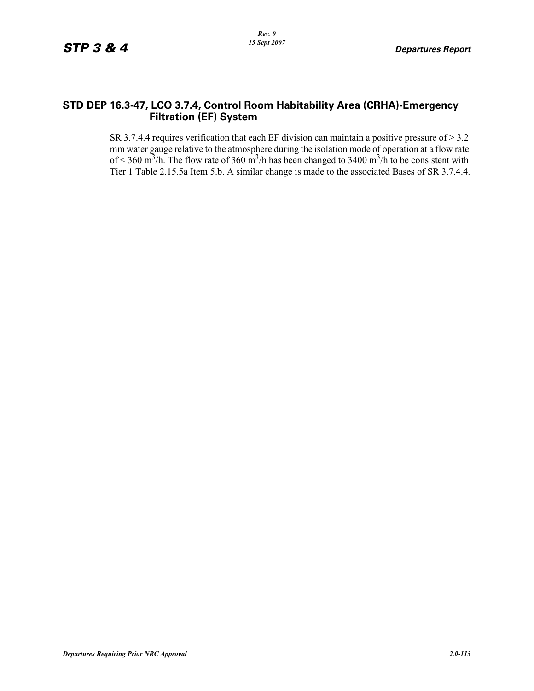### **STD DEP 16.3-47, LCO 3.7.4, Control Room Habitability Area (CRHA)-Emergency Filtration (EF) System**

SR 3.7.4.4 requires verification that each EF division can maintain a positive pressure of > 3.2 mm water gauge relative to the atmosphere during the isolation mode of operation at a flow rate of < 360 m<sup>3</sup>/h. The flow rate of 360 m<sup>3</sup>/h has been changed to 3400 m<sup>3</sup>/h to be consistent with Tier 1 Table 2.15.5a Item 5.b. A similar change is made to the associated Bases of SR 3.7.4.4.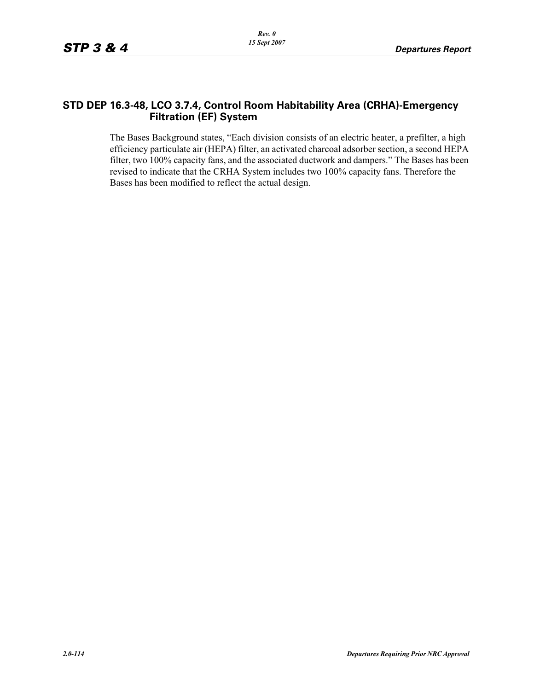### **STD DEP 16.3-48, LCO 3.7.4, Control Room Habitability Area (CRHA)-Emergency Filtration (EF) System**

The Bases Background states, "Each division consists of an electric heater, a prefilter, a high efficiency particulate air (HEPA) filter, an activated charcoal adsorber section, a second HEPA filter, two 100% capacity fans, and the associated ductwork and dampers." The Bases has been revised to indicate that the CRHA System includes two 100% capacity fans. Therefore the Bases has been modified to reflect the actual design.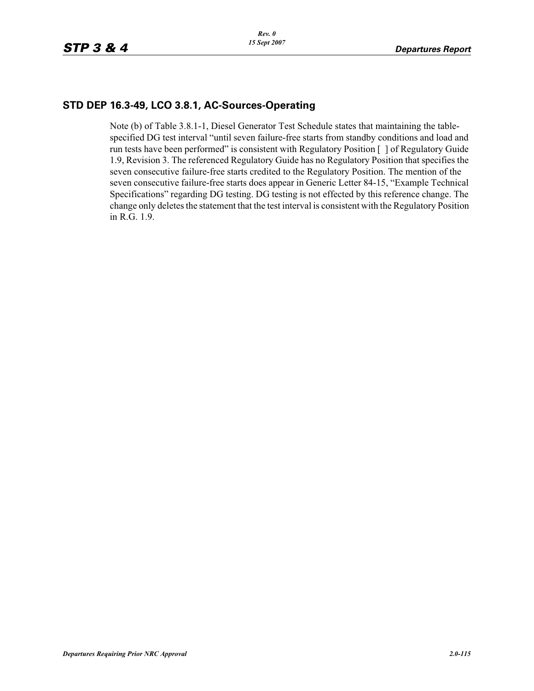### **STD DEP 16.3-49, LCO 3.8.1, AC-Sources-Operating**

Note (b) of Table 3.8.1-1, Diesel Generator Test Schedule states that maintaining the tablespecified DG test interval "until seven failure-free starts from standby conditions and load and run tests have been performed" is consistent with Regulatory Position [ ] of Regulatory Guide 1.9, Revision 3. The referenced Regulatory Guide has no Regulatory Position that specifies the seven consecutive failure-free starts credited to the Regulatory Position. The mention of the seven consecutive failure-free starts does appear in Generic Letter 84-15, "Example Technical Specifications" regarding DG testing. DG testing is not effected by this reference change. The change only deletes the statement that the test interval is consistent with the Regulatory Position in R.G. 1.9.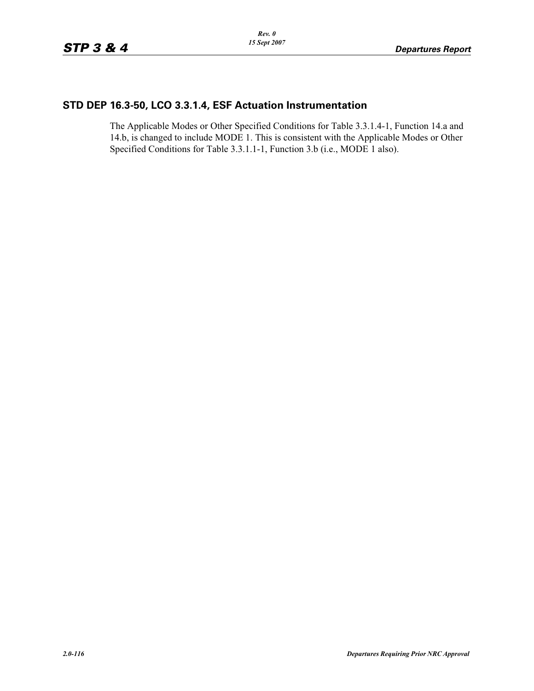# **STD DEP 16.3-50, LCO 3.3.1.4, ESF Actuation Instrumentation**

The Applicable Modes or Other Specified Conditions for Table 3.3.1.4-1, Function 14.a and 14.b, is changed to include MODE 1. This is consistent with the Applicable Modes or Other Specified Conditions for Table 3.3.1.1-1, Function 3.b (i.e., MODE 1 also).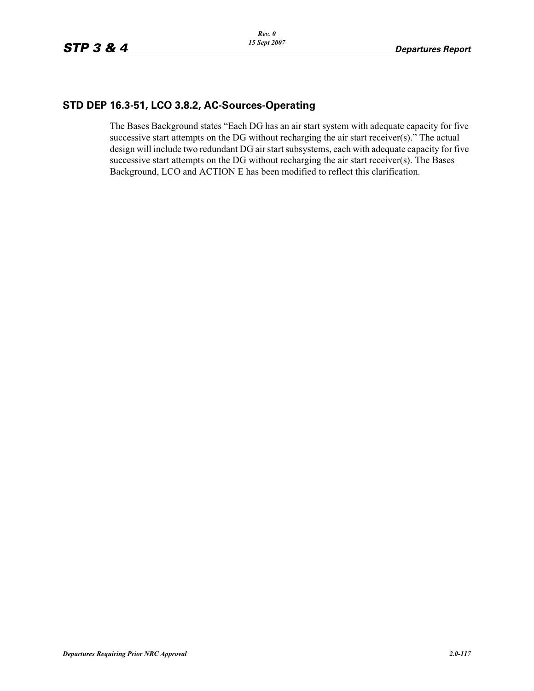## **STD DEP 16.3-51, LCO 3.8.2, AC-Sources-Operating**

The Bases Background states "Each DG has an air start system with adequate capacity for five successive start attempts on the DG without recharging the air start receiver(s)." The actual design will include two redundant DG air start subsystems, each with adequate capacity for five successive start attempts on the DG without recharging the air start receiver(s). The Bases Background, LCO and ACTION E has been modified to reflect this clarification.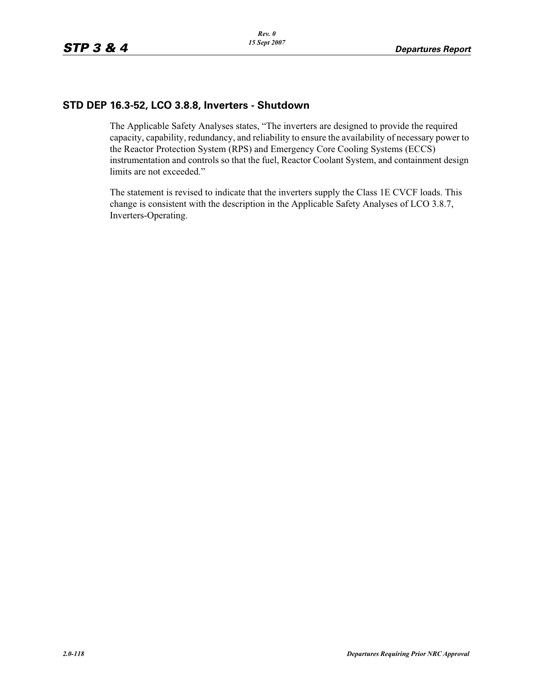### **STD DEP 16.3-52, LCO 3.8.8, Inverters - Shutdown**

The Applicable Safety Analyses states, "The inverters are designed to provide the required capacity, capability, redundancy, and reliability to ensure the availability of necessary power to the Reactor Protection System (RPS) and Emergency Core Cooling Systems (ECCS) instrumentation and controls so that the fuel, Reactor Coolant System, and containment design limits are not exceeded."

The statement is revised to indicate that the inverters supply the Class 1E CVCF loads. This change is consistent with the description in the Applicable Safety Analyses of LCO 3.8.7, Inverters-Operating.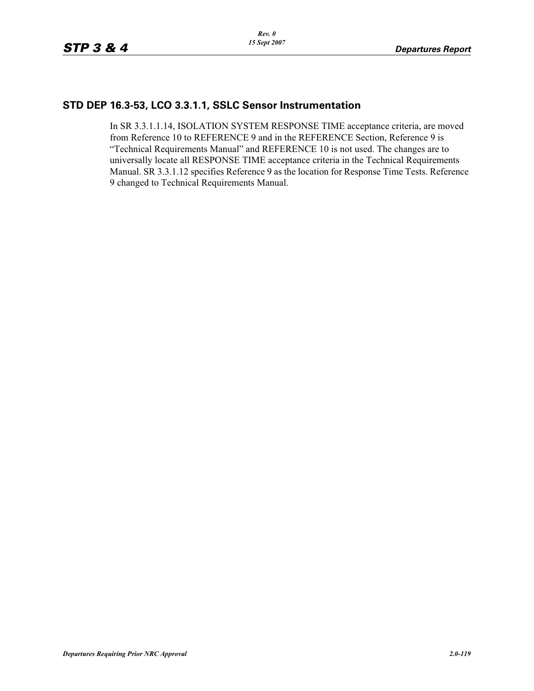### **STD DEP 16.3-53, LCO 3.3.1.1, SSLC Sensor Instrumentation**

In SR 3.3.1.1.14, ISOLATION SYSTEM RESPONSE TIME acceptance criteria, are moved from Reference 10 to REFERENCE 9 and in the REFERENCE Section, Reference 9 is "Technical Requirements Manual" and REFERENCE 10 is not used. The changes are to universally locate all RESPONSE TIME acceptance criteria in the Technical Requirements Manual. SR 3.3.1.12 specifies Reference 9 as the location for Response Time Tests. Reference 9 changed to Technical Requirements Manual.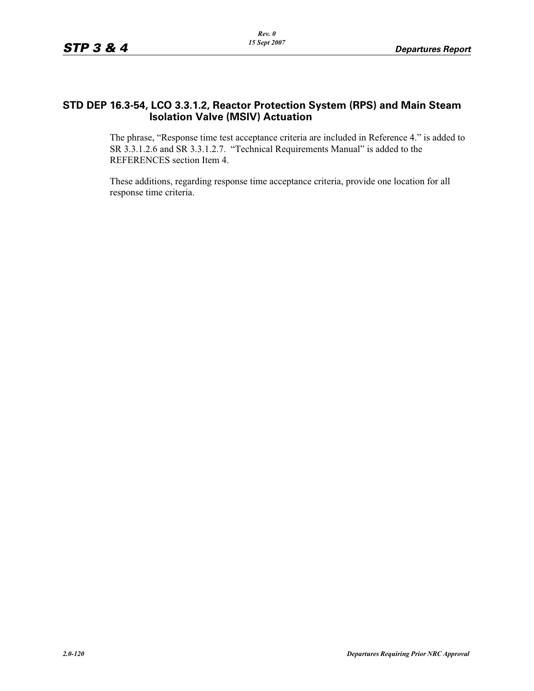### **STD DEP 16.3-54, LCO 3.3.1.2, Reactor Protection System (RPS) and Main Steam Isolation Valve (MSIV) Actuation**

The phrase, "Response time test acceptance criteria are included in Reference 4." is added to SR 3.3.1.2.6 and SR 3.3.1.2.7. "Technical Requirements Manual" is added to the REFERENCES section Item 4.

These additions, regarding response time acceptance criteria, provide one location for all response time criteria.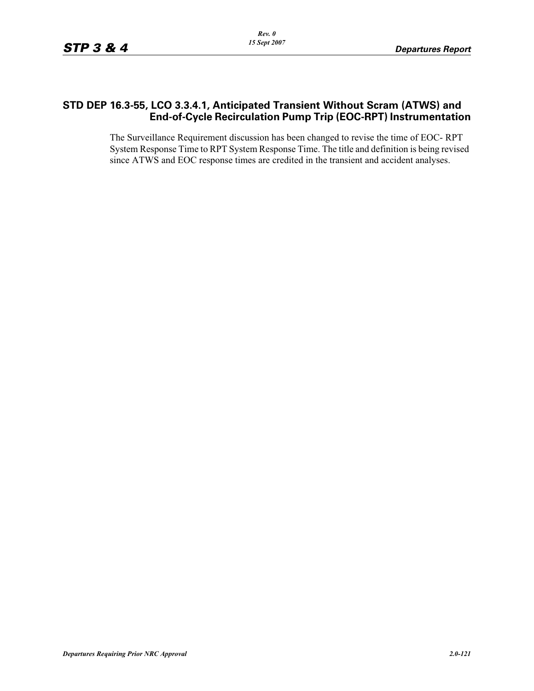### **STD DEP 16.3-55, LCO 3.3.4.1, Anticipated Transient Without Scram (ATWS) and End-of-Cycle Recirculation Pump Trip (EOC-RPT) Instrumentation**

The Surveillance Requirement discussion has been changed to revise the time of EOC- RPT System Response Time to RPT System Response Time. The title and definition is being revised since ATWS and EOC response times are credited in the transient and accident analyses.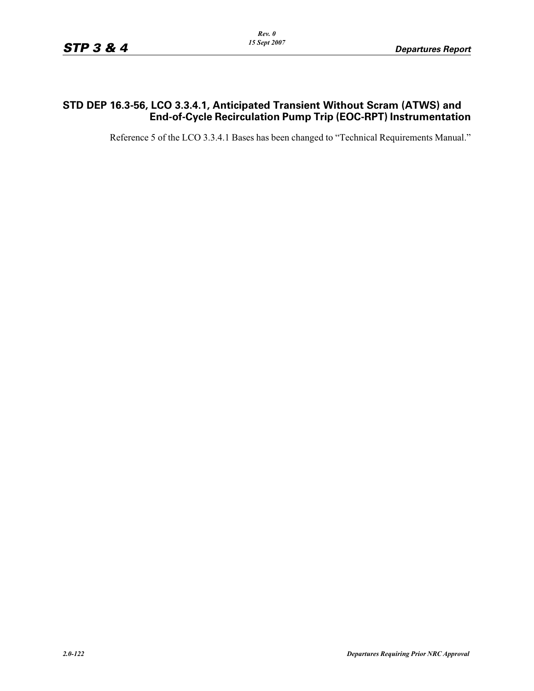### **STD DEP 16.3-56, LCO 3.3.4.1, Anticipated Transient Without Scram (ATWS) and End-of-Cycle Recirculation Pump Trip (EOC-RPT) Instrumentation**

Reference 5 of the LCO 3.3.4.1 Bases has been changed to "Technical Requirements Manual."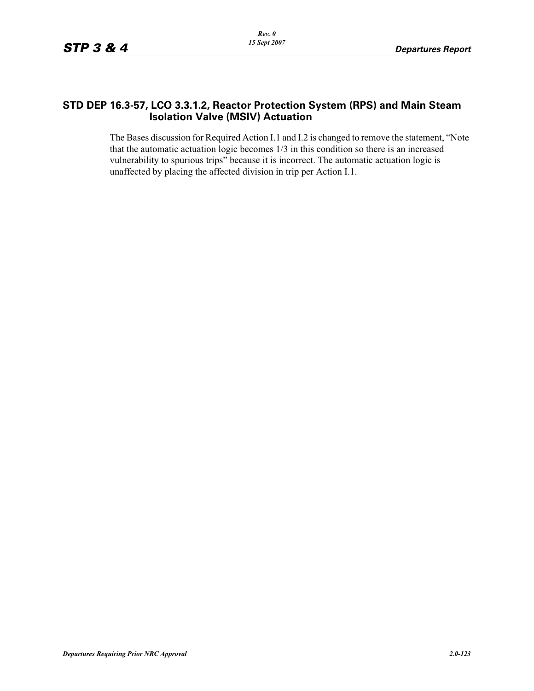### **STD DEP 16.3-57, LCO 3.3.1.2, Reactor Protection System (RPS) and Main Steam Isolation Valve (MSIV) Actuation**

The Bases discussion for Required Action I.1 and I.2 is changed to remove the statement, "Note that the automatic actuation logic becomes 1/3 in this condition so there is an increased vulnerability to spurious trips" because it is incorrect. The automatic actuation logic is unaffected by placing the affected division in trip per Action I.1.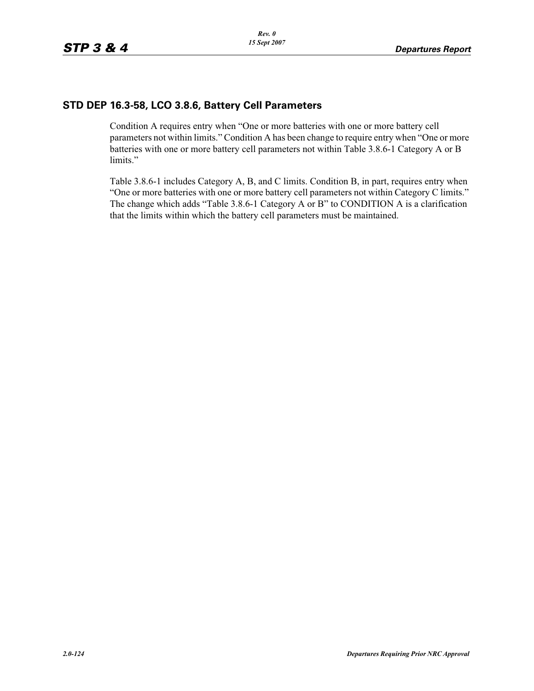# **STD DEP 16.3-58, LCO 3.8.6, Battery Cell Parameters**

Condition A requires entry when "One or more batteries with one or more battery cell parameters not within limits." Condition A has been change to require entry when "One or more batteries with one or more battery cell parameters not within Table 3.8.6-1 Category A or B limits."

Table 3.8.6-1 includes Category A, B, and C limits. Condition B, in part, requires entry when "One or more batteries with one or more battery cell parameters not within Category C limits." The change which adds "Table 3.8.6-1 Category A or B" to CONDITION A is a clarification that the limits within which the battery cell parameters must be maintained.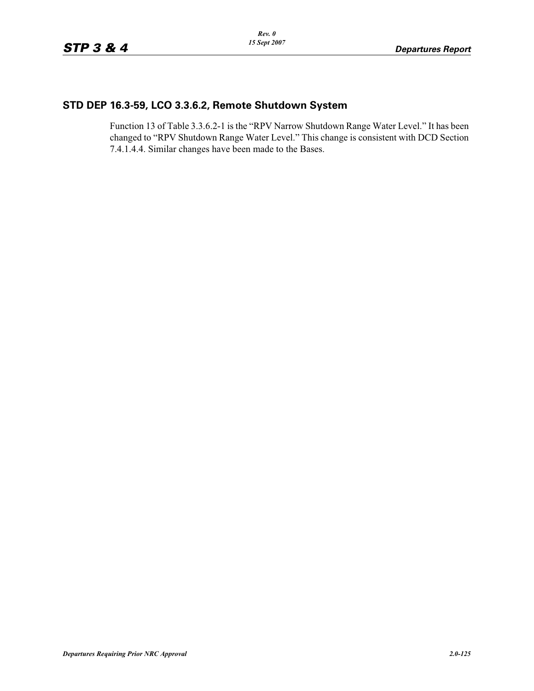## **STD DEP 16.3-59, LCO 3.3.6.2, Remote Shutdown System**

Function 13 of Table 3.3.6.2-1 is the "RPV Narrow Shutdown Range Water Level." It has been changed to "RPV Shutdown Range Water Level." This change is consistent with DCD Section 7.4.1.4.4. Similar changes have been made to the Bases.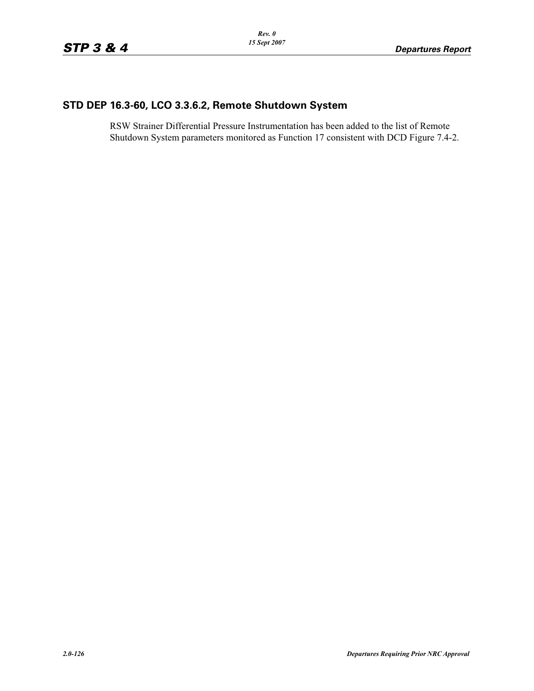# **STD DEP 16.3-60, LCO 3.3.6.2, Remote Shutdown System**

RSW Strainer Differential Pressure Instrumentation has been added to the list of Remote Shutdown System parameters monitored as Function 17 consistent with DCD Figure 7.4-2.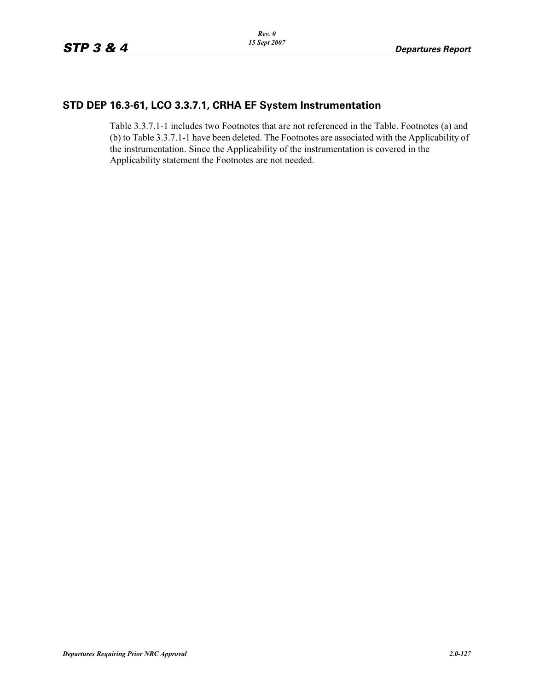### **STD DEP 16.3-61, LCO 3.3.7.1, CRHA EF System Instrumentation**

Table 3.3.7.1-1 includes two Footnotes that are not referenced in the Table. Footnotes (a) and (b) to Table 3.3.7.1-1 have been deleted. The Footnotes are associated with the Applicability of the instrumentation. Since the Applicability of the instrumentation is covered in the Applicability statement the Footnotes are not needed.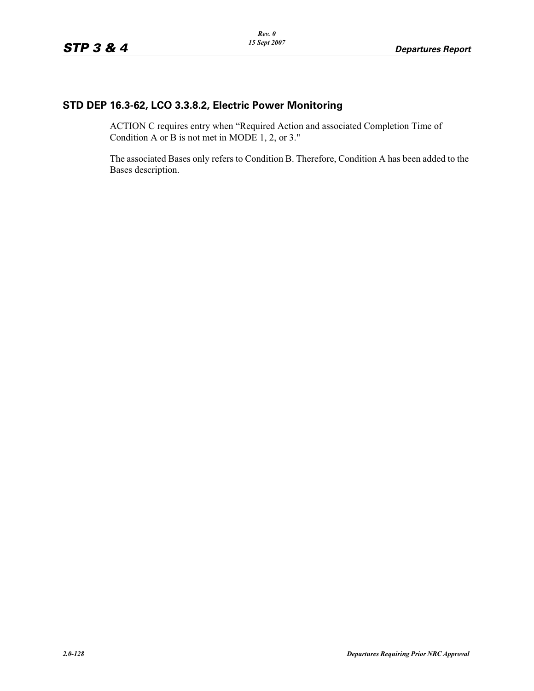# **STD DEP 16.3-62, LCO 3.3.8.2, Electric Power Monitoring**

ACTION C requires entry when "Required Action and associated Completion Time of Condition A or B is not met in MODE 1, 2, or 3."

The associated Bases only refers to Condition B. Therefore, Condition A has been added to the Bases description.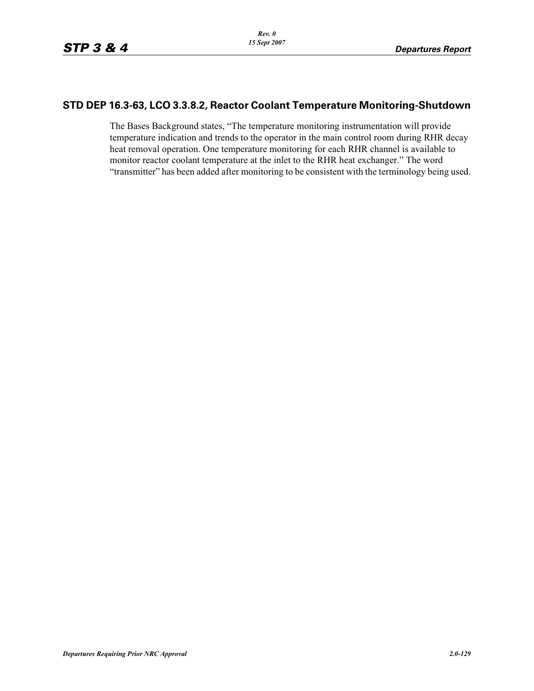### **STD DEP 16.3-63, LCO 3.3.8.2, Reactor Coolant Temperature Monitoring-Shutdown**

The Bases Background states, "The temperature monitoring instrumentation will provide temperature indication and trends to the operator in the main control room during RHR decay heat removal operation. One temperature monitoring for each RHR channel is available to monitor reactor coolant temperature at the inlet to the RHR heat exchanger." The word "transmitter" has been added after monitoring to be consistent with the terminology being used.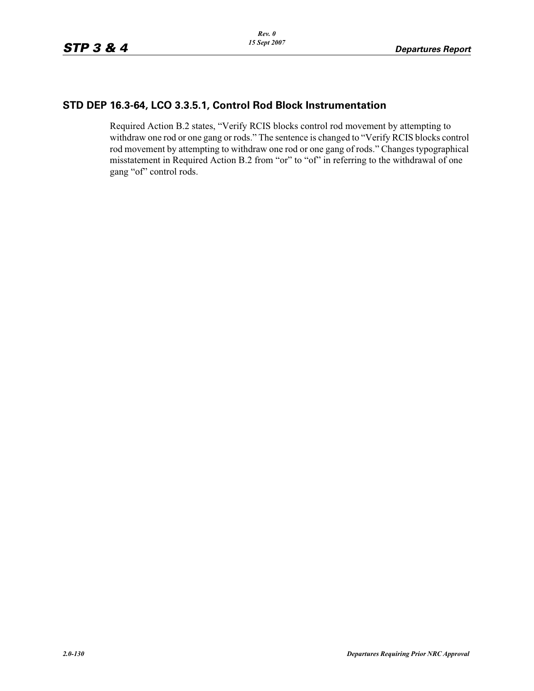### **STD DEP 16.3-64, LCO 3.3.5.1, Control Rod Block Instrumentation**

Required Action B.2 states, "Verify RCIS blocks control rod movement by attempting to withdraw one rod or one gang or rods." The sentence is changed to "Verify RCIS blocks control rod movement by attempting to withdraw one rod or one gang of rods." Changes typographical misstatement in Required Action B.2 from "or" to "of" in referring to the withdrawal of one gang "of" control rods.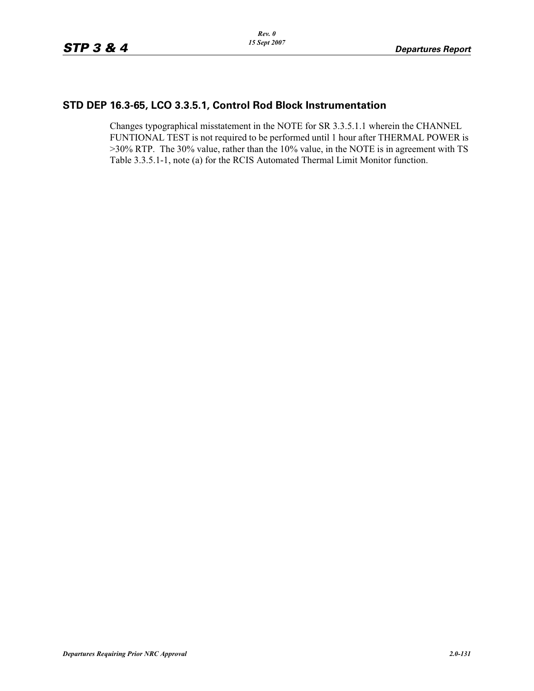### **STD DEP 16.3-65, LCO 3.3.5.1, Control Rod Block Instrumentation**

Changes typographical misstatement in the NOTE for SR 3.3.5.1.1 wherein the CHANNEL FUNTIONAL TEST is not required to be performed until 1 hour after THERMAL POWER is >30% RTP. The 30% value, rather than the 10% value, in the NOTE is in agreement with TS Table 3.3.5.1-1, note (a) for the RCIS Automated Thermal Limit Monitor function.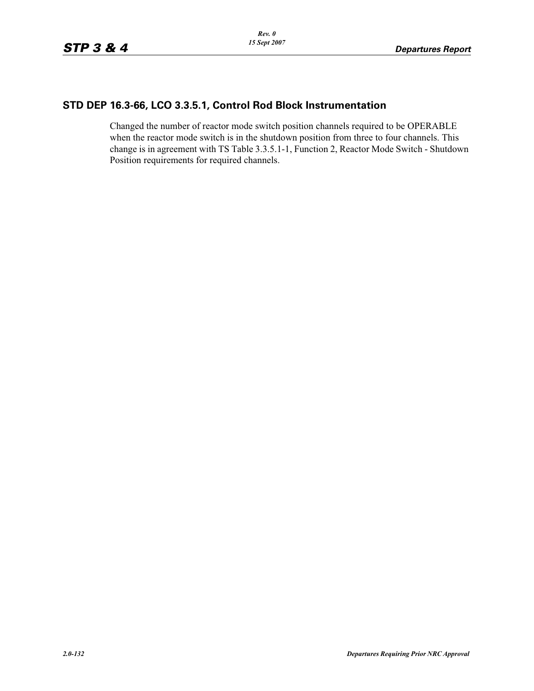### **STD DEP 16.3-66, LCO 3.3.5.1, Control Rod Block Instrumentation**

Changed the number of reactor mode switch position channels required to be OPERABLE when the reactor mode switch is in the shutdown position from three to four channels. This change is in agreement with TS Table 3.3.5.1-1, Function 2, Reactor Mode Switch - Shutdown Position requirements for required channels.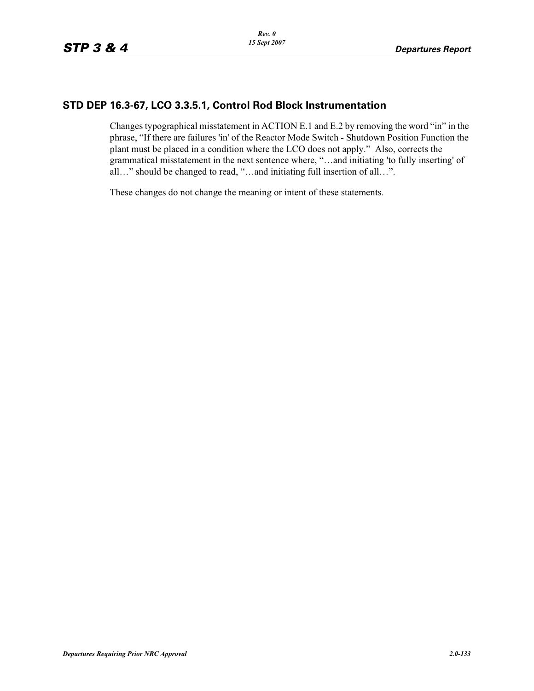### **STD DEP 16.3-67, LCO 3.3.5.1, Control Rod Block Instrumentation**

Changes typographical misstatement in ACTION E.1 and E.2 by removing the word "in" in the phrase, "If there are failures 'in' of the Reactor Mode Switch - Shutdown Position Function the plant must be placed in a condition where the LCO does not apply." Also, corrects the grammatical misstatement in the next sentence where, "…and initiating 'to fully inserting' of all…" should be changed to read, "…and initiating full insertion of all…".

These changes do not change the meaning or intent of these statements.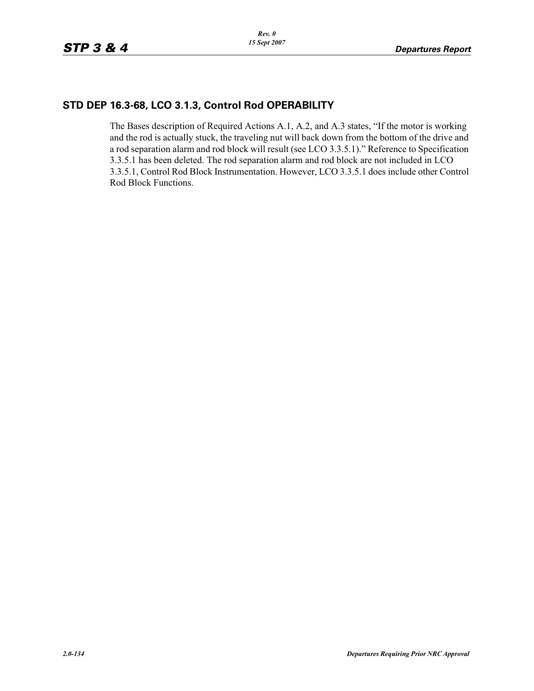# **STD DEP 16.3-68, LCO 3.1.3, Control Rod OPERABILITY**

The Bases description of Required Actions A.1, A.2, and A.3 states, "If the motor is working and the rod is actually stuck, the traveling nut will back down from the bottom of the drive and a rod separation alarm and rod block will result (see LCO 3.3.5.1)." Reference to Specification 3.3.5.1 has been deleted. The rod separation alarm and rod block are not included in LCO 3.3.5.1, Control Rod Block Instrumentation. However, LCO 3.3.5.1 does include other Control Rod Block Functions.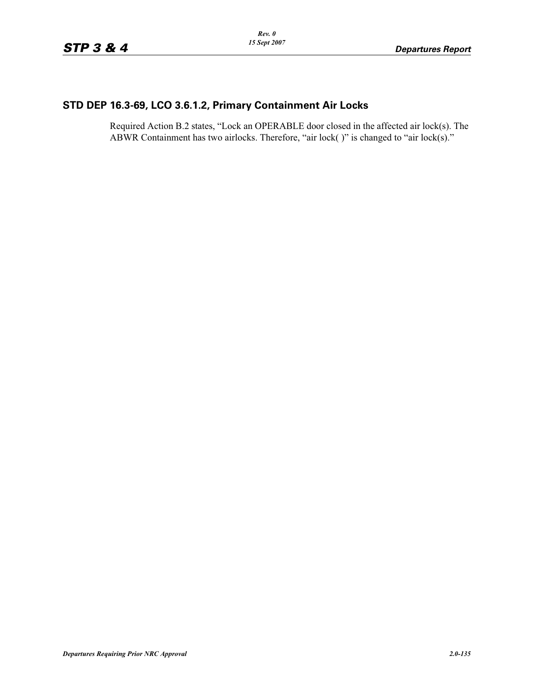# **STD DEP 16.3-69, LCO 3.6.1.2, Primary Containment Air Locks**

Required Action B.2 states, "Lock an OPERABLE door closed in the affected air lock(s). The ABWR Containment has two airlocks. Therefore, "air lock()" is changed to "air lock(s)."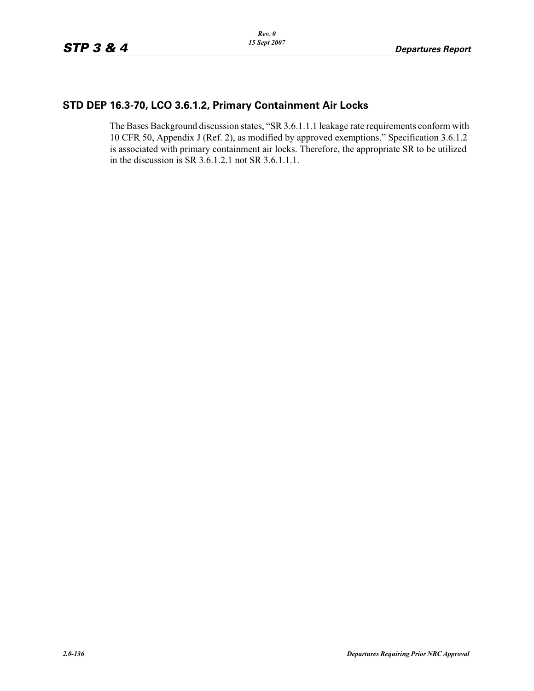### **STD DEP 16.3-70, LCO 3.6.1.2, Primary Containment Air Locks**

The Bases Background discussion states, "SR 3.6.1.1.1 leakage rate requirements conform with 10 CFR 50, Appendix J (Ref. 2), as modified by approved exemptions." Specification 3.6.1.2 is associated with primary containment air locks. Therefore, the appropriate SR to be utilized in the discussion is SR 3.6.1.2.1 not SR 3.6.1.1.1.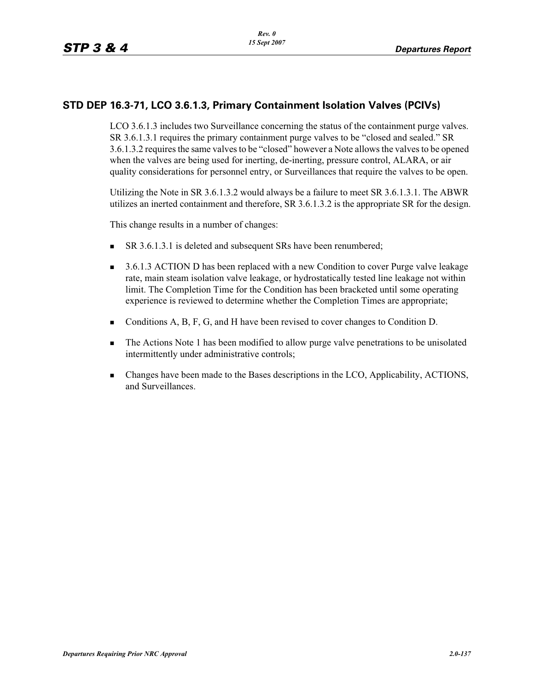## **STD DEP 16.3-71, LCO 3.6.1.3, Primary Containment Isolation Valves (PCIVs)**

LCO 3.6.1.3 includes two Surveillance concerning the status of the containment purge valves. SR 3.6.1.3.1 requires the primary containment purge valves to be "closed and sealed." SR 3.6.1.3.2 requires the same valves to be "closed" however a Note allows the valves to be opened when the valves are being used for inerting, de-inerting, pressure control, ALARA, or air quality considerations for personnel entry, or Surveillances that require the valves to be open.

Utilizing the Note in SR 3.6.1.3.2 would always be a failure to meet SR 3.6.1.3.1. The ABWR utilizes an inerted containment and therefore, SR 3.6.1.3.2 is the appropriate SR for the design.

This change results in a number of changes:

- -SR 3.6.1.3.1 is deleted and subsequent SRs have been renumbered;
- - 3.6.1.3 ACTION D has been replaced with a new Condition to cover Purge valve leakage rate, main steam isolation valve leakage, or hydrostatically tested line leakage not within limit. The Completion Time for the Condition has been bracketed until some operating experience is reviewed to determine whether the Completion Times are appropriate;
- Conditions A, B, F, G, and H have been revised to cover changes to Condition D.
- - The Actions Note 1 has been modified to allow purge valve penetrations to be unisolated intermittently under administrative controls;
- - Changes have been made to the Bases descriptions in the LCO, Applicability, ACTIONS, and Surveillances.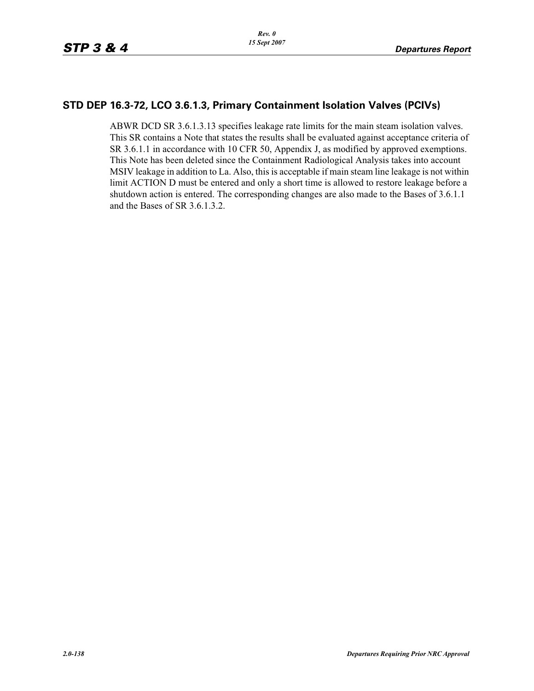### **STD DEP 16.3-72, LCO 3.6.1.3, Primary Containment Isolation Valves (PCIVs)**

ABWR DCD SR 3.6.1.3.13 specifies leakage rate limits for the main steam isolation valves. This SR contains a Note that states the results shall be evaluated against acceptance criteria of SR 3.6.1.1 in accordance with 10 CFR 50, Appendix J, as modified by approved exemptions. This Note has been deleted since the Containment Radiological Analysis takes into account MSIV leakage in addition to La. Also, this is acceptable if main steam line leakage is not within limit ACTION D must be entered and only a short time is allowed to restore leakage before a shutdown action is entered. The corresponding changes are also made to the Bases of 3.6.1.1 and the Bases of SR 3.6.1.3.2.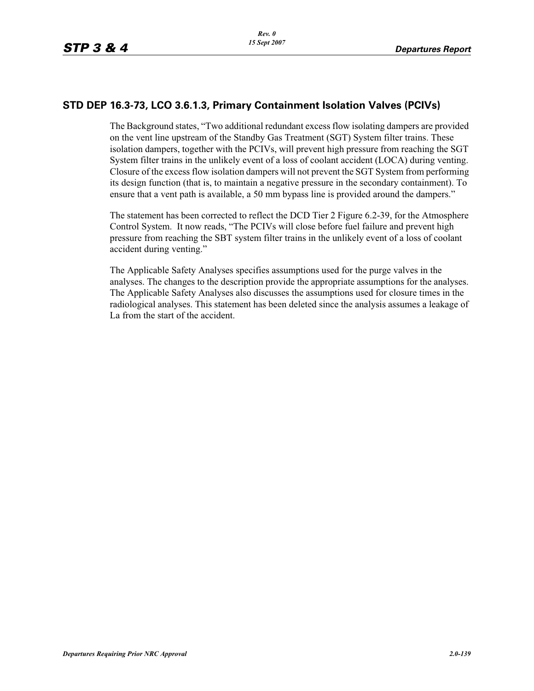### **STD DEP 16.3-73, LCO 3.6.1.3, Primary Containment Isolation Valves (PCIVs)**

The Background states, "Two additional redundant excess flow isolating dampers are provided on the vent line upstream of the Standby Gas Treatment (SGT) System filter trains. These isolation dampers, together with the PCIVs, will prevent high pressure from reaching the SGT System filter trains in the unlikely event of a loss of coolant accident (LOCA) during venting. Closure of the excess flow isolation dampers will not prevent the SGT System from performing its design function (that is, to maintain a negative pressure in the secondary containment). To ensure that a vent path is available, a 50 mm bypass line is provided around the dampers."

The statement has been corrected to reflect the DCD Tier 2 Figure 6.2-39, for the Atmosphere Control System. It now reads, "The PCIVs will close before fuel failure and prevent high pressure from reaching the SBT system filter trains in the unlikely event of a loss of coolant accident during venting."

The Applicable Safety Analyses specifies assumptions used for the purge valves in the analyses. The changes to the description provide the appropriate assumptions for the analyses. The Applicable Safety Analyses also discusses the assumptions used for closure times in the radiological analyses. This statement has been deleted since the analysis assumes a leakage of La from the start of the accident.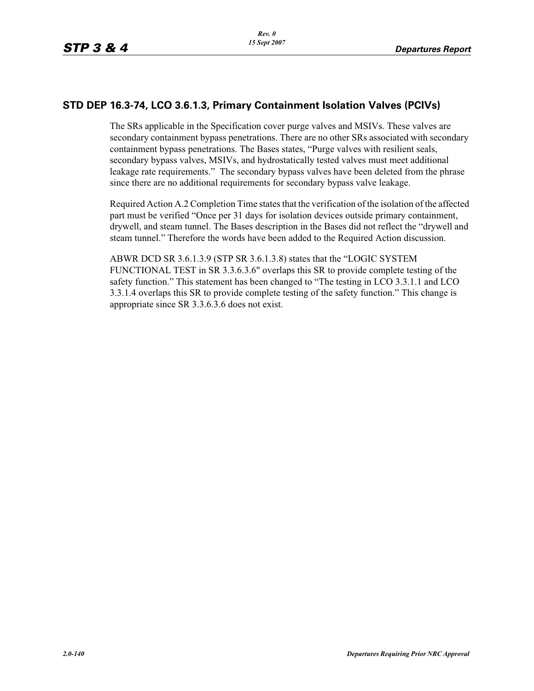### **STD DEP 16.3-74, LCO 3.6.1.3, Primary Containment Isolation Valves (PCIVs)**

The SRs applicable in the Specification cover purge valves and MSIVs. These valves are secondary containment bypass penetrations. There are no other SRs associated with secondary containment bypass penetrations. The Bases states, "Purge valves with resilient seals, secondary bypass valves, MSIVs, and hydrostatically tested valves must meet additional leakage rate requirements." The secondary bypass valves have been deleted from the phrase since there are no additional requirements for secondary bypass valve leakage.

Required Action A.2 Completion Time states that the verification of the isolation of the affected part must be verified "Once per 31 days for isolation devices outside primary containment, drywell, and steam tunnel. The Bases description in the Bases did not reflect the "drywell and steam tunnel." Therefore the words have been added to the Required Action discussion.

ABWR DCD SR 3.6.1.3.9 (STP SR 3.6.1.3.8) states that the "LOGIC SYSTEM FUNCTIONAL TEST in SR 3.3.6.3.6" overlaps this SR to provide complete testing of the safety function." This statement has been changed to "The testing in LCO 3.3.1.1 and LCO 3.3.1.4 overlaps this SR to provide complete testing of the safety function." This change is appropriate since SR 3.3.6.3.6 does not exist.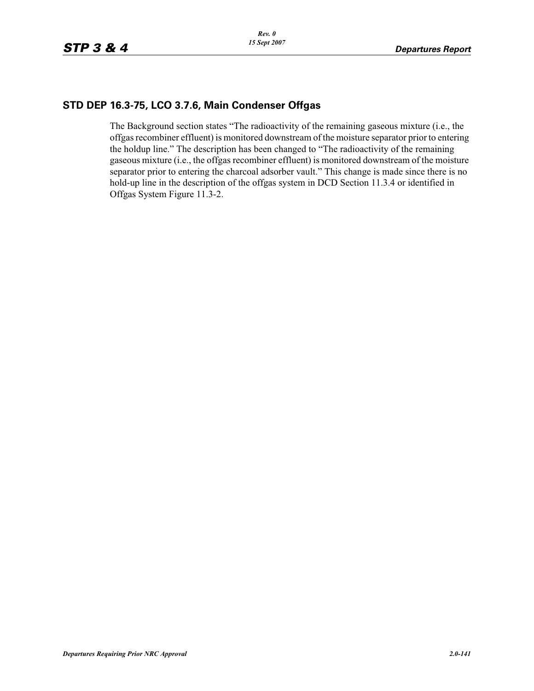### **STD DEP 16.3-75, LCO 3.7.6, Main Condenser Offgas**

The Background section states "The radioactivity of the remaining gaseous mixture (i.e., the offgas recombiner effluent) is monitored downstream of the moisture separator prior to entering the holdup line." The description has been changed to "The radioactivity of the remaining gaseous mixture (i.e., the offgas recombiner effluent) is monitored downstream of the moisture separator prior to entering the charcoal adsorber vault." This change is made since there is no hold-up line in the description of the offgas system in DCD Section 11.3.4 or identified in Offgas System Figure 11.3-2.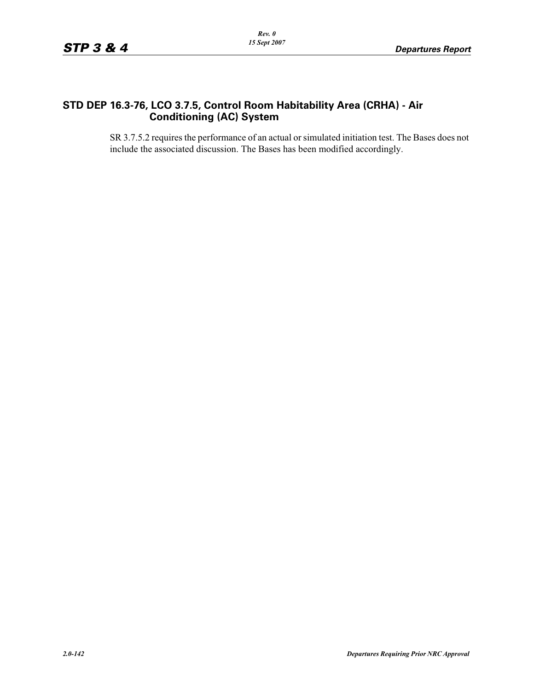### **STD DEP 16.3-76, LCO 3.7.5, Control Room Habitability Area (CRHA) - Air Conditioning (AC) System**

SR 3.7.5.2 requires the performance of an actual or simulated initiation test. The Bases does not include the associated discussion. The Bases has been modified accordingly.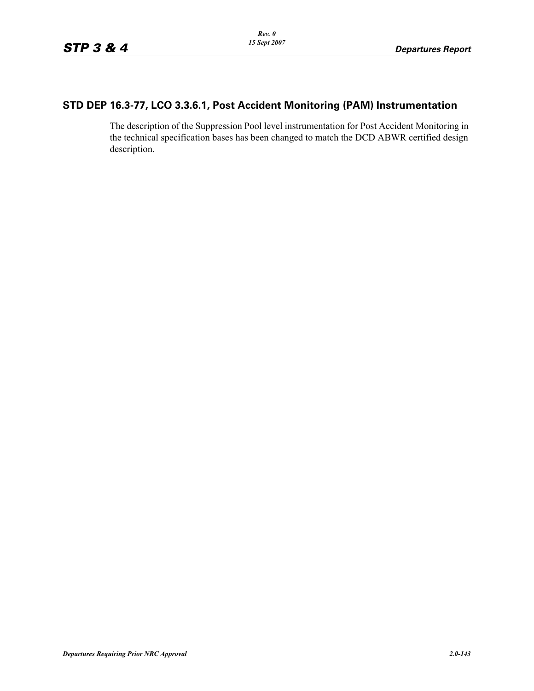## **STD DEP 16.3-77, LCO 3.3.6.1, Post Accident Monitoring (PAM) Instrumentation**

The description of the Suppression Pool level instrumentation for Post Accident Monitoring in the technical specification bases has been changed to match the DCD ABWR certified design description.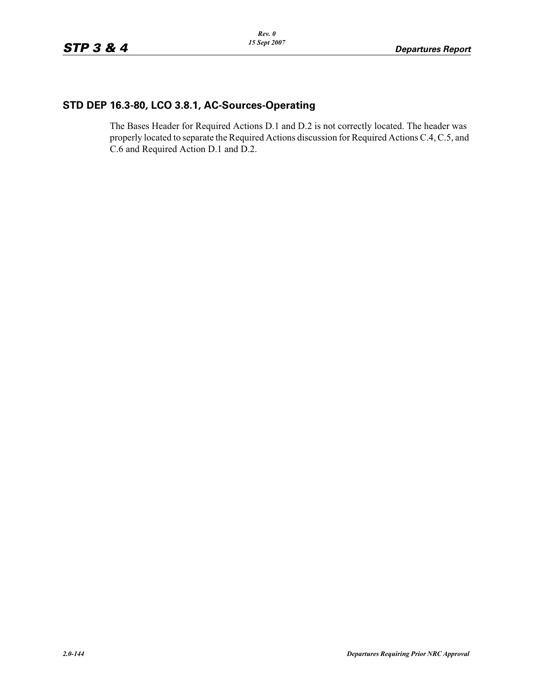# **STD DEP 16.3-80, LCO 3.8.1, AC-Sources-Operating**

The Bases Header for Required Actions D.1 and D.2 is not correctly located. The header was properly located to separate the Required Actions discussion for Required Actions C.4, C.5, and C.6 and Required Action D.1 and D.2.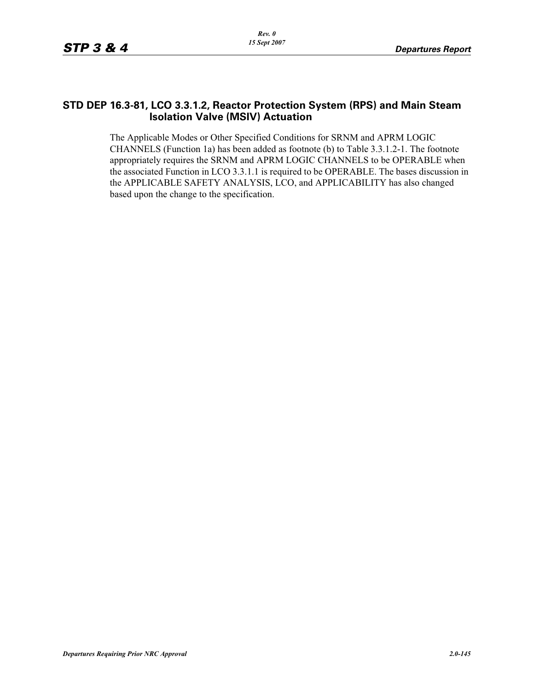#### **STD DEP 16.3-81, LCO 3.3.1.2, Reactor Protection System (RPS) and Main Steam Isolation Valve (MSIV) Actuation**

The Applicable Modes or Other Specified Conditions for SRNM and APRM LOGIC CHANNELS (Function 1a) has been added as footnote (b) to Table 3.3.1.2-1. The footnote appropriately requires the SRNM and APRM LOGIC CHANNELS to be OPERABLE when the associated Function in LCO 3.3.1.1 is required to be OPERABLE. The bases discussion in the APPLICABLE SAFETY ANALYSIS, LCO, and APPLICABILITY has also changed based upon the change to the specification.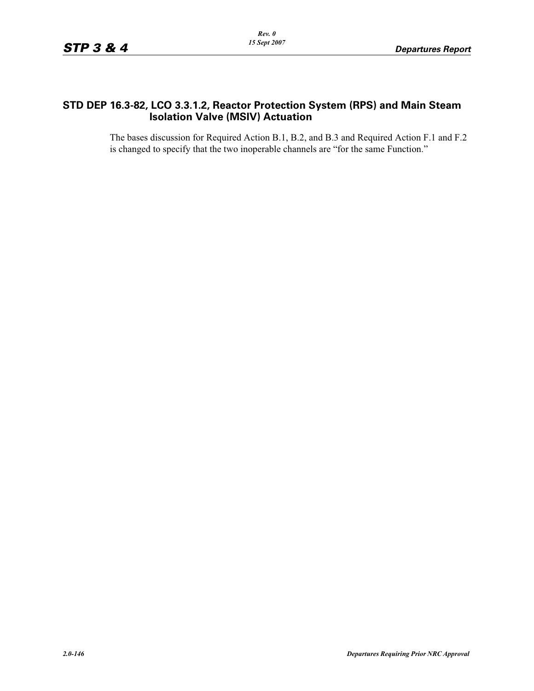### **STD DEP 16.3-82, LCO 3.3.1.2, Reactor Protection System (RPS) and Main Steam Isolation Valve (MSIV) Actuation**

The bases discussion for Required Action B.1, B.2, and B.3 and Required Action F.1 and F.2 is changed to specify that the two inoperable channels are "for the same Function."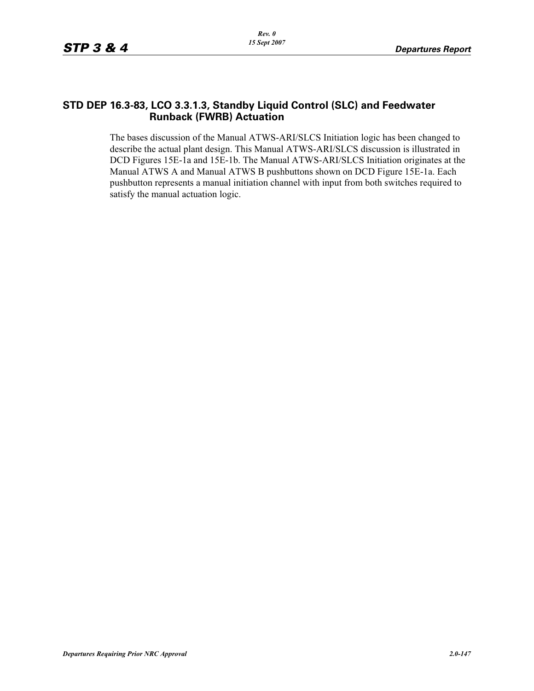#### **STD DEP 16.3-83, LCO 3.3.1.3, Standby Liquid Control (SLC) and Feedwater Runback (FWRB) Actuation**

The bases discussion of the Manual ATWS-ARI/SLCS Initiation logic has been changed to describe the actual plant design. This Manual ATWS-ARI/SLCS discussion is illustrated in DCD Figures 15E-1a and 15E-1b. The Manual ATWS-ARI/SLCS Initiation originates at the Manual ATWS A and Manual ATWS B pushbuttons shown on DCD Figure 15E-1a. Each pushbutton represents a manual initiation channel with input from both switches required to satisfy the manual actuation logic.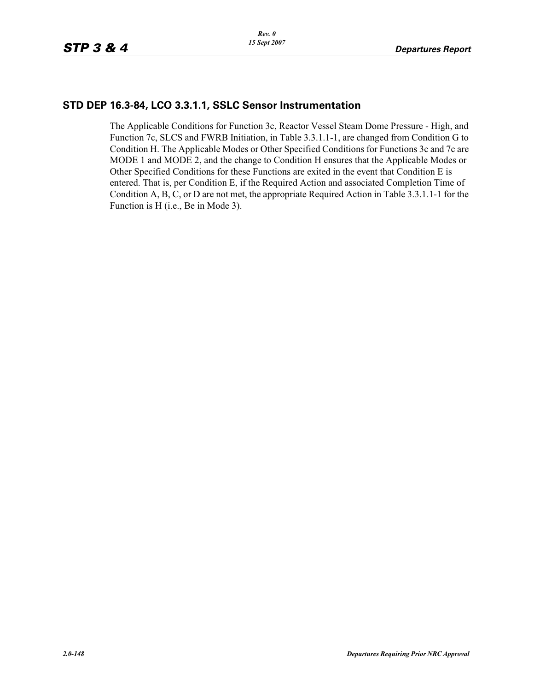#### **STD DEP 16.3-84, LCO 3.3.1.1, SSLC Sensor Instrumentation**

The Applicable Conditions for Function 3c, Reactor Vessel Steam Dome Pressure - High, and Function 7c, SLCS and FWRB Initiation, in Table 3.3.1.1-1, are changed from Condition G to Condition H. The Applicable Modes or Other Specified Conditions for Functions 3c and 7c are MODE 1 and MODE 2, and the change to Condition H ensures that the Applicable Modes or Other Specified Conditions for these Functions are exited in the event that Condition E is entered. That is, per Condition E, if the Required Action and associated Completion Time of Condition A, B, C, or D are not met, the appropriate Required Action in Table 3.3.1.1-1 for the Function is H (i.e., Be in Mode 3).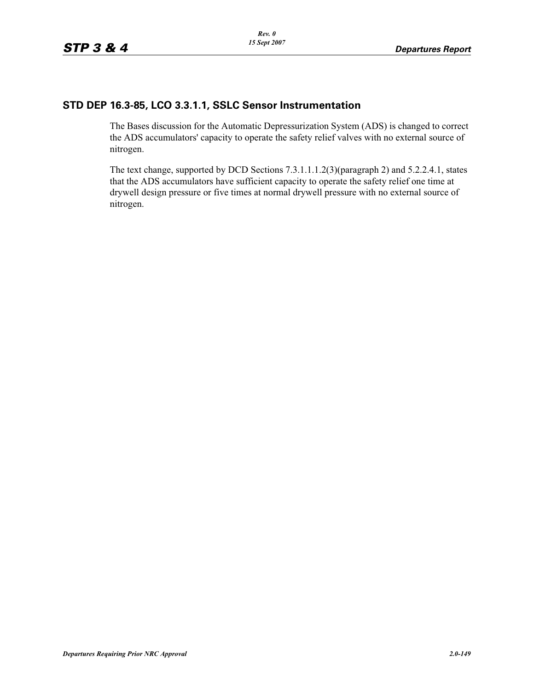### **STD DEP 16.3-85, LCO 3.3.1.1, SSLC Sensor Instrumentation**

The Bases discussion for the Automatic Depressurization System (ADS) is changed to correct the ADS accumulators' capacity to operate the safety relief valves with no external source of nitrogen.

The text change, supported by DCD Sections 7.3.1.1.1.2(3)(paragraph 2) and 5.2.2.4.1, states that the ADS accumulators have sufficient capacity to operate the safety relief one time at drywell design pressure or five times at normal drywell pressure with no external source of nitrogen.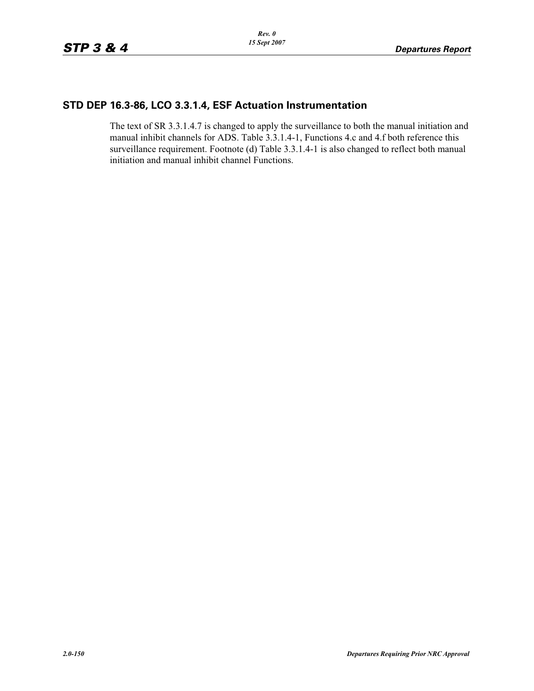# **STD DEP 16.3-86, LCO 3.3.1.4, ESF Actuation Instrumentation**

The text of SR 3.3.1.4.7 is changed to apply the surveillance to both the manual initiation and manual inhibit channels for ADS. Table 3.3.1.4-1, Functions 4.c and 4.f both reference this surveillance requirement. Footnote (d) Table 3.3.1.4-1 is also changed to reflect both manual initiation and manual inhibit channel Functions.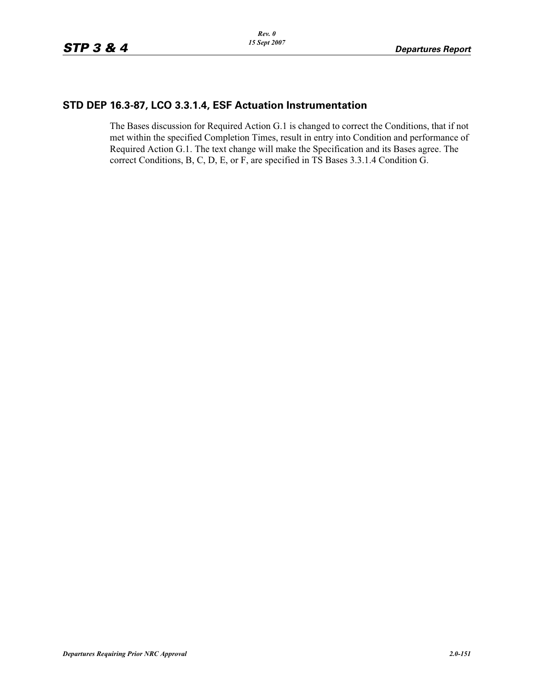### **STD DEP 16.3-87, LCO 3.3.1.4, ESF Actuation Instrumentation**

The Bases discussion for Required Action G.1 is changed to correct the Conditions, that if not met within the specified Completion Times, result in entry into Condition and performance of Required Action G.1. The text change will make the Specification and its Bases agree. The correct Conditions, B, C, D, E, or F, are specified in TS Bases 3.3.1.4 Condition G.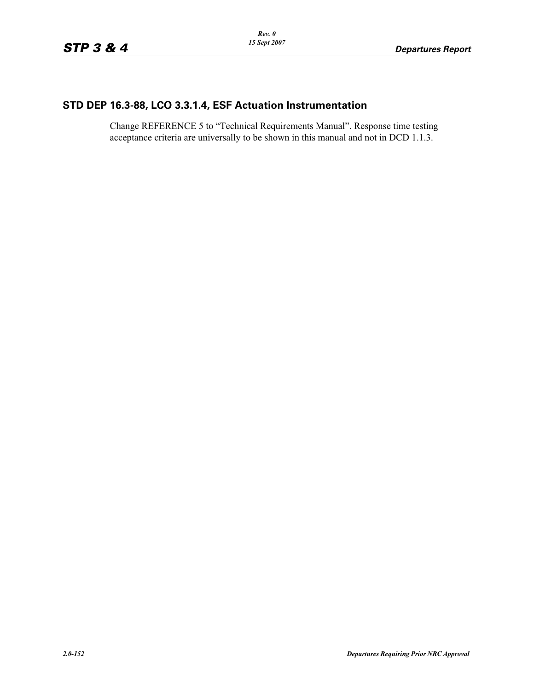# **STD DEP 16.3-88, LCO 3.3.1.4, ESF Actuation Instrumentation**

Change REFERENCE 5 to "Technical Requirements Manual". Response time testing acceptance criteria are universally to be shown in this manual and not in DCD 1.1.3.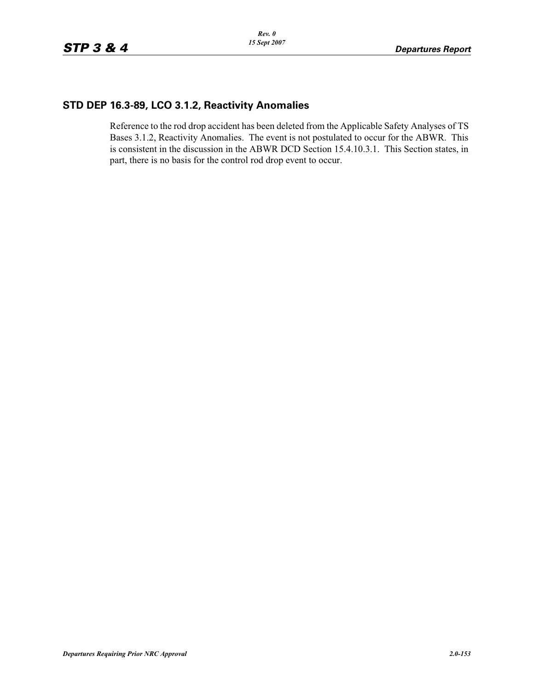#### **STD DEP 16.3-89, LCO 3.1.2, Reactivity Anomalies**

Reference to the rod drop accident has been deleted from the Applicable Safety Analyses of TS Bases 3.1.2, Reactivity Anomalies. The event is not postulated to occur for the ABWR. This is consistent in the discussion in the ABWR DCD Section 15.4.10.3.1. This Section states, in part, there is no basis for the control rod drop event to occur.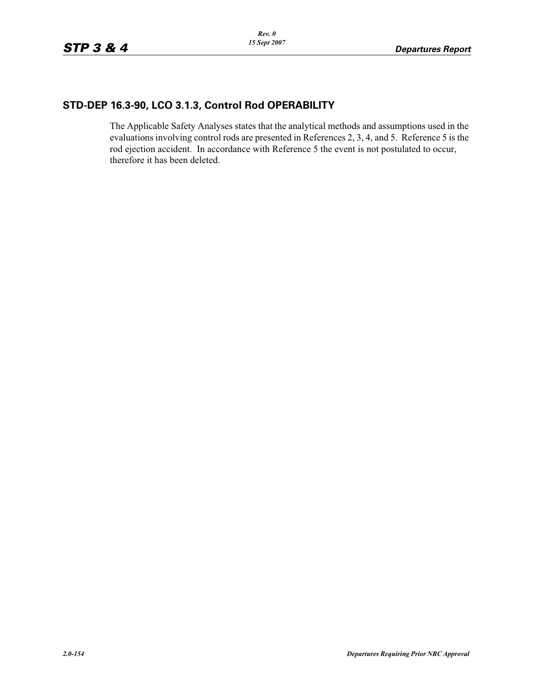# **STD-DEP 16.3-90, LCO 3.1.3, Control Rod OPERABILITY**

The Applicable Safety Analyses states that the analytical methods and assumptions used in the evaluations involving control rods are presented in References 2, 3, 4, and 5. Reference 5 is the rod ejection accident. In accordance with Reference 5 the event is not postulated to occur, therefore it has been deleted.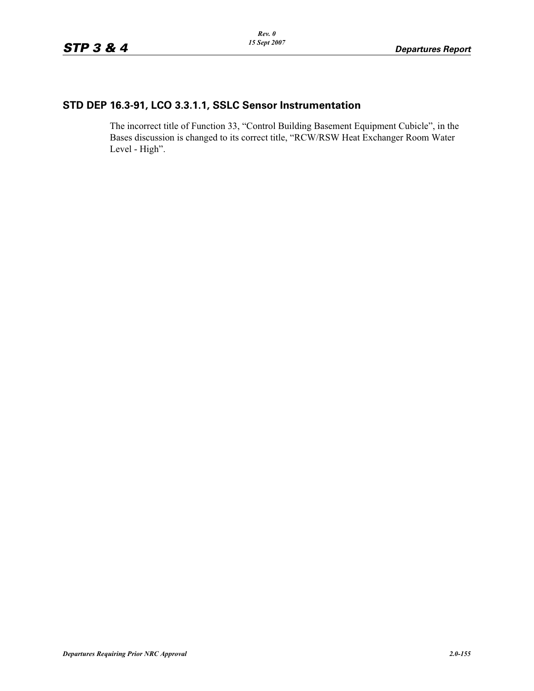# **STD DEP 16.3-91, LCO 3.3.1.1, SSLC Sensor Instrumentation**

The incorrect title of Function 33, "Control Building Basement Equipment Cubicle", in the Bases discussion is changed to its correct title, "RCW/RSW Heat Exchanger Room Water Level - High".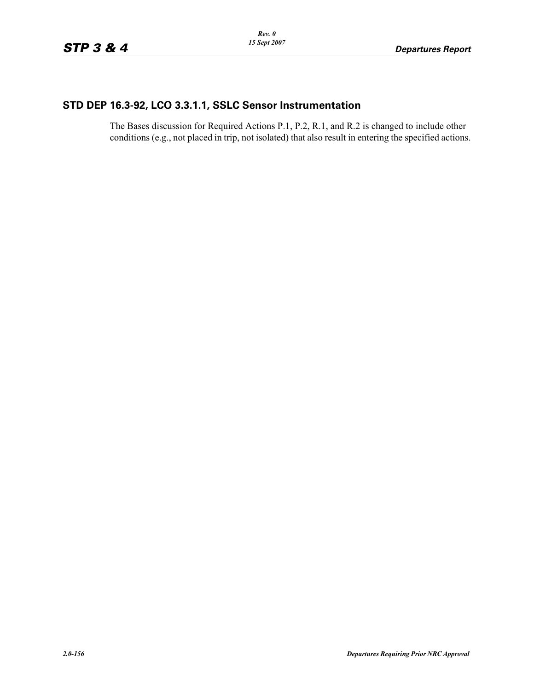## **STD DEP 16.3-92, LCO 3.3.1.1, SSLC Sensor Instrumentation**

The Bases discussion for Required Actions P.1, P.2, R.1, and R.2 is changed to include other conditions (e.g., not placed in trip, not isolated) that also result in entering the specified actions.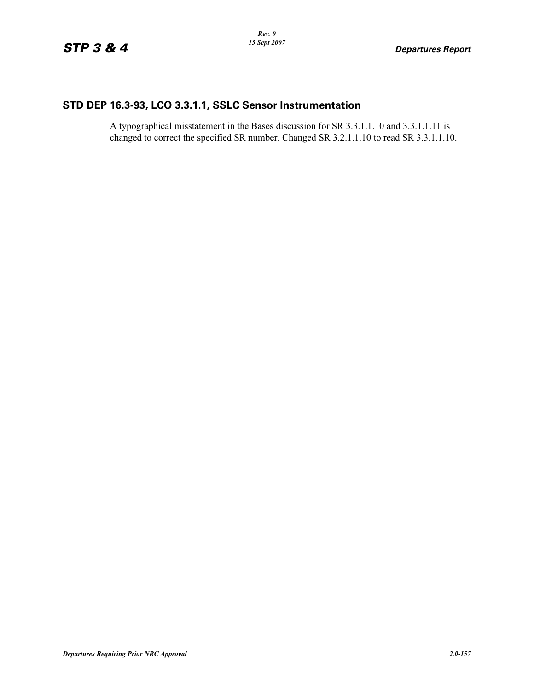## **STD DEP 16.3-93, LCO 3.3.1.1, SSLC Sensor Instrumentation**

A typographical misstatement in the Bases discussion for SR 3.3.1.1.10 and 3.3.1.1.11 is changed to correct the specified SR number. Changed SR 3.2.1.1.10 to read SR 3.3.1.1.10.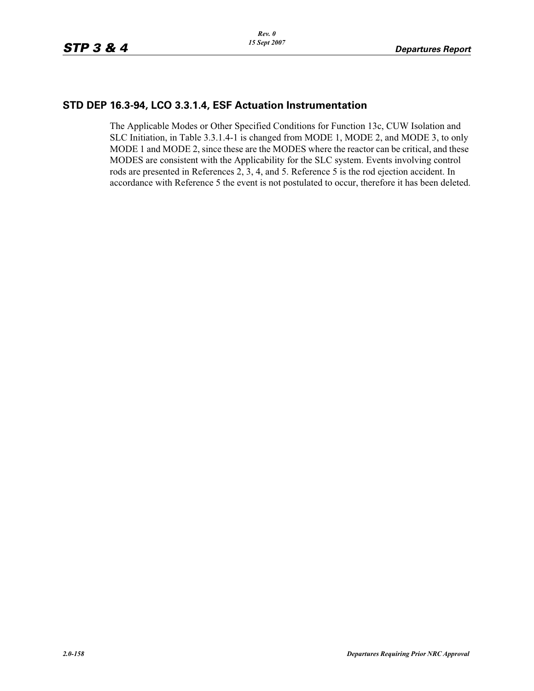### **STD DEP 16.3-94, LCO 3.3.1.4, ESF Actuation Instrumentation**

The Applicable Modes or Other Specified Conditions for Function 13c, CUW Isolation and SLC Initiation, in Table 3.3.1.4-1 is changed from MODE 1, MODE 2, and MODE 3, to only MODE 1 and MODE 2, since these are the MODES where the reactor can be critical, and these MODES are consistent with the Applicability for the SLC system. Events involving control rods are presented in References 2, 3, 4, and 5. Reference 5 is the rod ejection accident. In accordance with Reference 5 the event is not postulated to occur, therefore it has been deleted.